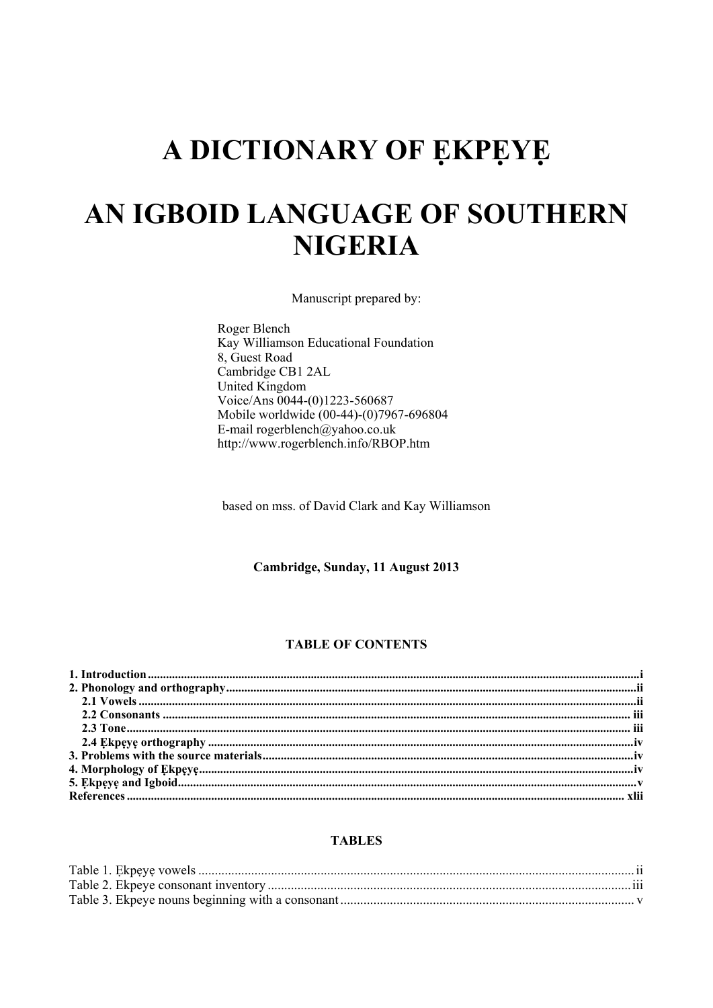# A DICTIONARY OF EKPEYE

# AN IGBOID LANGUAGE OF SOUTHERN **NIGERIA**

Manuscript prepared by:

Roger Blench Kay Williamson Educational Foundation 8, Guest Road Cambridge CB1 2AL United Kingdom Voice/Ans 0044-(0)1223-560687 Mobile worldwide (00-44)-(0)7967-696804 E-mail rogerblench@yahoo.co.uk http://www.rogerblench.info/RBOP.htm

based on mss. of David Clark and Kay Williamson

Cambridge, Sunday, 11 August 2013

#### **TABLE OF CONTENTS**

#### **TABLES**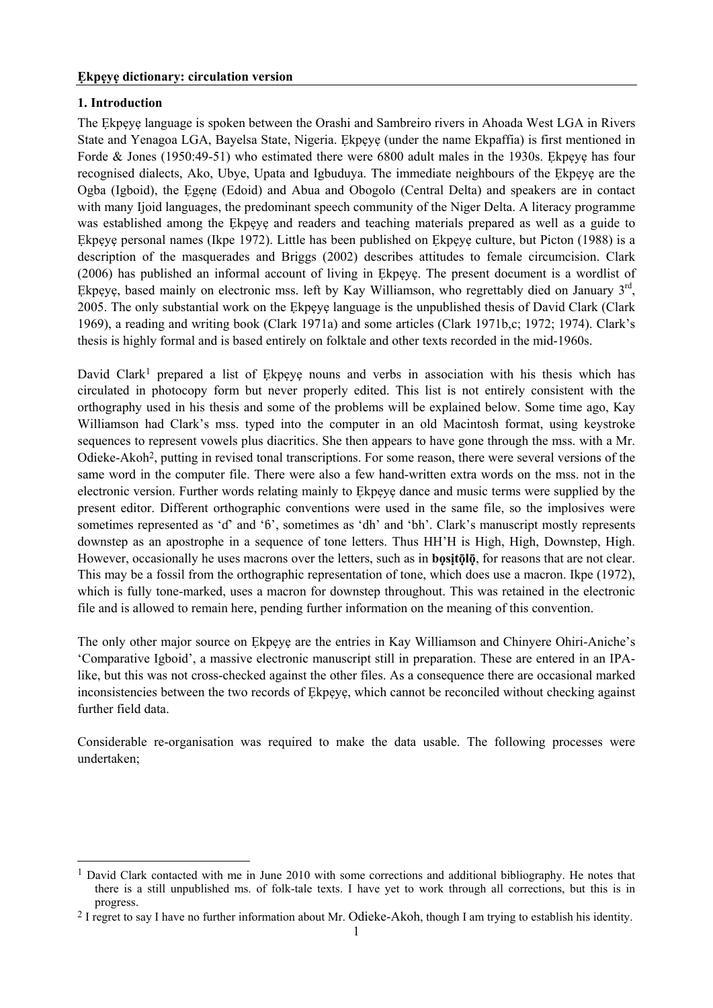#### **1. Introduction**

l

The Ẹkpẹyẹ language is spoken between the Orashi and Sambreiro rivers in Ahoada West LGA in Rivers State and Yenagoa LGA, Bayelsa State, Nigeria. Ekpeye (under the name Ekpaffia) is first mentioned in Forde & Jones (1950:49-51) who estimated there were 6800 adult males in the 1930s. Ekpeye has four recognised dialects, Ako, Ubye, Upata and Igbuduya. The immediate neighbours of the Ẹkpẹyẹ are the Ogba (Igboid), the Ẹgẹnẹ (Edoid) and Abua and Obogolo (Central Delta) and speakers are in contact with many Ijoid languages, the predominant speech community of the Niger Delta. A literacy programme was established among the Ekpeve and readers and teaching materials prepared as well as a guide to Ekpeye personal names (Ikpe 1972). Little has been published on Ekpeye culture, but Picton (1988) is a description of the masquerades and Briggs (2002) describes attitudes to female circumcision. Clark (2006) has published an informal account of living in Ẹkpẹyẹ. The present document is a wordlist of Ekpeye, based mainly on electronic mss. left by Kay Williamson, who regrettably died on January 3<sup>rd</sup>, 2005. The only substantial work on the Ẹkpẹyẹ language is the unpublished thesis of David Clark (Clark 1969), a reading and writing book (Clark 1971a) and some articles (Clark 1971b,c; 1972; 1974). Clark's thesis is highly formal and is based entirely on folktale and other texts recorded in the mid-1960s.

David Clark<sup>1</sup> prepared a list of Ekpeye nouns and verbs in association with his thesis which has circulated in photocopy form but never properly edited. This list is not entirely consistent with the orthography used in his thesis and some of the problems will be explained below. Some time ago, Kay Williamson had Clark's mss. typed into the computer in an old Macintosh format, using keystroke sequences to represent vowels plus diacritics. She then appears to have gone through the mss. with a Mr. Odieke-Akoh2, putting in revised tonal transcriptions. For some reason, there were several versions of the same word in the computer file. There were also a few hand-written extra words on the mss. not in the electronic version. Further words relating mainly to Ekpeye dance and music terms were supplied by the present editor. Different orthographic conventions were used in the same file, so the implosives were sometimes represented as 'ɗ' and 'ɓ', sometimes as 'dh' and 'bh'. Clark's manuscript mostly represents downstep as an apostrophe in a sequence of tone letters. Thus HH'H is High, High, Downstep, High. However, occasionally he uses macrons over the letters, such as in **bositolo**, for reasons that are not clear. This may be a fossil from the orthographic representation of tone, which does use a macron. Ikpe (1972), which is fully tone-marked, uses a macron for downstep throughout. This was retained in the electronic file and is allowed to remain here, pending further information on the meaning of this convention.

The only other major source on Ekpeye are the entries in Kay Williamson and Chinyere Ohiri-Aniche's 'Comparative Igboid', a massive electronic manuscript still in preparation. These are entered in an IPAlike, but this was not cross-checked against the other files. As a consequence there are occasional marked inconsistencies between the two records of Ekpeye, which cannot be reconciled without checking against further field data.

Considerable re-organisation was required to make the data usable. The following processes were undertaken;

<sup>&</sup>lt;sup>1</sup> David Clark contacted with me in June 2010 with some corrections and additional bibliography. He notes that there is a still unpublished ms. of folk-tale texts. I have yet to work through all corrections, but this is in progress.

<sup>&</sup>lt;sup>2</sup> I regret to say I have no further information about Mr. Odieke-Akoh, though I am trying to establish his identity.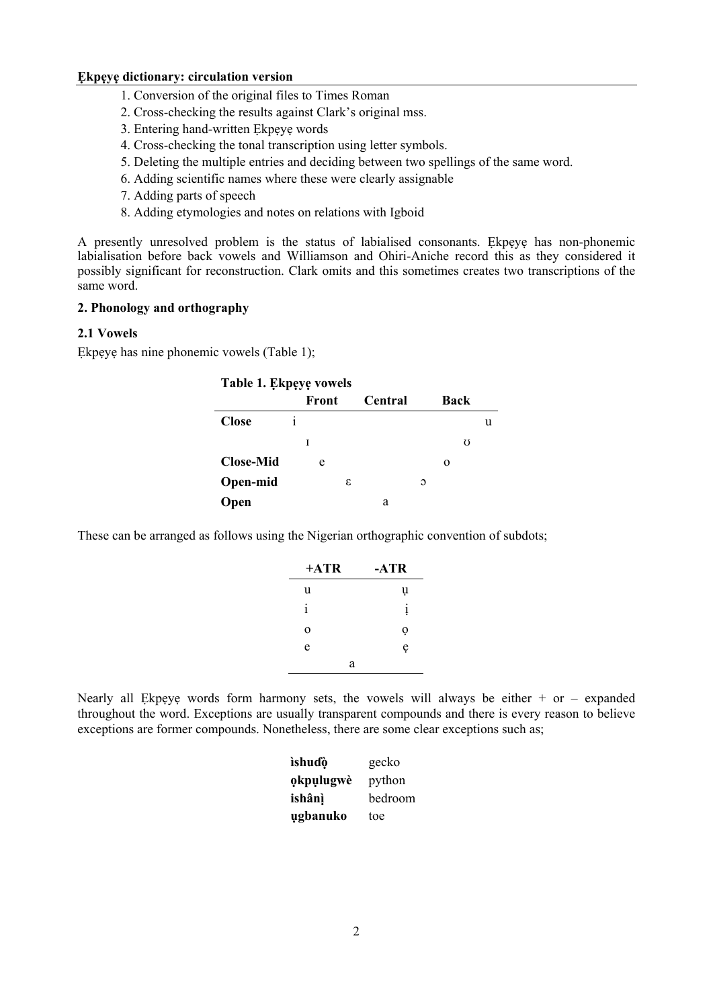- 1. Conversion of the original files to Times Roman
- 2. Cross-checking the results against Clark's original mss.
- 3. Entering hand-written Ẹkpẹyẹ words
- 4. Cross-checking the tonal transcription using letter symbols.
- 5. Deleting the multiple entries and deciding between two spellings of the same word.
- 6. Adding scientific names where these were clearly assignable
- 7. Adding parts of speech
- 8. Adding etymologies and notes on relations with Igboid

A presently unresolved problem is the status of labialised consonants. Ẹkpẹyẹ has non-phonemic labialisation before back vowels and Williamson and Ohiri-Aniche record this as they considered it possibly significant for reconstruction. Clark omits and this sometimes creates two transcriptions of the same word.

#### **2. Phonology and orthography**

#### **2.1 Vowels**

Ekpeve has nine phonemic vowels (Table 1):

| Table 1. Ekpeye vowels |  |       |   |         |   |      |   |  |
|------------------------|--|-------|---|---------|---|------|---|--|
|                        |  | Front |   | Central |   | Back |   |  |
| <b>Close</b>           |  |       |   |         |   |      | u |  |
|                        |  | T     |   |         |   | U    |   |  |
| <b>Close-Mid</b>       |  | e     |   |         |   | O    |   |  |
| Open-mid               |  |       | ε |         | Э |      |   |  |
| Open                   |  |       |   | а       |   |      |   |  |

These can be arranged as follows using the Nigerian orthographic convention of subdots;

| $+ATR$      | -ATR         |
|-------------|--------------|
| u           | u            |
| 1           | $\mathbf{1}$ |
| $\mathbf 0$ | Q            |
| e           | e            |
| a           |              |

Nearly all Ekpeye words form harmony sets, the vowels will always be either  $+$  or – expanded throughout the word. Exceptions are usually transparent compounds and there is every reason to believe exceptions are former compounds. Nonetheless, there are some clear exceptions such as;

| ìshuɗò    | gecko   |
|-----------|---------|
| okpulugwè | python  |
| ishânì    | bedroom |
| ugbanuko  | toe     |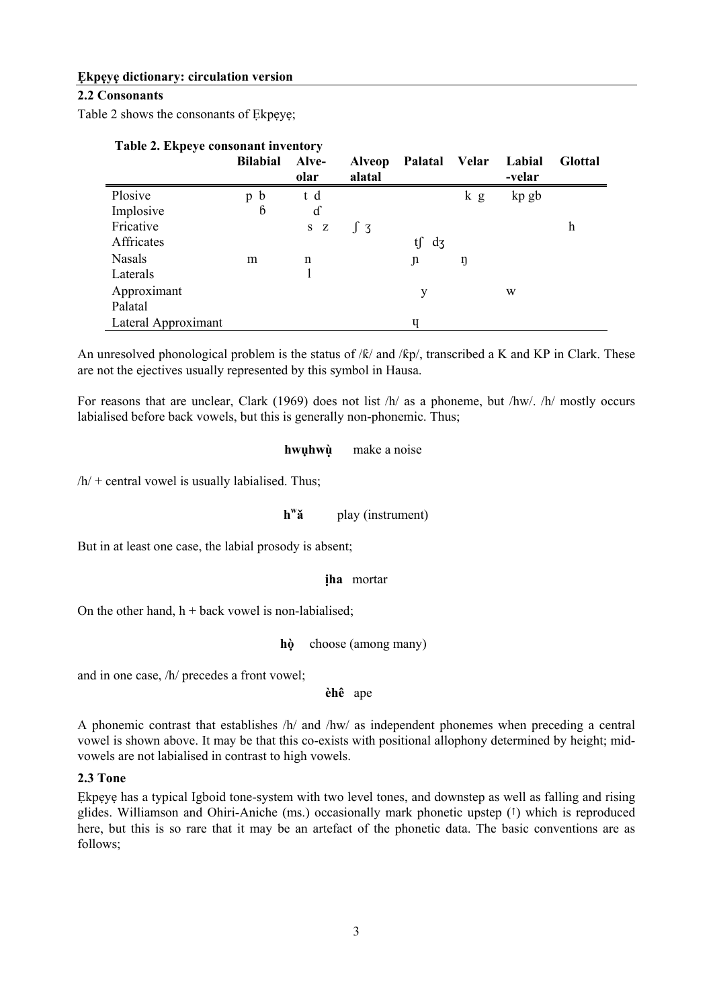#### **2.2 Consonants**

Table 2 shows the consonants of Ekpeye;

| Table 2. Ekpeye consonant inventory |                  |       |               |          |              |        |                |
|-------------------------------------|------------------|-------|---------------|----------|--------------|--------|----------------|
|                                     | <b>Bilabial</b>  | Alve- | <b>Alveop</b> | Palatal  | <b>Velar</b> | Labial | <b>Glottal</b> |
|                                     |                  | olar  | alatal        |          |              | -velar |                |
| Plosive                             | $\mathbf b$<br>p | t d   |               |          | k g          | kp gb  |                |
| Implosive                           | $6\overline{6}$  | d     |               |          |              |        |                |
| Fricative                           |                  | S Z   | $\int 3$      |          |              |        | h              |
| Affricates                          |                  |       |               | t∫<br>d3 |              |        |                |
| <b>Nasals</b>                       | m                | n     |               | J1       | ŋ            |        |                |
| Laterals                            |                  |       |               |          |              |        |                |
| Approximant                         |                  |       |               | у        |              | W      |                |
| Palatal                             |                  |       |               |          |              |        |                |
| Lateral Approximant                 |                  |       |               | ч        |              |        |                |

An unresolved phonological problem is the status of  $/k$  and  $/kp$ , transcribed a K and KP in Clark. These are not the ejectives usually represented by this symbol in Hausa.

For reasons that are unclear, Clark (1969) does not list /h/ as a phoneme, but /hw/. /h/ mostly occurs labialised before back vowels, but this is generally non-phonemic. Thus;

#### **hwụhwù ̣** make a noise

 $/h/$  + central vowel is usually labialised. Thus;

**h<sup>w</sup>ǎ** play (instrument)

But in at least one case, the labial prosody is absent;

#### **ịha** mortar

On the other hand,  $h +$  back vowel is non-labialised;

**hò ̣** choose (among many)

and in one case, /h/ precedes a front vowel;

**èhê** ape

A phonemic contrast that establishes /h/ and /hw/ as independent phonemes when preceding a central vowel is shown above. It may be that this co-exists with positional allophony determined by height; midvowels are not labialised in contrast to high vowels.

#### **2.3 Tone**

Ekpeye has a typical Igboid tone-system with two level tones, and downstep as well as falling and rising glides. Williamson and Ohiri-Aniche (ms.) occasionally mark phonetic upstep (↑) which is reproduced here, but this is so rare that it may be an artefact of the phonetic data. The basic conventions are as follows;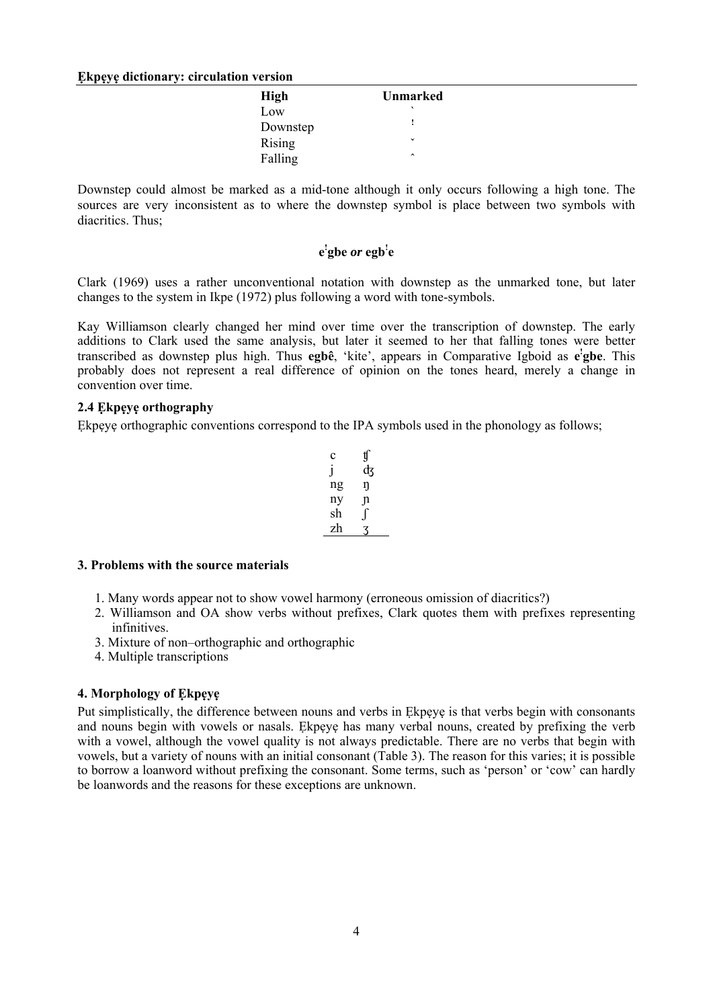| High     | Unmarked     |
|----------|--------------|
| Low      |              |
| Downstep |              |
| Rising   | $\checkmark$ |
| Falling  | $\lambda$    |

Downstep could almost be marked as a mid-tone although it only occurs following a high tone. The sources are very inconsistent as to where the downstep symbol is place between two symbols with diacritics. Thus:

#### **e ! gbe** *or* **egb! e**

Clark (1969) uses a rather unconventional notation with downstep as the unmarked tone, but later changes to the system in Ikpe (1972) plus following a word with tone-symbols.

Kay Williamson clearly changed her mind over time over the transcription of downstep. The early additions to Clark used the same analysis, but later it seemed to her that falling tones were better transcribed as downstep plus high. Thus egbê, 'kite', appears in Comparative Igboid as e'gbe. This probably does not represent a real difference of opinion on the tones heard, merely a change in convention over time.

#### **2.4 Ẹkpẹyẹ orthography**

Ekpeye orthographic conventions correspond to the IPA symbols used in the phonology as follows;

| c  | IJ |
|----|----|
|    | ф  |
| ng | η  |
| ny |    |
| sh |    |
| zh |    |

#### **3. Problems with the source materials**

- 1. Many words appear not to show vowel harmony (erroneous omission of diacritics?)
- 2. Williamson and OA show verbs without prefixes, Clark quotes them with prefixes representing infinitives.
- 3. Mixture of non–orthographic and orthographic
- 4. Multiple transcriptions

#### **4. Morphology of Ẹkpẹyẹ**

Put simplistically, the difference between nouns and verbs in Ekpeye is that verbs begin with consonants and nouns begin with vowels or nasals. Ẹkpẹyẹ has many verbal nouns, created by prefixing the verb with a vowel, although the vowel quality is not always predictable. There are no verbs that begin with vowels, but a variety of nouns with an initial consonant (Table 3). The reason for this varies; it is possible to borrow a loanword without prefixing the consonant. Some terms, such as 'person' or 'cow' can hardly be loanwords and the reasons for these exceptions are unknown.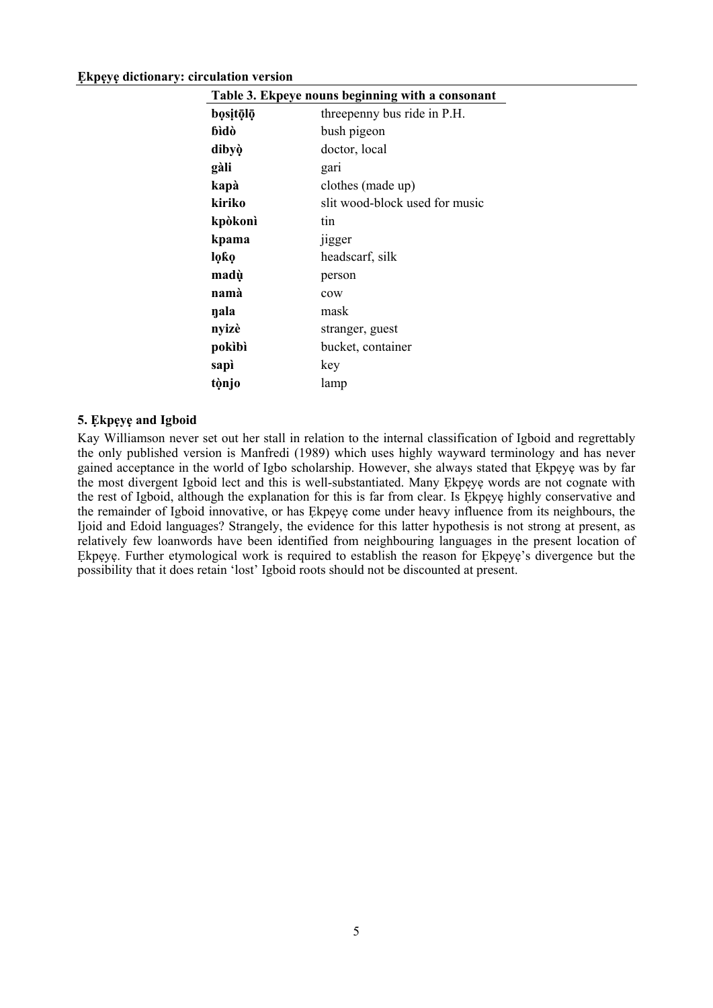| Table 3. Ekpeye nouns beginning with a consonant |                                |  |  |  |
|--------------------------------------------------|--------------------------------|--|--|--|
| bositōlō                                         | threepenny bus ride in P.H.    |  |  |  |
| bìdò                                             | bush pigeon                    |  |  |  |
| dibyò                                            | doctor, local                  |  |  |  |
| gàli                                             | gari                           |  |  |  |
| kapà                                             | clothes (made up)              |  |  |  |
| kiriko                                           | slit wood-block used for music |  |  |  |
| kpòkonì                                          | tin                            |  |  |  |
| kpama                                            | 11gger                         |  |  |  |
| loƙo                                             | headscarf, silk                |  |  |  |
| madù                                             | person                         |  |  |  |
| namà                                             | cow                            |  |  |  |
| ŋala                                             | mask                           |  |  |  |
| nyizè                                            | stranger, guest                |  |  |  |
| pokìbì                                           | bucket, container              |  |  |  |
| sapì                                             | key                            |  |  |  |
| tònjo                                            | lamp                           |  |  |  |

#### **5. Ẹkpẹyẹ and Igboid**

Kay Williamson never set out her stall in relation to the internal classification of Igboid and regrettably the only published version is Manfredi (1989) which uses highly wayward terminology and has never gained acceptance in the world of Igbo scholarship. However, she always stated that Ẹkpẹyẹ was by far the most divergent Igboid lect and this is well-substantiated. Many Ẹkpẹyẹ words are not cognate with the rest of Igboid, although the explanation for this is far from clear. Is Ekpeye highly conservative and the remainder of Igboid innovative, or has Ẹkpẹyẹ come under heavy influence from its neighbours, the Ijoid and Edoid languages? Strangely, the evidence for this latter hypothesis is not strong at present, as relatively few loanwords have been identified from neighbouring languages in the present location of Ekpeye. Further etymological work is required to establish the reason for Ekpeye's divergence but the possibility that it does retain 'lost' Igboid roots should not be discounted at present.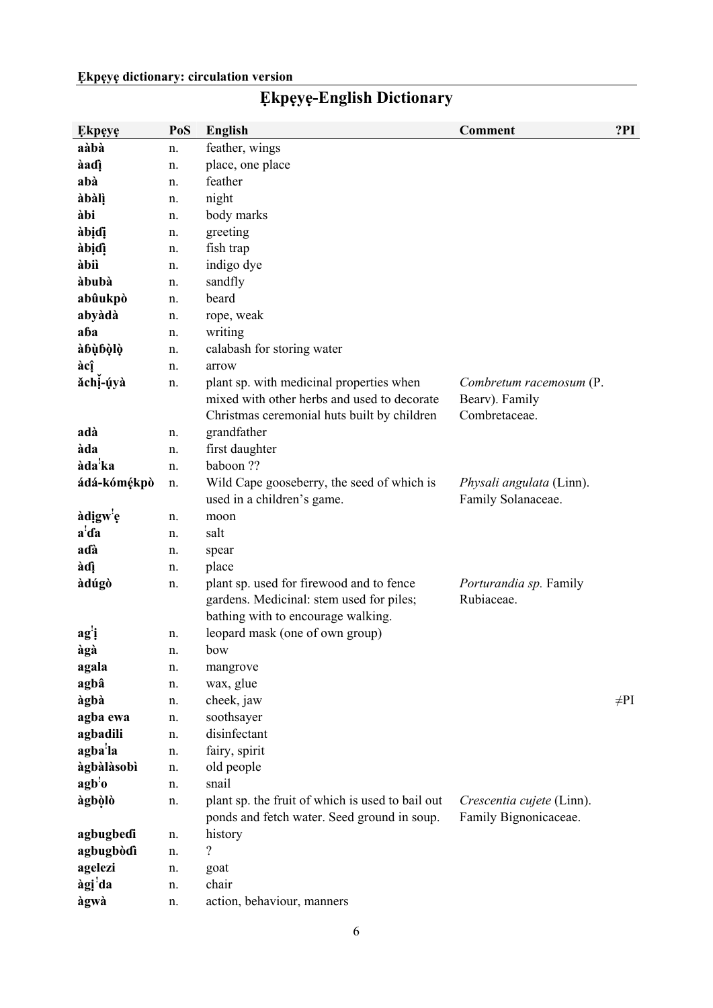| <b>Ekpeye</b>                         | PoS | <b>English</b>                                                                                                                         | Comment                                                    | ?PI       |
|---------------------------------------|-----|----------------------------------------------------------------------------------------------------------------------------------------|------------------------------------------------------------|-----------|
| aàbà                                  | n.  | feather, wings                                                                                                                         |                                                            |           |
| àadì                                  | n.  | place, one place                                                                                                                       |                                                            |           |
| abà                                   | n.  | feather                                                                                                                                |                                                            |           |
| àbàlì                                 | n.  | night                                                                                                                                  |                                                            |           |
| àbi                                   | n.  | body marks                                                                                                                             |                                                            |           |
| àbịdị                                 | n.  | greeting                                                                                                                               |                                                            |           |
| àbịdì                                 | n.  | fish trap                                                                                                                              |                                                            |           |
| àbiì                                  | n.  | indigo dye                                                                                                                             |                                                            |           |
| àbubà                                 | n.  | sandfly                                                                                                                                |                                                            |           |
| abûukpò                               | n.  | beard                                                                                                                                  |                                                            |           |
| abyàdà                                | n.  | rope, weak                                                                                                                             |                                                            |           |
| aba                                   | n.  | writing                                                                                                                                |                                                            |           |
| àbùbòlò                               | n.  | calabash for storing water                                                                                                             |                                                            |           |
| àcî                                   | n.  | arrow                                                                                                                                  |                                                            |           |
| ăchị-ụyà                              | n.  | plant sp. with medicinal properties when<br>mixed with other herbs and used to decorate<br>Christmas ceremonial huts built by children | Combretum racemosum (P.<br>Bearv). Family<br>Combretaceae. |           |
| adà                                   | n.  | grandfather                                                                                                                            |                                                            |           |
| àda                                   | n.  | first daughter                                                                                                                         |                                                            |           |
| àda <sup>!</sup> ka                   | n.  | baboon ??                                                                                                                              |                                                            |           |
| ádá-kómékpò                           | n.  | Wild Cape gooseberry, the seed of which is<br>used in a children's game.                                                               | Physali angulata (Linn).<br>Family Solanaceae.             |           |
| àdigw <sup>'</sup> e                  | n.  | moon                                                                                                                                   |                                                            |           |
| a'da                                  | n.  | salt                                                                                                                                   |                                                            |           |
| aɗà                                   | n.  | spear                                                                                                                                  |                                                            |           |
| àdì                                   | n.  | place                                                                                                                                  |                                                            |           |
| àdúgò                                 | n.  | plant sp. used for firewood and to fence<br>gardens. Medicinal: stem used for piles;<br>bathing with to encourage walking.             | Porturandia sp. Family<br>Rubiaceae.                       |           |
| agi                                   | n.  | leopard mask (one of own group)                                                                                                        |                                                            |           |
| àgà                                   | n.  | bow                                                                                                                                    |                                                            |           |
| agala                                 | n.  | mangrove                                                                                                                               |                                                            |           |
| agbâ                                  | n.  | wax, glue                                                                                                                              |                                                            |           |
| àgbà                                  | n.  | cheek, jaw                                                                                                                             |                                                            | $\neq$ PI |
| agba ewa                              | n.  | soothsayer                                                                                                                             |                                                            |           |
| agbadili                              | n.  | disinfectant                                                                                                                           |                                                            |           |
| agba <sup>'</sup> la                  | n.  | fairy, spirit                                                                                                                          |                                                            |           |
| àgbàlàsobì                            | n.  | old people                                                                                                                             |                                                            |           |
| $\mathbf{agb}^{\mathsf{!}}\mathbf{o}$ | n.  | snail                                                                                                                                  |                                                            |           |
| àgbòlò                                | n.  | plant sp. the fruit of which is used to bail out<br>ponds and fetch water. Seed ground in soup.                                        | Crescentia cujete (Linn).<br>Family Bignonicaceae.         |           |
| agbugbedi                             | n.  | history                                                                                                                                |                                                            |           |
| agbugbòdì                             | n.  | $\overline{\mathcal{L}}$                                                                                                               |                                                            |           |
| agelezi                               | n.  | goat                                                                                                                                   |                                                            |           |
| àgi <sup>'</sup> da                   | n.  | chair                                                                                                                                  |                                                            |           |
| àgwà                                  | n.  | action, behaviour, manners                                                                                                             |                                                            |           |

## **Ẹkpẹyẹ-English Dictionary**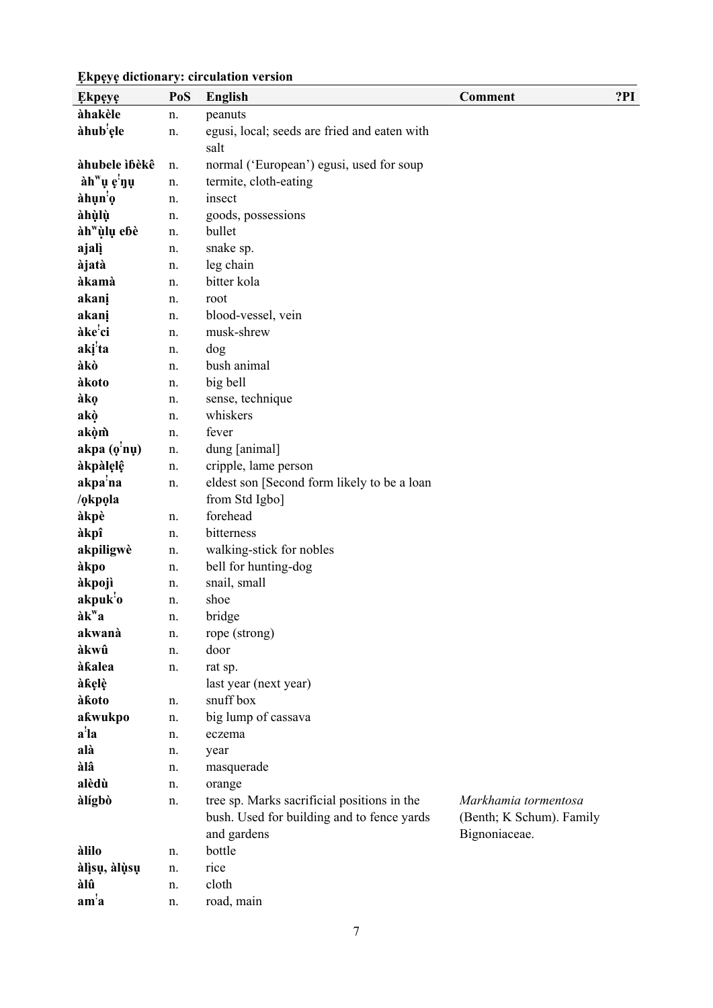| <b>Ekpeye</b>                       | PoS      | <b>English</b>                                   | <b>Comment</b>           | ?PI |
|-------------------------------------|----------|--------------------------------------------------|--------------------------|-----|
| àhakèle                             | n.       | peanuts                                          |                          |     |
| àhub <sup>'</sup> ele               | n.       | egusi, local; seeds are fried and eaten with     |                          |     |
|                                     |          | salt                                             |                          |     |
| àhubele ìbèkê                       | n.       | normal ('European') egusi, used for soup         |                          |     |
| àh <sup>w</sup> ụ c <sup>'</sup> nụ | n.       | termite, cloth-eating                            |                          |     |
| àhụn <sup>!</sup> ọ                 | n.       | insect                                           |                          |     |
| àhùlù                               | n.       | goods, possessions                               |                          |     |
| àh"ùlụ ebè                          | n.       | bullet                                           |                          |     |
| ajalì                               | n.       | snake sp.                                        |                          |     |
| àjatà                               | n.       | leg chain                                        |                          |     |
| àkamà                               | n.       | bitter kola                                      |                          |     |
| akanį                               | n.       | root                                             |                          |     |
| akani                               | n.       | blood-vessel, vein                               |                          |     |
| àke'ci                              | n.       | musk-shrew                                       |                          |     |
| aki <sup>!</sup> ta                 | n.       | dog                                              |                          |     |
| àkò                                 | n.       | bush animal                                      |                          |     |
| àkoto                               | n.       | big bell                                         |                          |     |
| àkọ                                 | n.       | sense, technique                                 |                          |     |
| akò                                 | n.       | whiskers                                         |                          |     |
| akòm                                | n.       | fever                                            |                          |     |
| akpa(0 <sup>1</sup> nu)             | n.       | dung [animal]                                    |                          |     |
| àkpàlelê                            | n.       | cripple, lame person                             |                          |     |
| akpa <sup>'</sup> na                | n.       | eldest son [Second form likely to be a loan      |                          |     |
| /okpola                             |          | from Std Igbo]                                   |                          |     |
| àkpè                                | n.       | forehead                                         |                          |     |
| àkpî                                | n.       | bitterness                                       |                          |     |
| akpiligwè                           | n.       | walking-stick for nobles<br>bell for hunting-dog |                          |     |
| àkpo<br>àkpojì                      | n.       | snail, small                                     |                          |     |
| akpuk <sup>'</sup> o                | n.<br>n. | shoe                                             |                          |     |
| àk <sup>w</sup> a                   | n.       | bridge                                           |                          |     |
| akwanà                              | n.       | rope (strong)                                    |                          |     |
| àkwû                                | n.       | door                                             |                          |     |
| àkalea                              | n.       | rat sp.                                          |                          |     |
| àkelè                               |          | last year (next year)                            |                          |     |
| àkoto                               | n.       | snuff box                                        |                          |     |
| akwukpo                             | n.       | big lump of cassava                              |                          |     |
| a'la                                | n.       | eczema                                           |                          |     |
| alà                                 | n.       | year                                             |                          |     |
| àlâ                                 | n.       | masquerade                                       |                          |     |
| alèdù                               | n.       | orange                                           |                          |     |
| àlígbò                              | n.       | tree sp. Marks sacrificial positions in the      | Markhamia tormentosa     |     |
|                                     |          | bush. Used for building and to fence yards       | (Benth; K Schum). Family |     |
|                                     |          | and gardens                                      | Bignoniaceae.            |     |
| àlilo                               | n.       | bottle                                           |                          |     |
| àlisų, àlụsų                        | n.       | rice                                             |                          |     |
| àlû                                 | n.       | cloth                                            |                          |     |
| am <sup>1</sup> a                   | n.       | road, main                                       |                          |     |
|                                     |          |                                                  |                          |     |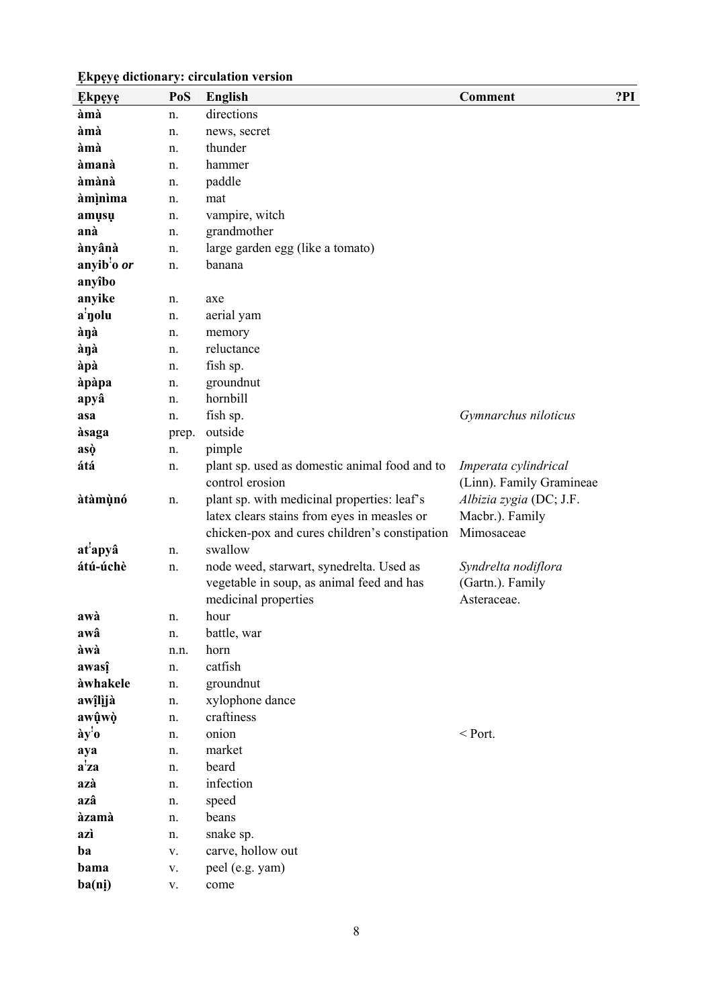| <b>Ekpeye</b>        | PoS        | <b>English</b>                                                                                                                              | <b>Comment</b>                                           | ?PI |
|----------------------|------------|---------------------------------------------------------------------------------------------------------------------------------------------|----------------------------------------------------------|-----|
| àmà                  | n.         | directions                                                                                                                                  |                                                          |     |
| àmà                  | n.         | news, secret                                                                                                                                |                                                          |     |
| àmà                  | n.         | thunder                                                                                                                                     |                                                          |     |
| àmanà                | n.         | hammer                                                                                                                                      |                                                          |     |
| àmànà                | n.         | paddle                                                                                                                                      |                                                          |     |
| àmìnìma              | n.         | mat                                                                                                                                         |                                                          |     |
| amusu                | n.         | vampire, witch                                                                                                                              |                                                          |     |
| anà                  | n.         | grandmother                                                                                                                                 |                                                          |     |
| ànyânà               | n.         | large garden egg (like a tomato)                                                                                                            |                                                          |     |
| anyib'o or           | n.         | banana                                                                                                                                      |                                                          |     |
| anyîbo               |            |                                                                                                                                             |                                                          |     |
| anyike               | n.         | axe                                                                                                                                         |                                                          |     |
| a <sup>'</sup> yolu  | n.         | aerial yam                                                                                                                                  |                                                          |     |
| ànà                  | n.         | memory                                                                                                                                      |                                                          |     |
| àŋà                  | n.         | reluctance                                                                                                                                  |                                                          |     |
| àpà                  | n.         | fish sp.                                                                                                                                    |                                                          |     |
| àpàpa                | n.         | groundnut                                                                                                                                   |                                                          |     |
| apyâ                 | n.         | hornbill                                                                                                                                    |                                                          |     |
| asa                  | n.         | fish sp.                                                                                                                                    | Gymnarchus niloticus                                     |     |
| àsaga                | prep.      | outside                                                                                                                                     |                                                          |     |
| asò                  | n.         | pimple                                                                                                                                      |                                                          |     |
| átá                  | n.         | plant sp. used as domestic animal food and to<br>control erosion                                                                            | Imperata cylindrical<br>(Linn). Family Gramineae         |     |
| àtàmùnó              | n.         | plant sp. with medicinal properties: leaf's<br>latex clears stains from eyes in measles or<br>chicken-pox and cures children's constipation | Albizia zygia (DC; J.F.<br>Macbr.). Family<br>Mimosaceae |     |
| at <sup>'</sup> apyâ | n.         | swallow                                                                                                                                     |                                                          |     |
| átú-úchè             | n.         | node weed, starwart, synedrelta. Used as<br>vegetable in soup, as animal feed and has<br>medicinal properties                               | Syndrelta nodiflora<br>(Gartn.). Family<br>Asteraceae.   |     |
| awà                  | n.         | hour                                                                                                                                        |                                                          |     |
| awâ                  | n.         | battle, war                                                                                                                                 |                                                          |     |
| àwà                  | n.n.       | horn                                                                                                                                        |                                                          |     |
| awasî                | n.         | catfish                                                                                                                                     |                                                          |     |
| àwhakele             | n.         | groundnut                                                                                                                                   |                                                          |     |
| awîlijà              | n.         | xylophone dance                                                                                                                             |                                                          |     |
| awûwò                | n.         | craftiness                                                                                                                                  |                                                          |     |
| ày'o                 | n.         | onion                                                                                                                                       | $<$ Port.                                                |     |
| aya                  | n.         | market                                                                                                                                      |                                                          |     |
| $a^2za$              | n.         | beard                                                                                                                                       |                                                          |     |
| azà                  | n.         | infection                                                                                                                                   |                                                          |     |
| azâ                  | n.         | speed                                                                                                                                       |                                                          |     |
| àzamà                | n.         | beans                                                                                                                                       |                                                          |     |
| azì                  | n.         | snake sp.                                                                                                                                   |                                                          |     |
| ba                   | V.         | carve, hollow out                                                                                                                           |                                                          |     |
| bama                 | V.         | peel (e.g. yam)                                                                                                                             |                                                          |     |
| ba(ni)               | ${\bf V}.$ | come                                                                                                                                        |                                                          |     |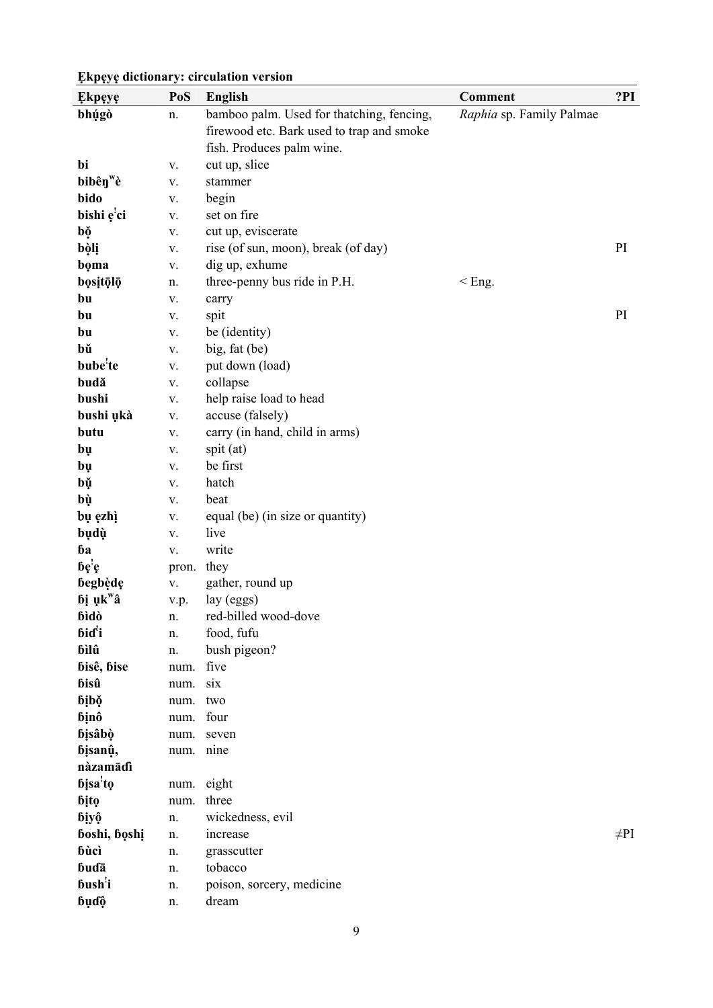| <b>Ekpeye</b>        | PoS        | <b>English</b>                            | <b>Comment</b>           | ?PI       |
|----------------------|------------|-------------------------------------------|--------------------------|-----------|
| bhúgò                | n.         | bamboo palm. Used for thatching, fencing, | Raphia sp. Family Palmae |           |
|                      |            | firewood etc. Bark used to trap and smoke |                          |           |
|                      |            | fish. Produces palm wine.                 |                          |           |
| bi                   | V.         | cut up, slice                             |                          |           |
| bibên <sup>w</sup> è | V.         | stammer                                   |                          |           |
| bido                 | V.         | begin                                     |                          |           |
| bishi ę'ci           | ${\bf V}.$ | set on fire                               |                          |           |
| bọ                   | ${\bf V}.$ | cut up, eviscerate                        |                          |           |
| bòlị                 | ${\bf V}.$ | rise (of sun, moon), break (of day)       |                          | PI        |
| boma                 | ${\bf V}.$ | dig up, exhume                            |                          |           |
| bositōlō             | n.         | three-penny bus ride in P.H.              | $<$ Eng.                 |           |
| bu                   | V.         | carry                                     |                          |           |
| bu                   | V.         | spit                                      |                          | PI        |
| bu                   | ${\bf V}.$ | be (identity)                             |                          |           |
| bŭ                   | ${\bf V}.$ | big, fat (be)                             |                          |           |
| bube <sup>'</sup> te | ${\bf V}.$ | put down (load)                           |                          |           |
| budă                 | ${\bf V}.$ | collapse                                  |                          |           |
| bushi                | V.         | help raise load to head                   |                          |           |
| bushi ukà            | ${\bf V}.$ | accuse (falsely)                          |                          |           |
| butu                 | ${\bf V}.$ | carry (in hand, child in arms)            |                          |           |
| bụ                   | V.         | spit (at)                                 |                          |           |
| bų                   | V.         | be first                                  |                          |           |
| bŭ                   | V.         | hatch                                     |                          |           |
| bù                   | V.         | beat                                      |                          |           |
| bụ ęzhì              | V.         | equal (be) (in size or quantity)          |                          |           |
| bụdụ                 | ${\bf V}.$ | live                                      |                          |           |
| bа                   | ${\bf V}.$ | write                                     |                          |           |
| bę'ę                 | pron.      | they                                      |                          |           |
| begbède              | V.         | gather, round up                          |                          |           |
| bị ụk <sup>w</sup> â | v.p.       | lay (eggs)                                |                          |           |
| bìdò                 | n.         | red-billed wood-dove                      |                          |           |
| bid <sup>'</sup> i   | n.         | food, fufu                                |                          |           |
| bìlû                 | n.         | bush pigeon?                              |                          |           |
| bisê, bise           | num.       | five                                      |                          |           |
| bisû                 | num.       | six                                       |                          |           |
| bibě                 | num.       | two                                       |                          |           |
| binô                 | num.       | four                                      |                          |           |
| bisâbò               | num.       | seven                                     |                          |           |
| bisanû,              | num.       | nine                                      |                          |           |
| nàzamādì             |            |                                           |                          |           |
| bisa <sup>'</sup> to | num.       | eight                                     |                          |           |
| bito                 | num.       | three                                     |                          |           |
| biyộ                 | n.         | wickedness, evil                          |                          |           |
| boshi, boshi         | n.         | increase                                  |                          | $\neq$ PI |
| bùcì                 | n.         | grasscutter                               |                          |           |
| budā                 | n.         | tobacco                                   |                          |           |
| bush <sup>'</sup> i  | n.         | poison, sorcery, medicine                 |                          |           |
| bụđộ                 | n.         | dream                                     |                          |           |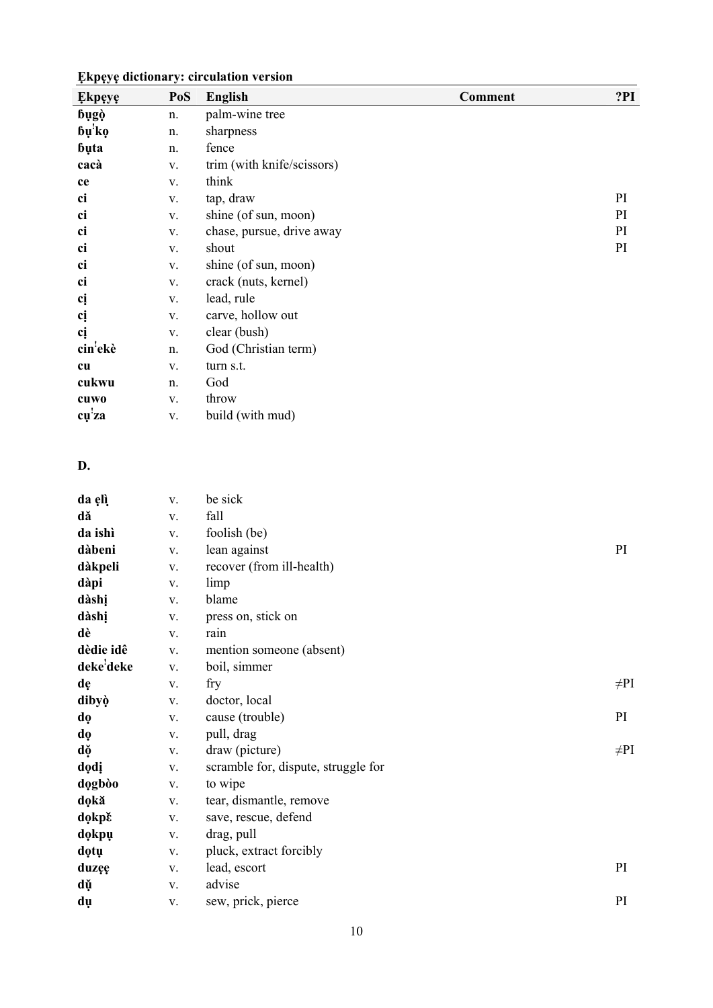| <b>Ekpeye</b> | PoS | English                    | <b>Comment</b> | ?PI |
|---------------|-----|----------------------------|----------------|-----|
| bugò          | n.  | palm-wine tree             |                |     |
| bų'ko         | n.  | sharpness                  |                |     |
| buta          | n.  | fence                      |                |     |
| cacà          | V.  | trim (with knife/scissors) |                |     |
| ce            | V.  | think                      |                |     |
| ci            | V.  | tap, draw                  |                | PI  |
| ci            | V.  | shine (of sun, moon)       |                | PI  |
| ci            | V.  | chase, pursue, drive away  |                | PI  |
| ci            | V.  | shout                      |                | PI  |
| ci            | V.  | shine (of sun, moon)       |                |     |
| ci            | V.  | crack (nuts, kernel)       |                |     |
| cį            | V.  | lead, rule                 |                |     |
| cį            | V.  | carve, hollow out          |                |     |
| cį            | V.  | clear (bush)               |                |     |
| cin'ekè       | n.  | God (Christian term)       |                |     |
| cu            | V.  | turn s.t.                  |                |     |
| cukwu         | n.  | God                        |                |     |
| cuwo          | V.  | throw                      |                |     |
| cu'za         | V.  | build (with mud)           |                |     |

### **D.**

| da elì    | V.         | be sick                             |           |
|-----------|------------|-------------------------------------|-----------|
| dă        | ${\bf V}.$ | fall                                |           |
| da ishì   | V.         | foolish (be)                        |           |
| dàbeni    | V.         | lean against                        | PI        |
| dàkpeli   | V.         | recover (from ill-health)           |           |
| dàpi      | V.         | limp                                |           |
| dàshị     | V.         | blame                               |           |
| dàshị     | V.         | press on, stick on                  |           |
| dè        | V.         | rain                                |           |
| dèdie idê | V.         | mention someone (absent)            |           |
| deke'deke | V.         | boil, simmer                        |           |
| dę        | V.         | fry                                 | $\neq$ PI |
| dibyò     | V.         | doctor, local                       |           |
| dọ        | V.         | cause (trouble)                     | PI        |
| dọ        | V.         | pull, drag                          |           |
| dọ        | V.         | draw (picture)                      | $\neq$ PI |
| dodi      | V.         | scramble for, dispute, struggle for |           |
| dogbòo    | V.         | to wipe                             |           |
| dokă      | V.         | tear, dismantle, remove             |           |
| dokpě     | V.         | save, rescue, defend                |           |
| dokpu     | V.         | drag, pull                          |           |
| dotu      | V.         | pluck, extract forcibly             |           |
| duzęę     | V.         | lead, escort                        | PI        |
| dǔ        | V.         | advise                              |           |
| dụ        | V.         | sew, prick, pierce                  | PI        |
|           |            |                                     |           |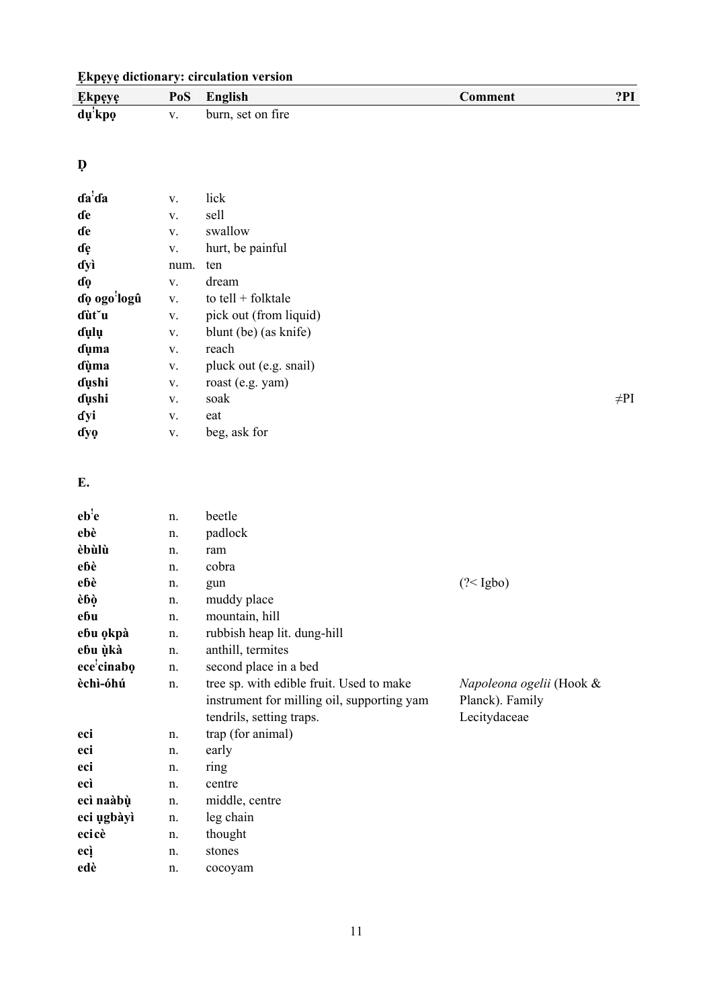| <b>Ekpeye dictionary: circulation version</b> |  |  |
|-----------------------------------------------|--|--|
|-----------------------------------------------|--|--|

| <b>Ekpeye</b> | PoS | English           | Comment | 2PI |
|---------------|-----|-------------------|---------|-----|
| dų kpo        |     | burn, set on fire |         |     |

## **Ḍ**

| da <sup>'</sup> da | V.   | lick                   |           |
|--------------------|------|------------------------|-----------|
| de                 | V.   | sell                   |           |
| de                 | V.   | swallow                |           |
| dę                 | V.   | hurt, be painful       |           |
| dyì                | num. | ten                    |           |
| dọ                 | V.   | dream                  |           |
| dọ ogo'logû        | V.   | to tell $+$ folktale   |           |
| dùt u              | V.   | pick out (from liquid) |           |
| dụlụ               | V.   | blunt (be) (as knife)  |           |
| duma               | V.   | reach                  |           |
| dùma               | V.   | pluck out (e.g. snail) |           |
| dushi              | V.   | roast (e.g. yam)       |           |
| dushi              | V.   | soak                   | $\neq$ Pl |
| dyi                | V.   | eat                    |           |
| dyo                | V.   | beg, ask for           |           |

## **E.**

| n. | beetle                                     |                          |
|----|--------------------------------------------|--------------------------|
| n. | padlock                                    |                          |
| n. | ram                                        |                          |
| n. | cobra                                      |                          |
| n. | gun                                        | (? < Igbo)               |
| n. | muddy place                                |                          |
| n. | mountain, hill                             |                          |
| n. | rubbish heap lit. dung-hill                |                          |
| n. | anthill, termites                          |                          |
| n. | second place in a bed                      |                          |
| n. | tree sp. with edible fruit. Used to make   | Napoleona ogelii (Hook & |
|    | instrument for milling oil, supporting yam | Planck). Family          |
|    | tendrils, setting traps.                   | Lecitydaceae             |
| n. | trap (for animal)                          |                          |
| n. | early                                      |                          |
| n. | ring                                       |                          |
| n. | centre                                     |                          |
| n. | middle, centre                             |                          |
| n. | leg chain                                  |                          |
| n. | thought                                    |                          |
| n. | stones                                     |                          |
| n. | cocoyam                                    |                          |
|    |                                            |                          |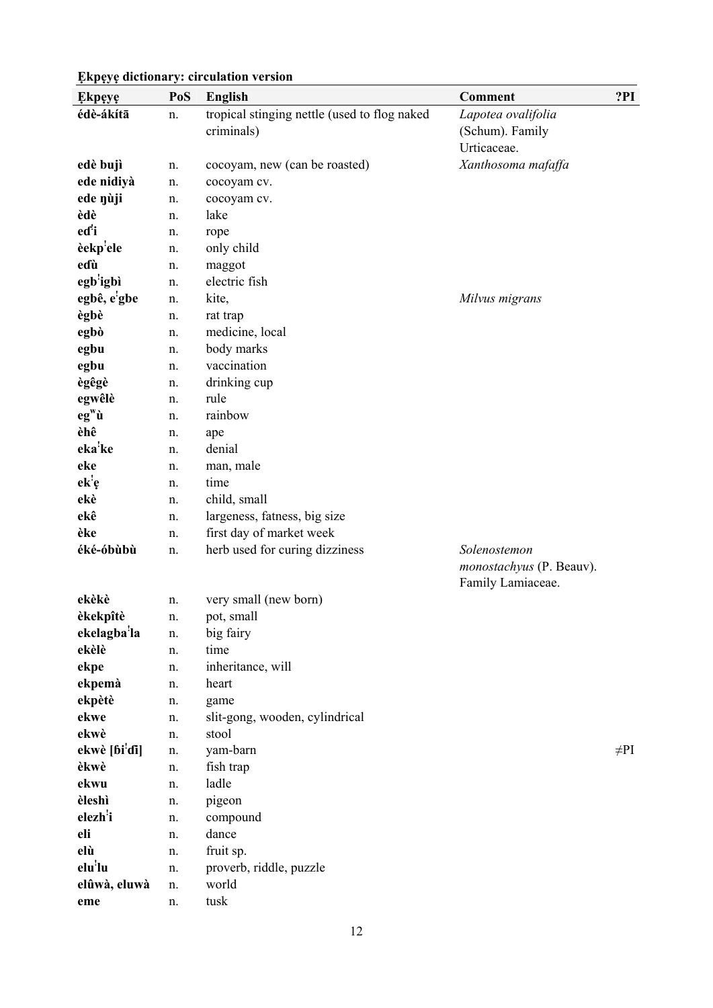| <b>Ekpeye</b>                       | PoS | <b>English</b>                               | <b>Comment</b>                  | ?PI       |
|-------------------------------------|-----|----------------------------------------------|---------------------------------|-----------|
| édè-ákítā                           | n.  | tropical stinging nettle (used to flog naked | Lapotea ovalifolia              |           |
|                                     |     | criminals)                                   | (Schum). Family                 |           |
|                                     |     |                                              | Urticaceae.                     |           |
| edè bujì                            | n.  | cocoyam, new (can be roasted)                | Xanthosoma mafaffa              |           |
| ede nidiyà                          | n.  | cocoyam cv.                                  |                                 |           |
| ede nùji                            | n.  | cocoyam cv.                                  |                                 |           |
| èdè                                 | n.  | lake                                         |                                 |           |
| eďi                                 | n.  | rope                                         |                                 |           |
| èekp'ele                            | n.  | only child                                   |                                 |           |
| eɗù                                 | n.  | maggot                                       |                                 |           |
| egb <sup>'</sup> igbì               | n.  | electric fish                                |                                 |           |
| egbê, e'gbe                         | n.  | kite,                                        | Milvus migrans                  |           |
| ègbè                                | n.  | rat trap                                     |                                 |           |
| egbò                                | n.  | medicine, local                              |                                 |           |
| egbu                                | n.  | body marks                                   |                                 |           |
| egbu                                | n.  | vaccination                                  |                                 |           |
| ègêgè                               | n.  | drinking cup                                 |                                 |           |
| egwêlè                              | n.  | rule                                         |                                 |           |
| $eg^{\mathbf{w}}\mathbf{\grave{u}}$ | n.  | rainbow                                      |                                 |           |
| èhê                                 | n.  | ape                                          |                                 |           |
| eka'ke                              | n.  | denial                                       |                                 |           |
| eke                                 | n.  | man, male                                    |                                 |           |
| ek <sup>!</sup> e                   | n.  | time                                         |                                 |           |
| ekè                                 | n.  | child, small                                 |                                 |           |
| ekê                                 | n.  | largeness, fatness, big size                 |                                 |           |
| èke                                 | n.  | first day of market week                     |                                 |           |
| éké-óbùbù                           | n.  | herb used for curing dizziness               | Solenostemon                    |           |
|                                     |     |                                              | <i>monostachyus</i> (P. Beauv). |           |
|                                     |     |                                              | Family Lamiaceae.               |           |
| ekèkè                               | n.  | very small (new born)                        |                                 |           |
| èkekpîtè                            | n.  | pot, small                                   |                                 |           |
| ekelagba <sup>'</sup> la            | n.  | big fairy                                    |                                 |           |
| ekèlè                               | n.  | time                                         |                                 |           |
| ekpe                                | n.  | inheritance, will                            |                                 |           |
| ekpemà                              | n.  | heart                                        |                                 |           |
| ekpètè                              | n.  | game                                         |                                 |           |
| ekwe                                | n.  | slit-gong, wooden, cylindrical               |                                 |           |
| ekwè                                | n.  | stool                                        |                                 |           |
| ekwè [ɓi'di]                        | n.  | yam-barn                                     |                                 | $\neq$ PI |
| èkwè                                | n.  | fish trap                                    |                                 |           |
| ekwu                                | n.  | ladle                                        |                                 |           |
| èleshì                              | n.  | pigeon                                       |                                 |           |
| elezh <sup>!</sup> i                | n.  | compound                                     |                                 |           |
| eli                                 | n.  | dance                                        |                                 |           |
| elù                                 | n.  | fruit sp.                                    |                                 |           |
| elu'lu                              | n.  | proverb, riddle, puzzle                      |                                 |           |
| elûwà, eluwà                        | n.  | world                                        |                                 |           |
| eme                                 | n.  | tusk                                         |                                 |           |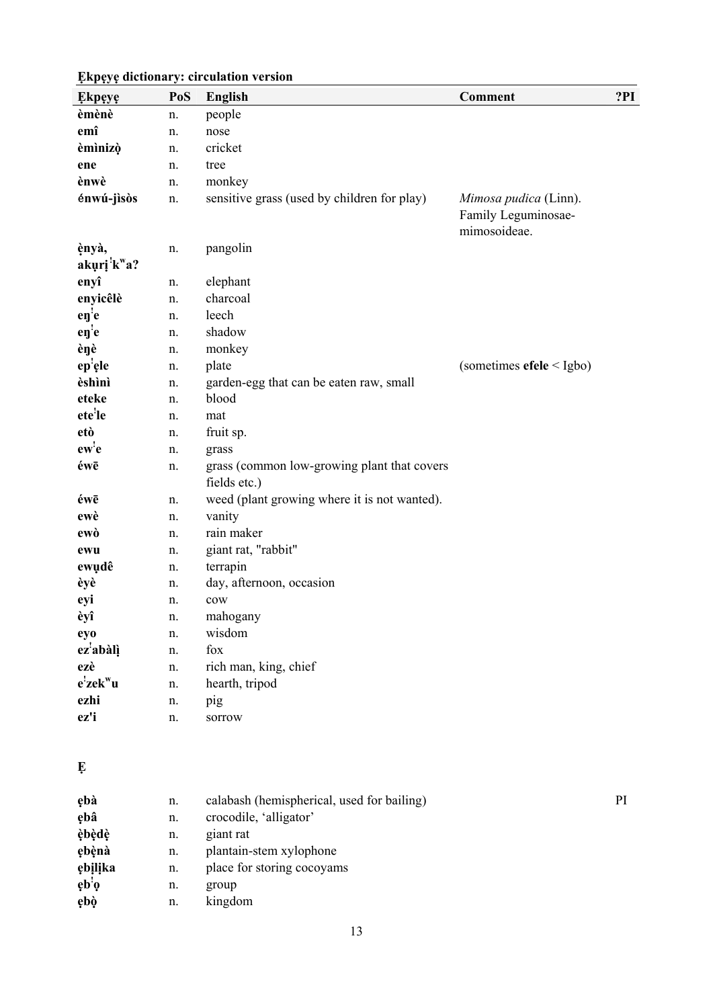| <b>Ekpeye</b>                                 | PoS | <b>English</b>                                              | <b>Comment</b>                                               | ?PI |
|-----------------------------------------------|-----|-------------------------------------------------------------|--------------------------------------------------------------|-----|
| èmènè                                         | n.  | people                                                      |                                                              |     |
| emî                                           | n.  | nose                                                        |                                                              |     |
| èmìnizò                                       | n.  | cricket                                                     |                                                              |     |
| ene                                           | n.  | tree                                                        |                                                              |     |
| ènwè                                          | n.  | monkey                                                      |                                                              |     |
| énwú-jìsòs                                    | n.  | sensitive grass (used by children for play)                 | Mimosa pudica (Linn).<br>Family Leguminosae-<br>mimosoideae. |     |
| ènyà,<br>akuri <sup>'</sup> k <sup>w</sup> a? | n.  | pangolin                                                    |                                                              |     |
| enyî                                          | n.  | elephant                                                    |                                                              |     |
| enyicêlè                                      | n.  | charcoal                                                    |                                                              |     |
| $e\eta$ <sup>'</sup> e                        | n.  | leech                                                       |                                                              |     |
| $e\eta$ <sup>'</sup> e                        | n.  | shadow                                                      |                                                              |     |
| èŋè                                           | n.  | monkey                                                      |                                                              |     |
| ep'ele                                        | n.  | plate                                                       | (sometimes $efele$ < Igbo)                                   |     |
| èshìnì                                        | n.  | garden-egg that can be eaten raw, small                     |                                                              |     |
| eteke                                         | n.  | blood                                                       |                                                              |     |
| ete'le                                        | n.  | mat                                                         |                                                              |     |
| etò                                           | n.  | fruit sp.                                                   |                                                              |     |
| ew'e                                          | n.  | grass                                                       |                                                              |     |
| éwē                                           | n.  | grass (common low-growing plant that covers<br>fields etc.) |                                                              |     |
| éwē                                           | n.  | weed (plant growing where it is not wanted).                |                                                              |     |
| ewè                                           | n.  | vanity                                                      |                                                              |     |
| ewò                                           | n.  | rain maker                                                  |                                                              |     |
| ewu                                           | n.  | giant rat, "rabbit"                                         |                                                              |     |
| ewudê                                         | n.  | terrapin                                                    |                                                              |     |
| èyè                                           | n.  | day, afternoon, occasion                                    |                                                              |     |
| eyi                                           | n.  | $_{\text{cow}}$                                             |                                                              |     |
| èyî                                           | n.  | mahogany                                                    |                                                              |     |
| eyo                                           | n.  | wisdom                                                      |                                                              |     |
| ez <sup>'</sup> abàlì                         | n.  | fox                                                         |                                                              |     |
| ezè                                           | n.  | rich man, king, chief                                       |                                                              |     |
| $e^i$ zek $w$ u                               | n.  | hearth, tripod                                              |                                                              |     |
| ezhi                                          | n.  | pig                                                         |                                                              |     |
| ez'i                                          | n.  | sorrow                                                      |                                                              |     |

**Ẹ**

| ebà                                     | n. | calabash (hemispherical, used for bailing) | PI |
|-----------------------------------------|----|--------------------------------------------|----|
| ębâ                                     | n. | crocodile, 'alligator'                     |    |
| èbèdè                                   | n. | giant rat                                  |    |
| ebènà                                   | n. | plantain-stem xylophone                    |    |
| ębilika                                 | n. | place for storing cocoyams                 |    |
| $e^{\mathbf{b}^{\mathbf{i}}\mathbf{0}}$ | n. | group                                      |    |
| ębò                                     | n. | kingdom                                    |    |
|                                         |    |                                            |    |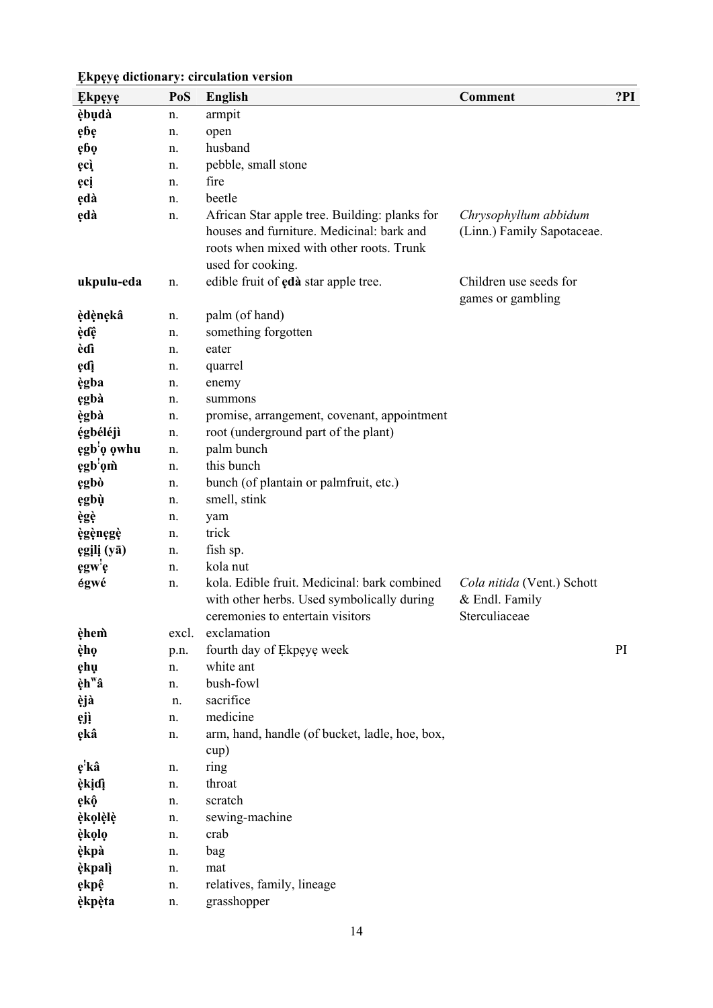| <b>Ekpeye</b>           | PoS   | <b>English</b>                                  | <b>Comment</b>                  | ?PI |
|-------------------------|-------|-------------------------------------------------|---------------------------------|-----|
| èbudà                   | n.    | armpit                                          |                                 |     |
| ębę                     | n.    | open                                            |                                 |     |
| ębę                     | n.    | husband                                         |                                 |     |
| ęcì                     | n.    | pebble, small stone                             |                                 |     |
| ęcį                     | n.    | fire                                            |                                 |     |
| ędà                     | n.    | beetle                                          |                                 |     |
| ędà                     | n.    | African Star apple tree. Building: planks for   | Chrysophyllum abbidum           |     |
|                         |       | houses and furniture. Medicinal: bark and       | (Linn.) Family Sapotaceae.      |     |
|                         |       | roots when mixed with other roots. Trunk        |                                 |     |
|                         |       | used for cooking.                               |                                 |     |
| ukpulu-eda              | n.    | edible fruit of edà star apple tree.            | Children use seeds for          |     |
|                         |       |                                                 | games or gambling               |     |
| èdènekâ                 | n.    | palm (of hand)                                  |                                 |     |
| èdê                     | n.    | something forgotten                             |                                 |     |
| èdì                     | n.    | eater                                           |                                 |     |
| ędį                     | n.    | quarrel                                         |                                 |     |
| ègba                    | n.    | enemy                                           |                                 |     |
| ęgbà                    | n.    | summons                                         |                                 |     |
| ègbà                    | n.    | promise, arrangement, covenant, appointment     |                                 |     |
| égbéléjì                | n.    | root (underground part of the plant)            |                                 |     |
| ęgb <sup>'</sup> o owhu | n.    | palm bunch                                      |                                 |     |
| ęgb'om                  | n.    | this bunch                                      |                                 |     |
| ęgbò                    | n.    | bunch (of plantain or palmfruit, etc.)          |                                 |     |
| ęgbù                    | n.    | smell, stink                                    |                                 |     |
| ègè                     | n.    | yam                                             |                                 |     |
| ègènegè                 | n.    | trick                                           |                                 |     |
| egili (yā)              | n.    | fish sp.                                        |                                 |     |
| ęgw'ę                   | n.    | kola nut                                        |                                 |     |
| égwé                    | n.    | kola. Edible fruit. Medicinal: bark combined    | Cola nitida (Vent.) Schott      |     |
|                         |       | with other herbs. Used symbolically during      | & Endl. Family<br>Sterculiaceae |     |
| èhem                    | excl. | ceremonies to entertain visitors<br>exclamation |                                 |     |
| èhọ                     | p.n.  | fourth day of Ekpeye week                       |                                 | PI  |
| ęhų                     | n.    | white ant                                       |                                 |     |
| èh <sup>w</sup> â       | n.    | bush-fowl                                       |                                 |     |
| èjà                     | n.    | sacrifice                                       |                                 |     |
| ęjį                     | n.    | medicine                                        |                                 |     |
| ękâ                     | n.    | arm, hand, handle (of bucket, ladle, hoe, box,  |                                 |     |
|                         |       | cup)                                            |                                 |     |
| ę'kâ                    | n.    | ring                                            |                                 |     |
| èkidì                   | n.    | throat                                          |                                 |     |
| ękộ                     | n.    | scratch                                         |                                 |     |
| èkolèlè                 | n.    | sewing-machine                                  |                                 |     |
| èkọlọ                   | n.    | crab                                            |                                 |     |
| èkpà                    | n.    | bag                                             |                                 |     |
| èkpalì                  | n.    | mat                                             |                                 |     |
| ękpệ                    | n.    | relatives, family, lineage                      |                                 |     |
| èkpèta                  | n.    | grasshopper                                     |                                 |     |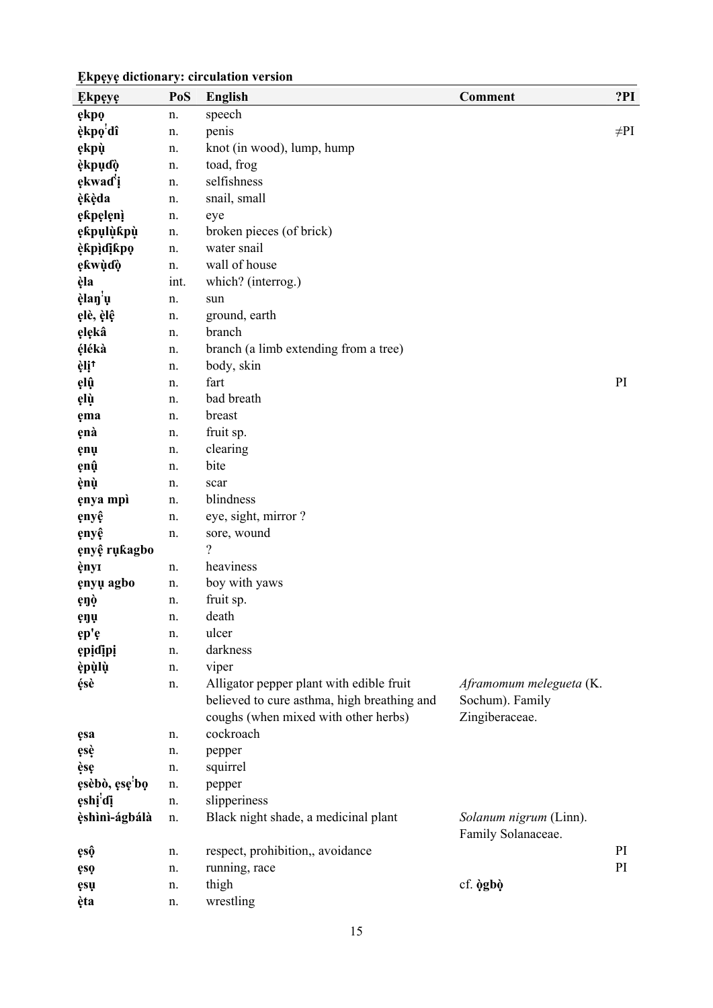| Ekpeye               | PoS  | <b>English</b>                              | <b>Comment</b>                               | ?PI       |
|----------------------|------|---------------------------------------------|----------------------------------------------|-----------|
| ękpo                 | n.   | speech                                      |                                              |           |
| èkpo'dî              | n.   | penis                                       |                                              | $\neq$ PI |
| ękpù                 | n.   | knot (in wood), lump, hump                  |                                              |           |
| èkpuɗò               | n.   | toad, frog                                  |                                              |           |
| ękwad <sup>'</sup> i | n.   | selfishness                                 |                                              |           |
| èkèda                | n.   | snail, small                                |                                              |           |
| ękpęlęnį             | n.   | eye                                         |                                              |           |
| ękpulùkpù            | n.   | broken pieces (of brick)                    |                                              |           |
| èkpìdikpo            | n.   | water snail                                 |                                              |           |
| ękwùɗò               | n.   | wall of house                               |                                              |           |
| èla                  | int. | which? (interrog.)                          |                                              |           |
| èlan <sup>'</sup> u  | n.   | sun                                         |                                              |           |
| ęlè, èlê             | n.   | ground, earth                               |                                              |           |
| ęlękâ                | n.   | branch                                      |                                              |           |
| élékà                | n.   | branch (a limb extending from a tree)       |                                              |           |
| èli <sup>t</sup>     | n.   | body, skin                                  |                                              |           |
| ęlû                  | n.   | fart                                        |                                              | PI        |
| ęlù                  | n.   | bad breath                                  |                                              |           |
| ęma                  | n.   | breast                                      |                                              |           |
| ęnà                  | n.   | fruit sp.                                   |                                              |           |
| ęnų                  | n.   | clearing                                    |                                              |           |
| ęnû                  | n.   | bite                                        |                                              |           |
| ènù                  | n.   | scar                                        |                                              |           |
| enya mpì             | n.   | blindness                                   |                                              |           |
| enyê                 | n.   | eye, sight, mirror?                         |                                              |           |
| enyê                 | n.   | sore, wound                                 |                                              |           |
| ęnyệ rụkagbo         |      | $\gamma$                                    |                                              |           |
| ènyi                 | n.   | heaviness                                   |                                              |           |
| ęnyų agbo            | n.   | boy with yaws                               |                                              |           |
| ęŋò                  | n.   | fruit sp.                                   |                                              |           |
| ęŋų                  | n.   | death                                       |                                              |           |
| ęp'ę                 | n.   | ulcer                                       |                                              |           |
| epidipi              | n.   | darkness                                    |                                              |           |
| èpùlù                | n.   | viper                                       |                                              |           |
| ésè                  | n.   | Alligator pepper plant with edible fruit    | Aframomum melegueta (K.                      |           |
|                      |      | believed to cure asthma, high breathing and | Sochum). Family                              |           |
|                      |      | coughs (when mixed with other herbs)        | Zingiberaceae.                               |           |
| ęsa                  | n.   | cockroach                                   |                                              |           |
| ęsè                  | n.   | pepper                                      |                                              |           |
| èse                  | n.   | squirrel                                    |                                              |           |
| ęsèbò, ęsę'bo        | n.   | pepper                                      |                                              |           |
| ęshį'dį              | n.   | slipperiness                                |                                              |           |
| èshìnì-ágbálà        | n.   | Black night shade, a medicinal plant        | Solanum nigrum (Linn).<br>Family Solanaceae. |           |
| ęsộ                  | n.   | respect, prohibition,, avoidance            |                                              | PI        |
| ęso                  | n.   | running, race                               |                                              | PI        |
| ęsų                  | n.   | thigh                                       | cf. ògbò                                     |           |
| èta                  | n.   | wrestling                                   |                                              |           |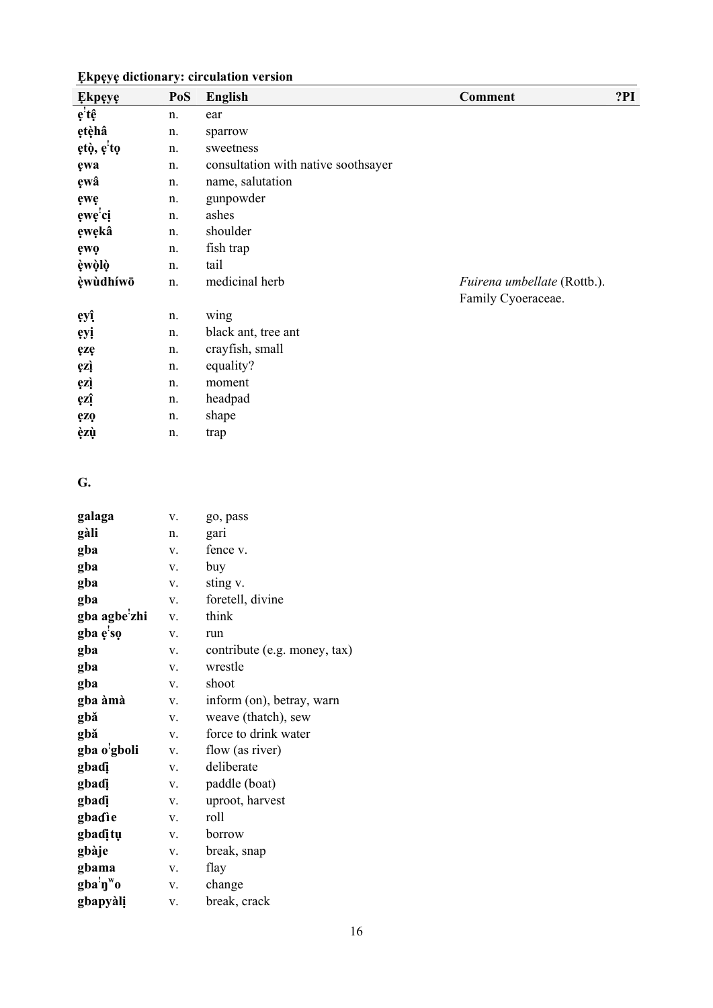| .  .<br><b>Ekpeye</b> | PoS           | <b>English</b>                      | <b>Comment</b>                                    | ?PI |
|-----------------------|---------------|-------------------------------------|---------------------------------------------------|-----|
| ę'tệ                  | n.            | ear                                 |                                                   |     |
| ętèhâ                 | n.            | sparrow                             |                                                   |     |
| ętò, ę'to             | n.            | sweetness                           |                                                   |     |
| ęwa                   | n.            | consultation with native soothsayer |                                                   |     |
| ęwâ                   | n.            | name, salutation                    |                                                   |     |
| ęwę                   | n.            | gunpowder                           |                                                   |     |
| ęwę'ci                | n.            | ashes                               |                                                   |     |
| ęwękâ                 | n.            | shoulder                            |                                                   |     |
| ęwę                   | n.            | fish trap                           |                                                   |     |
| èwòlò                 | n.            | tail                                |                                                   |     |
| èwùdhíwō              | n.            | medicinal herb                      | Fuirena umbellate (Rottb.).<br>Family Cyoeraceae. |     |
| ęyî                   | n.            | wing                                |                                                   |     |
| <b>eyi</b>            | n.            | black ant, tree ant                 |                                                   |     |
| ęzę                   | n.            | crayfish, small                     |                                                   |     |
| ęzį                   | n.            | equality?                           |                                                   |     |
| ęzį                   | n.            | moment                              |                                                   |     |
| ęzî                   | n.            | headpad                             |                                                   |     |
| ęzę                   | n.            | shape                               |                                                   |     |
| èzù                   | n.            | trap                                |                                                   |     |
| G.                    |               |                                     |                                                   |     |
| galaga                | ${\bf V}.$    | go, pass                            |                                                   |     |
| gàli                  | n.            | gari                                |                                                   |     |
| gba                   | V.            | fence v.                            |                                                   |     |
| gba                   | V.            | buy                                 |                                                   |     |
| gba                   | V.            | sting v.                            |                                                   |     |
| gba                   | V.            | foretell, divine                    |                                                   |     |
| gba agbe'zhi          | V.            | think                               |                                                   |     |
| gba e'so              | V.            | run                                 |                                                   |     |
| gba                   | ${\bf V}$ .   | contribute (e.g. money, tax)        |                                                   |     |
| gba                   | V.            | wrestle                             |                                                   |     |
| gba                   | ${\bf V}.$    | shoot                               |                                                   |     |
| gba àmà               | ${\bf V}$ .   | inform (on), betray, warn           |                                                   |     |
| gbǎ                   | V.            | weave (thatch), sew                 |                                                   |     |
| gbǎ                   | ${\bf V}.$    | force to drink water                |                                                   |     |
| gba o'gboli           | ${\bf V}.$    | flow (as river)                     |                                                   |     |
| gbadi                 | $\mathbf{V}.$ | deliberate                          |                                                   |     |
| gbadi                 | ${\bf V}$ .   | paddle (boat)                       |                                                   |     |
| gbadi                 | ${\bf V}$ .   | uproot, harvest                     |                                                   |     |
| gbadie                | $\mathbf{V}.$ | roll                                |                                                   |     |
| gbaditu               | $\mathbf{V}.$ | borrow                              |                                                   |     |
| gbàje                 | ${\bf V}$ .   | break, snap                         |                                                   |     |
| gbama                 | ${\bf V}.$    | flay                                |                                                   |     |
| gba'ny''o             | V.            | change                              |                                                   |     |

gba<sup>.</sup>ŋ"o<br>gbapyàlị **gbapyàlị** v. break, crack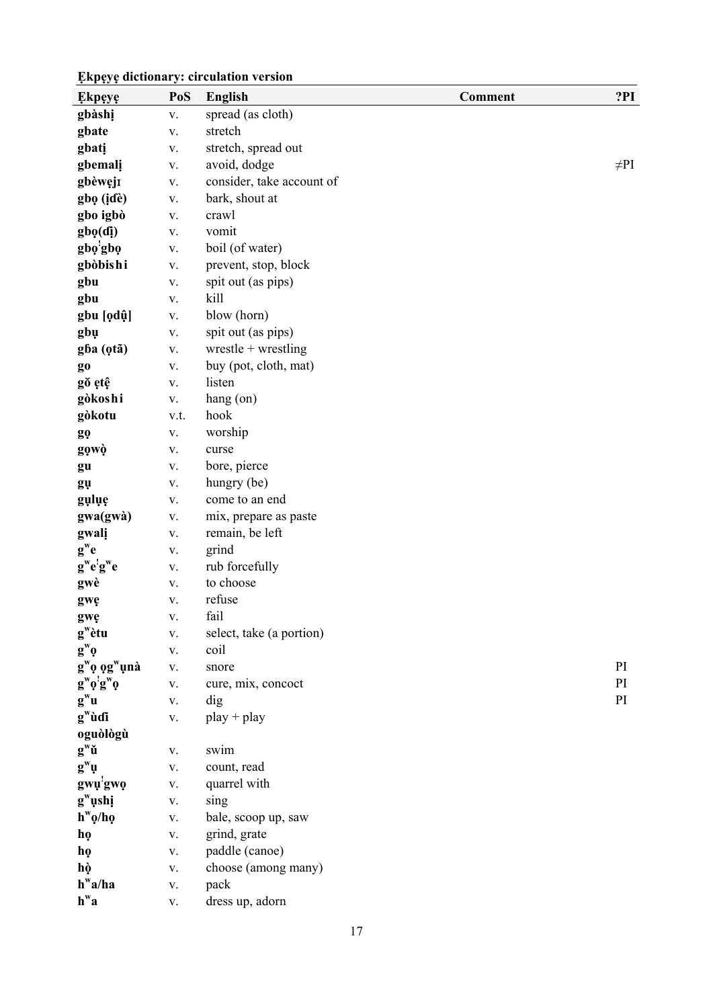| <b>Ekpeye</b>                       | PoS           | <b>English</b>            | <b>Comment</b> | ?PI       |
|-------------------------------------|---------------|---------------------------|----------------|-----------|
| gbàshị                              | V.            | spread (as cloth)         |                |           |
| gbate                               | V.            | stretch                   |                |           |
| gbati                               | V.            | stretch, spread out       |                |           |
| gbemali                             | V.            | avoid, dodge              |                | $\neq$ PI |
| gbèweji                             | ${\bf V}.$    | consider, take account of |                |           |
| gbọ (idè)                           | ${\bf V}.$    | bark, shout at            |                |           |
| gbo igbò                            | ${\bf V}.$    | crawl                     |                |           |
| gbo(di)                             | ${\bf V}.$    | vomit                     |                |           |
| gbo'gbo                             | $\mathbf V$ . | boil (of water)           |                |           |
| gbòbishi                            | V.            | prevent, stop, block      |                |           |
| gbu                                 | V.            | spit out (as pips)        |                |           |
| gbu                                 | V.            | kill                      |                |           |
| gbu [ọdụ̂]                          | V.            | blow (horn)               |                |           |
| gbu                                 | ${\bf V}.$    | spit out (as pips)        |                |           |
| gba (otã)                           | V.            | wrestle + wrestling       |                |           |
| g <sub>0</sub>                      | V.            | buy (pot, cloth, mat)     |                |           |
| gŏ etê                              | ${\bf V}.$    | listen                    |                |           |
| gòkoshi                             | ${\bf V}.$    | hang (on)                 |                |           |
| gòkotu                              | v.t.          | hook                      |                |           |
| gọ                                  | ${\bf V}.$    | worship                   |                |           |
| gọwò                                | V.            | curse                     |                |           |
| gu                                  | V.            | bore, pierce              |                |           |
| gų                                  | V.            | hungry (be)               |                |           |
| gulue                               | V.            | come to an end            |                |           |
| gwa(gwà)                            | V.            | mix, prepare as paste     |                |           |
| gwali                               | ${\bf V}.$    | remain, be left           |                |           |
| $g^we$                              | V.            | grind                     |                |           |
| $g^we'g^we$                         | V.            | rub forcefully            |                |           |
| gwè                                 | V.            | to choose                 |                |           |
| gwę                                 | V.            | refuse                    |                |           |
| gwę                                 | V.            | fail                      |                |           |
| $g^{\mathrm{w}}$ ètu                | V.            | select, take (a portion)  |                |           |
| $\mathbf{g}^{\mathrm{w}}\mathbf{0}$ | V.            | coil                      |                |           |
| $g^w$ ọ ọ $g^w$ ụnà                 | V.            | snore                     |                | PI        |
| $g^w o^! g^w o$                     | V.            | cure, mix, concoct        |                | PI        |
| $g^w u$                             | V.            | dig                       |                | PI        |
| $g^{\mathrm{w}}$ ùdi                | ${\bf V}.$    | $play + play$             |                |           |
| oguòlògù                            |               |                           |                |           |
| $g^w\check{u}$                      | V.            | swim                      |                |           |
| $\mathbf{g}^{\mathrm{w}}\mathbf{u}$ | V.            | count, read               |                |           |
| gwu <sup>'</sup> gwo                | V.            | quarrel with              |                |           |
| $g^w$ ushi                          | $\mathbf{V}.$ | sing                      |                |           |
| $h^{\mathrm{w}}\rho/h\rho$          | ${\bf V}.$    | bale, scoop up, saw       |                |           |
| họ                                  | V.            | grind, grate              |                |           |
| họ                                  | $\mathbf{V}.$ | paddle (canoe)            |                |           |
| hò                                  | ${\bf V}.$    | choose (among many)       |                |           |
| $h^{\mathrm{w}}a/ha$                | ${\bf V}.$    | pack                      |                |           |
| $h^wa$                              | $\mathbf{V}.$ | dress up, adorn           |                |           |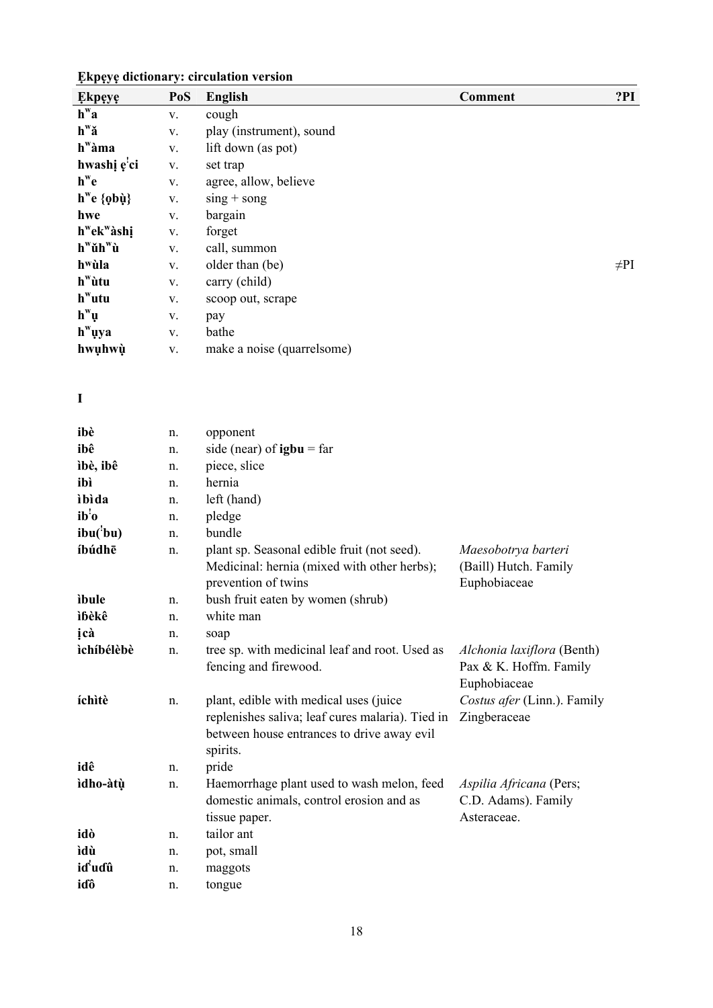| <b>Ekpeye</b>                         | PoS | <b>English</b>             | <b>Comment</b> | ?PI       |
|---------------------------------------|-----|----------------------------|----------------|-----------|
| $h^{\mathrm{w}}a$                     | V.  | cough                      |                |           |
| $h^w \check{a}$                       | V.  | play (instrument), sound   |                |           |
| $h^{\mathrm{w}}\grave{a}$ ma          | V.  | lift down (as pot)         |                |           |
| hwashi e'ci                           | V.  | set trap                   |                |           |
| $h^we$                                | V.  | agree, allow, believe      |                |           |
| $h^w e \{ \rho b \dot{\mu} \}$        | V.  | $\sin g + \cos g$          |                |           |
| hwe                                   | V.  | bargain                    |                |           |
| h <sup>w</sup> ek <sup>w</sup> àshi   | V.  | forget                     |                |           |
| $h^{\mathbf{w}}$ ŭ $h^{\mathbf{w}}$ ù | V.  | call, summon               |                |           |
| h <sup>w</sup> ùla                    | V.  | older than (be)            |                | $\neq$ PI |
| $h^{\mathrm{w}}$ ùtu                  | V.  | carry (child)              |                |           |
| $h^w$ utu                             | V.  | scoop out, scrape          |                |           |
| $h^{\mathrm{w}}\mu$                   | V.  | pay                        |                |           |
| $hw$ uya                              | V.  | bathe                      |                |           |
| hwuhwù                                | V.  | make a noise (quarrelsome) |                |           |

### **I**

| ibè                 | n. | opponent                                                                                                                                             |                                                                      |
|---------------------|----|------------------------------------------------------------------------------------------------------------------------------------------------------|----------------------------------------------------------------------|
| ibê                 | n. | side (near) of $igbu = far$                                                                                                                          |                                                                      |
| ìbè, ibê            | n. | piece, slice                                                                                                                                         |                                                                      |
| ibì                 | n. | hernia                                                                                                                                               |                                                                      |
| ibida               | n. | left (hand)                                                                                                                                          |                                                                      |
| ib'o                | n. | pledge                                                                                                                                               |                                                                      |
| ibu(bu)             | n. | bundle                                                                                                                                               |                                                                      |
| íbúdhē              | n. | plant sp. Seasonal edible fruit (not seed).<br>Medicinal: hernia (mixed with other herbs);<br>prevention of twins                                    | Maesobotrya barteri<br>(Baill) Hutch. Family<br>Euphobiaceae         |
| ibule               | n. | bush fruit eaten by women (shrub)                                                                                                                    |                                                                      |
| ìbèkê               | n. | white man                                                                                                                                            |                                                                      |
| icà                 | n. | soap                                                                                                                                                 |                                                                      |
| ìchíbélèbè          | n. | tree sp. with medicinal leaf and root. Used as<br>fencing and firewood.                                                                              | Alchonia laxiflora (Benth)<br>Pax & K. Hoffm. Family<br>Euphobiaceae |
| íchìtè              | n. | plant, edible with medical uses (juice<br>replenishes saliva; leaf cures malaria). Tied in<br>between house entrances to drive away evil<br>spirits. | Costus afer (Linn.). Family<br>Zingberaceae                          |
| idê                 | n. | pride                                                                                                                                                |                                                                      |
| ìdho-àtù            | n. | Haemorrhage plant used to wash melon, feed<br>domestic animals, control erosion and as<br>tissue paper.                                              | Aspilia Africana (Pers;<br>C.D. Adams). Family<br>Asteraceae.        |
| idò                 | n. | tailor ant                                                                                                                                           |                                                                      |
| ìdù                 | n. | pot, small                                                                                                                                           |                                                                      |
| id <sup>'</sup> udû | n. | maggots                                                                                                                                              |                                                                      |
| iɗô                 | n. | tongue                                                                                                                                               |                                                                      |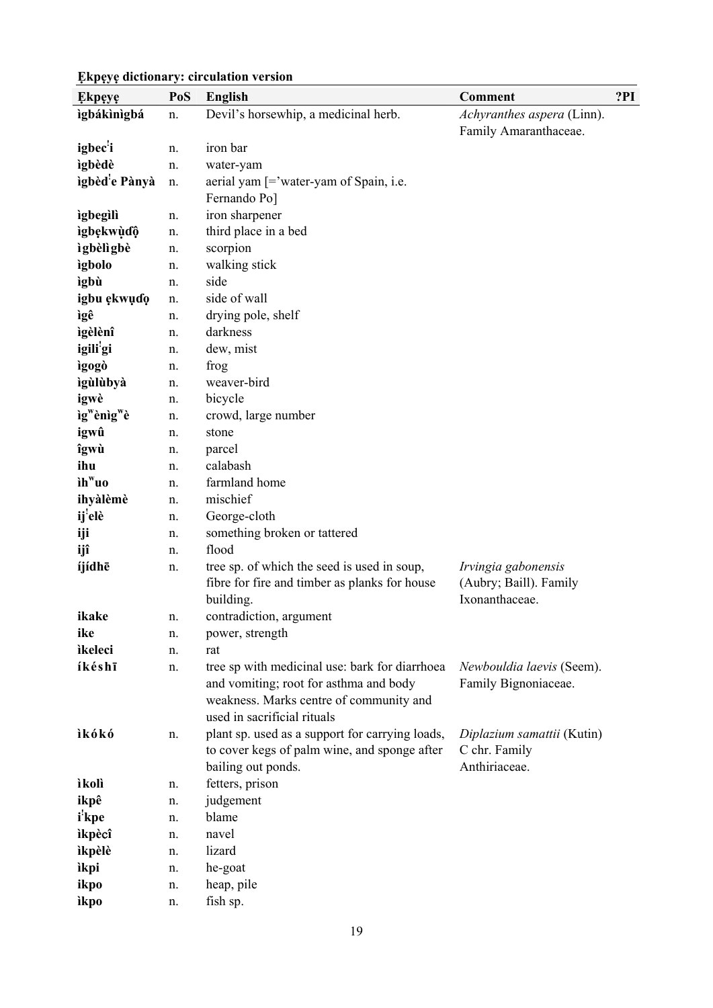#### **Ẹkpẹyẹ PoS English Comment ?PI ìgbákìnìgbá** n. Devil's horsewhip, a medicinal herb. *Achyranthes aspera* (Linn). Family Amaranthaceae. **igbec!** n. iron bar **ìgbèdè** n. water-yam **ìgbèd!** n. aerial yam  $[=$ <sup>'</sup>water-yam of Spain, i.e. Fernando Po] **ìgbegìlì** n. iron sharpener **ìgbẹkwùɗộ̣** n. third place in a bed **ìgbèlìgbè** n. scorpion **ìgbolo** n. walking stick **ìgbù** n. side **igbu ẹkwụɗọ** n. side of wall **ìgê** n. drying pole, shelf **ìgèlènî** n. darkness **igili!** n. dew, mist **ìgogò** n. frog **ìgùlùbyà** n. weaver-bird **igwè** n. bicycle **ìgwènìgwè** n. crowd, large number **igwû** n. stone **îgwù** n. parcel **ihu** n. calabash **ìhwuo** n. farmland home **ihyàlèmè** n. mischief **ij!** n. George-cloth **iji** n. something broken or tattered **ijî** n. flood **íjídhē** n. tree sp. of which the seed is used in soup, fibre for fire and timber as planks for house building. *Irvingia gabonensis*  (Aubry; Baill). Family Ixonanthaceae. **ikake** n. contradiction, argument **ike** n. power, strength **ìkeleci** n. rat **íkéshī** n. tree sp with medicinal use: bark for diarrhoea and vomiting; root for asthma and body weakness. Marks centre of community and used in sacrificial rituals *Newbouldia laevis* (Seem). Family Bignoniaceae. **ìkókó** n. plant sp. used as a support for carrying loads, to cover kegs of palm wine, and sponge after bailing out ponds. *Diplazium samattii* (Kutin) C chr. Family Anthiriaceae. **ìkolì** n. fetters, prison **ikpê** n. judgement **i ! kpe** n. blame **ìkpè**c**î** n. navel **ìkpèlè** n. lizard **ìkpi** n. he-goat **ikpo** n. heap, pile **ìkpo** n. fish sp.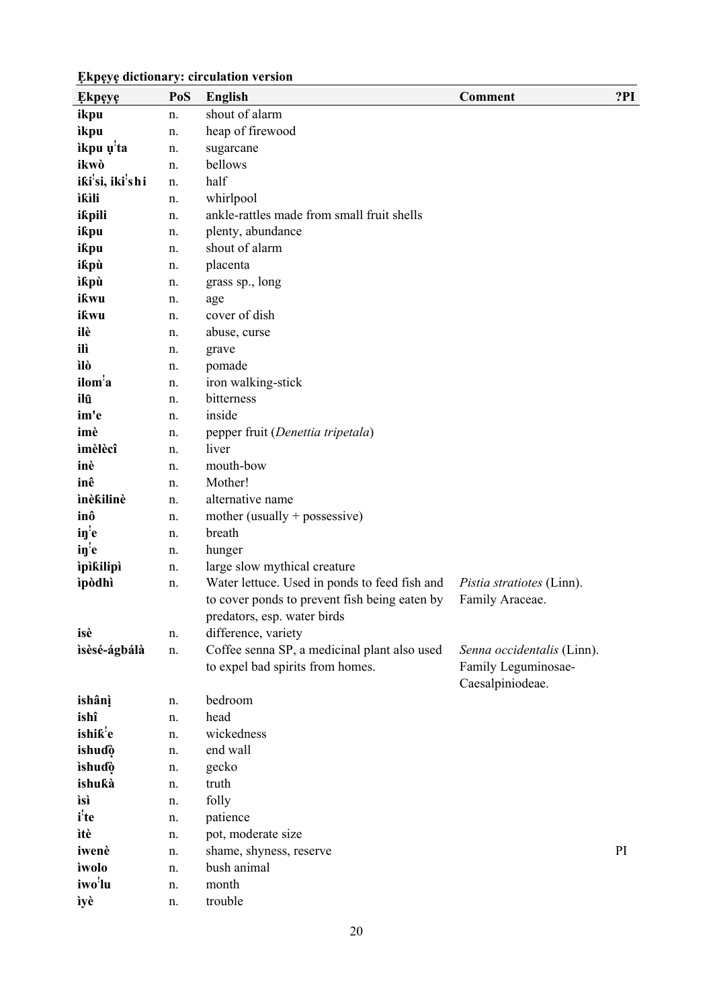| <b>Ekpeye</b>                             | PoS | <b>English</b>                                                                                 | Comment                                             | ?PI |  |  |
|-------------------------------------------|-----|------------------------------------------------------------------------------------------------|-----------------------------------------------------|-----|--|--|
| ikpu                                      | n.  | shout of alarm                                                                                 |                                                     |     |  |  |
| ìkpu                                      | n.  | heap of firewood                                                                               |                                                     |     |  |  |
| ikpu u <sup>'</sup> ta                    | n.  | sugarcane                                                                                      |                                                     |     |  |  |
| ikwò                                      | n.  | bellows                                                                                        |                                                     |     |  |  |
| iki <sup>'</sup> si, iki <sup>'</sup> shi | n.  | half                                                                                           |                                                     |     |  |  |
| ìkìli                                     | n.  | whirlpool                                                                                      |                                                     |     |  |  |
| ikpili                                    | n.  | ankle-rattles made from small fruit shells                                                     |                                                     |     |  |  |
| ikpu                                      | n.  | plenty, abundance                                                                              |                                                     |     |  |  |
| ikpu                                      | n.  | shout of alarm                                                                                 |                                                     |     |  |  |
| ikpù                                      | n.  | placenta                                                                                       |                                                     |     |  |  |
| ìkpù                                      | n.  | grass sp., long                                                                                |                                                     |     |  |  |
| ikwu                                      | n.  | age                                                                                            |                                                     |     |  |  |
| ikwu                                      | n.  | cover of dish                                                                                  |                                                     |     |  |  |
| ilè                                       | n.  | abuse, curse                                                                                   |                                                     |     |  |  |
| ilì                                       | n.  | grave                                                                                          |                                                     |     |  |  |
| ìlò                                       | n.  | pomade                                                                                         |                                                     |     |  |  |
| ilom <sup>'</sup> a                       | n.  | iron walking-stick                                                                             |                                                     |     |  |  |
| ilû                                       | n.  | bitterness                                                                                     |                                                     |     |  |  |
| im'e                                      | n.  | inside                                                                                         |                                                     |     |  |  |
| imè                                       | n.  | pepper fruit (Denettia tripetala)                                                              |                                                     |     |  |  |
| ìmèlècî                                   | n.  | liver                                                                                          |                                                     |     |  |  |
| inè                                       | n.  | mouth-bow                                                                                      |                                                     |     |  |  |
| inê                                       | n.  | Mother!                                                                                        |                                                     |     |  |  |
| ìnèkilinè                                 | n.  | alternative name                                                                               |                                                     |     |  |  |
| inô                                       | n.  | mother (usually $+$ possessive)                                                                |                                                     |     |  |  |
| $i\nu$ <sup>'</sup> e                     | n.  | breath                                                                                         |                                                     |     |  |  |
| in <sup>1</sup> e                         | n.  | hunger                                                                                         |                                                     |     |  |  |
| ipikilipi                                 | n.  | large slow mythical creature                                                                   |                                                     |     |  |  |
| ìpòdhì                                    | n.  | Water lettuce. Used in ponds to feed fish and<br>to cover ponds to prevent fish being eaten by | <i>Pistia stratiotes</i> (Linn).<br>Family Araceae. |     |  |  |
|                                           |     | predators, esp. water birds                                                                    |                                                     |     |  |  |
| isè                                       |     | difference, variety                                                                            |                                                     |     |  |  |
| isèsé-ágbálà                              | n.  | Coffee senna SP, a medicinal plant also used                                                   |                                                     |     |  |  |
|                                           | n.  | to expel bad spirits from homes.                                                               | Senna occidentalis (Linn).<br>Family Leguminosae-   |     |  |  |
|                                           |     |                                                                                                | Caesalpiniodeae.                                    |     |  |  |
| ishânì                                    | n.  | bedroom                                                                                        |                                                     |     |  |  |
| ishî                                      | n.  | head                                                                                           |                                                     |     |  |  |
| ishik'e                                   | n.  | wickedness                                                                                     |                                                     |     |  |  |
| ishuɗò                                    | n.  | end wall                                                                                       |                                                     |     |  |  |
| ishuɗò                                    | n.  | gecko                                                                                          |                                                     |     |  |  |
| ishukà                                    | n.  | truth                                                                                          |                                                     |     |  |  |
| ìsì                                       | n.  | folly                                                                                          |                                                     |     |  |  |
| <i>i</i> <sup>'</sup> te                  | n.  | patience                                                                                       |                                                     |     |  |  |
| ìtè                                       | n.  | pot, moderate size                                                                             |                                                     |     |  |  |
| iwenè                                     | n.  | shame, shyness, reserve                                                                        |                                                     | PI  |  |  |
| ìwolo                                     | n.  | bush animal                                                                                    |                                                     |     |  |  |
| iwo <sup>'</sup> lu                       | n.  | month                                                                                          |                                                     |     |  |  |
| ìyè                                       | n.  | trouble                                                                                        |                                                     |     |  |  |
|                                           |     |                                                                                                |                                                     |     |  |  |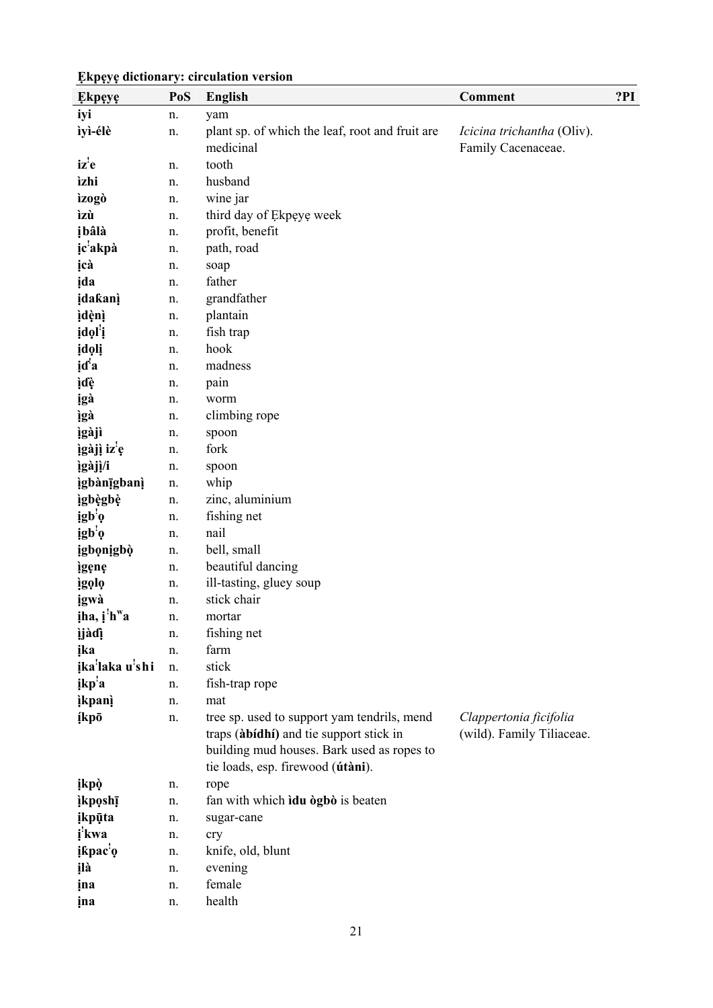| <b>Ekpeye</b>           | PoS | <b>English</b>                                                                                                                                                            | Comment                                                 | ?PI |
|-------------------------|-----|---------------------------------------------------------------------------------------------------------------------------------------------------------------------------|---------------------------------------------------------|-----|
| iyi                     | n.  | yam                                                                                                                                                                       |                                                         |     |
| ìyì-élè                 | n.  | plant sp. of which the leaf, root and fruit are<br>medicinal                                                                                                              | <i>Icicina trichantha</i> (Oliv).<br>Family Cacenaceae. |     |
| iz'e                    | n.  | tooth                                                                                                                                                                     |                                                         |     |
| ìzhi                    | n.  | husband                                                                                                                                                                   |                                                         |     |
| ìzogò                   | n.  | wine jar                                                                                                                                                                  |                                                         |     |
| ìzù                     | n.  | third day of Ekpeye week                                                                                                                                                  |                                                         |     |
| įbâlà                   | n.  | profit, benefit                                                                                                                                                           |                                                         |     |
| ic <sup>'</sup> akpà    | n.  | path, road                                                                                                                                                                |                                                         |     |
| įcà                     | n.  | soap                                                                                                                                                                      |                                                         |     |
| jda                     | n.  | father                                                                                                                                                                    |                                                         |     |
| idakanì                 | n.  | grandfather                                                                                                                                                               |                                                         |     |
| ìdènì                   | n.  | plantain                                                                                                                                                                  |                                                         |     |
| įdol'į                  | n.  | fish trap                                                                                                                                                                 |                                                         |     |
| įdolį                   | n.  | hook                                                                                                                                                                      |                                                         |     |
| id <sup>'</sup> a       | n.  | madness                                                                                                                                                                   |                                                         |     |
| įďę                     | n.  | pain                                                                                                                                                                      |                                                         |     |
| igà                     | n.  | worm                                                                                                                                                                      |                                                         |     |
| ìgà                     | n.  | climbing rope                                                                                                                                                             |                                                         |     |
| ìgàjì                   | n.  | spoon                                                                                                                                                                     |                                                         |     |
| ìgàjì iz <sup>'</sup> e | n.  | fork                                                                                                                                                                      |                                                         |     |
| ìgàjì/i                 | n.  | spoon                                                                                                                                                                     |                                                         |     |
| <i>igbàn</i> igbani     | n.  | whip                                                                                                                                                                      |                                                         |     |
| ìgbègbè                 | n.  | zinc, aluminium                                                                                                                                                           |                                                         |     |
| igb <sup>'</sup> o      | n.  | fishing net                                                                                                                                                               |                                                         |     |
| igb <sup>'</sup> o      | n.  | nail                                                                                                                                                                      |                                                         |     |
| igbonigbò               | n.  | bell, small                                                                                                                                                               |                                                         |     |
| igene                   | n.  | beautiful dancing                                                                                                                                                         |                                                         |     |
| ìgọlọ                   | n.  | ill-tasting, gluey soup                                                                                                                                                   |                                                         |     |
| igwà                    | n.  | stick chair                                                                                                                                                               |                                                         |     |
| iha, i'h <sup>w</sup> a | n.  | mortar                                                                                                                                                                    |                                                         |     |
| ìjàdì                   | n.  | fishing net                                                                                                                                                               |                                                         |     |
| ika                     | n.  | farm                                                                                                                                                                      |                                                         |     |
| ika'laka u'shi          | n.  | stick                                                                                                                                                                     |                                                         |     |
| ikp <sup>'</sup> a      | n.  | fish-trap rope                                                                                                                                                            |                                                         |     |
| <i>ikpani</i>           | n.  | mat                                                                                                                                                                       |                                                         |     |
| <b>ikpō</b>             | n.  | tree sp. used to support yam tendrils, mend<br>traps (àbidhi) and tie support stick in<br>building mud houses. Bark used as ropes to<br>tie loads, esp. firewood (útàni). | Clappertonia ficifolia<br>(wild). Family Tiliaceae.     |     |
| ikpò                    | n.  | rope                                                                                                                                                                      |                                                         |     |
| <i>ikposhī</i>          | n.  | fan with which idu ògbò is beaten                                                                                                                                         |                                                         |     |
| <i>ikpūta</i>           | n.  | sugar-cane                                                                                                                                                                |                                                         |     |
| <i>i</i> 'kwa           | n.  | cry                                                                                                                                                                       |                                                         |     |
| įkpac <sup>'</sup> ę    | n.  | knife, old, blunt                                                                                                                                                         |                                                         |     |
| įlà                     | n.  | evening                                                                                                                                                                   |                                                         |     |
| ina                     | n.  | female                                                                                                                                                                    |                                                         |     |
| ina                     | n.  | health                                                                                                                                                                    |                                                         |     |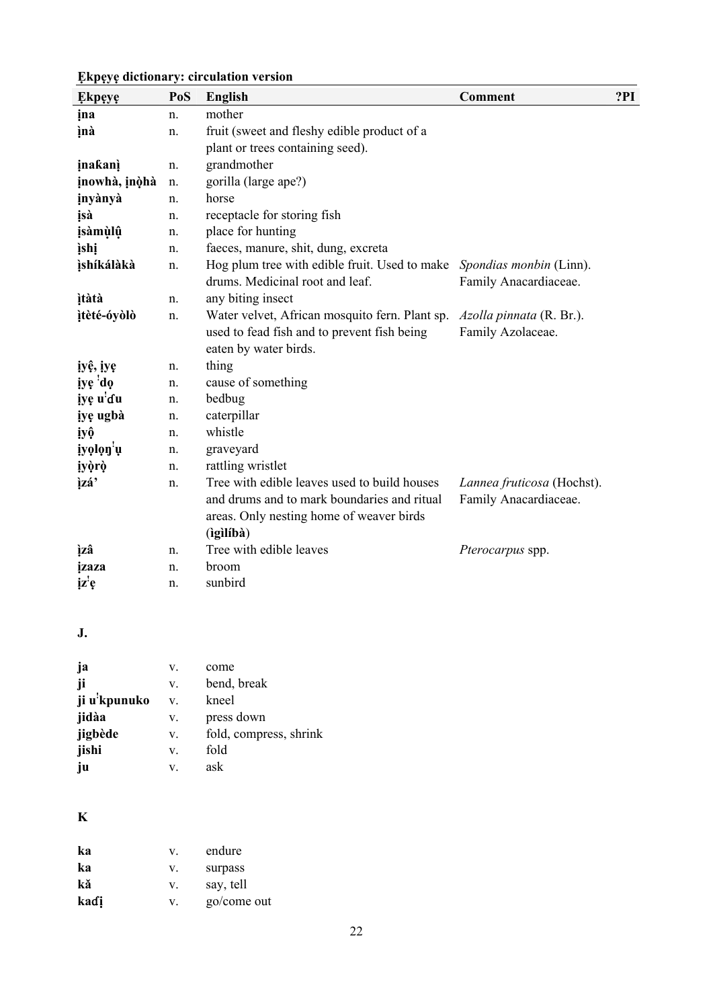| <b>Ekpeye</b>            | PoS | <b>English</b>                                                                          | <b>Comment</b>                                   | ?PI |
|--------------------------|-----|-----------------------------------------------------------------------------------------|--------------------------------------------------|-----|
| ina                      | n.  | mother                                                                                  |                                                  |     |
| ìnà                      | n.  | fruit (sweet and fleshy edible product of a                                             |                                                  |     |
|                          |     | plant or trees containing seed).                                                        |                                                  |     |
| inakanì                  | n.  | grandmother                                                                             |                                                  |     |
| įnowhà, įnòhà            | n.  | gorilla (large ape?)                                                                    |                                                  |     |
| inyànyà                  | n.  | horse                                                                                   |                                                  |     |
| įsà                      | n.  | receptacle for storing fish                                                             |                                                  |     |
| <i>isàmùlû</i>           | n.  | place for hunting                                                                       |                                                  |     |
| <i>ishi</i>              | n.  | faeces, manure, shit, dung, excreta                                                     |                                                  |     |
| ìshíkálàkà               | n.  | Hog plum tree with edible fruit. Used to make<br>drums. Medicinal root and leaf.        | Spondias monbin (Linn).<br>Family Anacardiaceae. |     |
| <i>itàtà</i>             | n.  | any biting insect                                                                       |                                                  |     |
| ìtèté-óyòlò              | n.  | Water velvet, African mosquito fern. Plant sp.                                          | Azolla pinnata (R. Br.).                         |     |
|                          |     | used to fead fish and to prevent fish being<br>eaten by water birds.                    | Family Azolaceae.                                |     |
| iyê, iye                 | n.  | thing                                                                                   |                                                  |     |
| iye 'do                  | n.  | cause of something                                                                      |                                                  |     |
| iye u'du                 | n.  | bedbug                                                                                  |                                                  |     |
| iye ugbà                 | n.  | caterpillar                                                                             |                                                  |     |
| iyộ                      | n.  | whistle                                                                                 |                                                  |     |
| iyolon'u                 | n.  | graveyard                                                                               |                                                  |     |
| iyòrò                    | n.  | rattling wristlet                                                                       |                                                  |     |
| ìzá'                     | n.  | Tree with edible leaves used to build houses                                            | Lannea fruticosa (Hochst).                       |     |
|                          |     | and drums and to mark boundaries and ritual<br>areas. Only nesting home of weaver birds | Family Anacardiaceae.                            |     |
|                          |     | (igilíbà)                                                                               |                                                  |     |
| ìzâ                      | n.  | Tree with edible leaves                                                                 | Pterocarpus spp.                                 |     |
| izaza                    | n.  | broom                                                                                   |                                                  |     |
| $i\mathbf{z}'\mathbf{e}$ | n.  | sunbird                                                                                 |                                                  |     |

**J.** 

| ja                        | V. | come                   |
|---------------------------|----|------------------------|
| ji                        | V. | bend, break            |
| ji u <sup>'</sup> kpunuko | V. | kneel                  |
| jidàa                     | V. | press down             |
| jigbède                   | V. | fold, compress, shrink |
| jishi                     | V. | fold                   |
| ju                        | V. | ask                    |

### **K**

| ka   | V  | endure      |
|------|----|-------------|
| ka   | V. | surpass     |
| kă   | V. | say, tell   |
| kadi | V  | go/come out |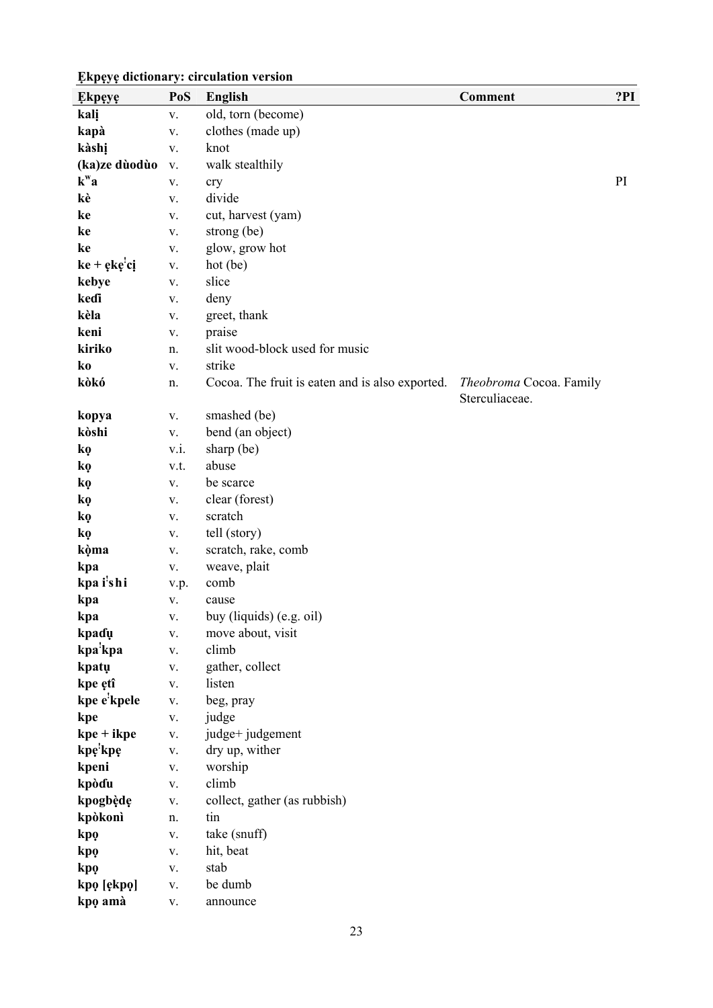| <b>Ekpeye</b>              | PoS           | <b>English</b>                                  | Comment                 | ?PI |
|----------------------------|---------------|-------------------------------------------------|-------------------------|-----|
| kalį                       | V.            | old, torn (become)                              |                         |     |
| kapà                       | ${\bf V}.$    | clothes (made up)                               |                         |     |
| kàshị                      | V.            | knot                                            |                         |     |
| (ka)ze dùodùo              | V.            | walk stealthily                                 |                         |     |
| $k^{\mathbf{w}}\mathbf{a}$ | V.            | cry                                             |                         | PI  |
| kè                         | V.            | divide                                          |                         |     |
| ke                         | V.            | cut, harvest (yam)                              |                         |     |
| ke                         | ${\bf V}$ .   | strong (be)                                     |                         |     |
| ke                         | V.            | glow, grow hot                                  |                         |     |
| $ke + eke'ci$              | ${\bf V}.$    | hot (be)                                        |                         |     |
| kebye                      | V.            | slice                                           |                         |     |
| kedi                       | V.            | deny                                            |                         |     |
| kèla                       | ${\bf V}.$    | greet, thank                                    |                         |     |
| keni                       | V.            | praise                                          |                         |     |
| kiriko                     | n.            | slit wood-block used for music                  |                         |     |
| ko                         | V.            | strike                                          |                         |     |
| kòkó                       | n.            | Cocoa. The fruit is eaten and is also exported. | Theobroma Cocoa. Family |     |
|                            |               |                                                 | Sterculiaceae.          |     |
| kopya                      | V.            | smashed (be)                                    |                         |     |
| kòshi                      | V.            | bend (an object)                                |                         |     |
| kọ                         | $V.\dot{1}$ . | sharp (be)                                      |                         |     |
| ko                         | v.t.          | abuse                                           |                         |     |
| kọ                         | V.            | be scarce                                       |                         |     |
| kọ                         | V.            | clear (forest)                                  |                         |     |
| kọ                         | V.            | scratch                                         |                         |     |
| kọ                         | ${\bf V}$ .   | tell (story)                                    |                         |     |
| kòma                       | V.            | scratch, rake, comb                             |                         |     |
| kpa                        | V.            | weave, plait                                    |                         |     |
| kpa i'shi                  | v.p.          | comb                                            |                         |     |
| kpa                        | V.            | cause                                           |                         |     |
| kpa                        | V.            | buy (liquids) (e.g. oil)                        |                         |     |
| kpadų                      | ${\bf V}.$    | move about, visit                               |                         |     |
| kpa <sup>'</sup> kpa       | $\mathbf V$ . | climb                                           |                         |     |
| kpatų                      | V.            | gather, collect                                 |                         |     |
| kpe ętî                    | $\mathbf{V}.$ | listen                                          |                         |     |
| kpe e'kpele                | ${\bf V}.$    | beg, pray                                       |                         |     |
| kpe                        | ${\bf V}.$    | judge                                           |                         |     |
| $kpe + ikpe$               | ${\bf V}.$    | judge+ judgement                                |                         |     |
| kpę'kpę                    | ${\bf V}$ .   | dry up, wither                                  |                         |     |
| kpeni                      | V.            | worship                                         |                         |     |
| kpòdu                      | ${\bf V}.$    | climb                                           |                         |     |
| kpogbède                   | ${\bf V}.$    | collect, gather (as rubbish)                    |                         |     |
| kpòkonì                    | n.            | tin                                             |                         |     |
| kpo                        | ${\bf V}.$    | take (snuff)                                    |                         |     |
| kpo                        | ${\bf V}.$    | hit, beat                                       |                         |     |
| kpo                        | V.            | stab                                            |                         |     |
| kpo [ękpo]                 | ${\bf V}.$    | be dumb                                         |                         |     |
| kpo amà                    | V.            | announce                                        |                         |     |
|                            |               |                                                 |                         |     |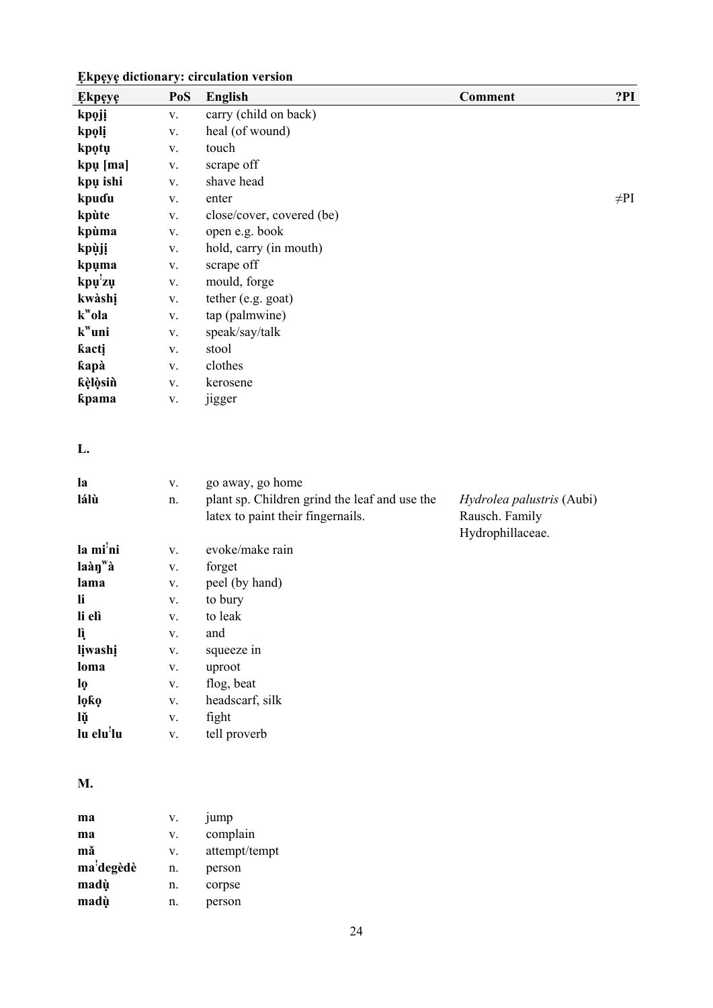| <b>Ekpeye</b>          | PoS           | <b>English</b>                                | <b>Comment</b>                     | ?PI       |
|------------------------|---------------|-----------------------------------------------|------------------------------------|-----------|
| kpoji                  | V.            | carry (child on back)                         |                                    |           |
| kpoli                  | ${\bf V}.$    | heal (of wound)                               |                                    |           |
| kpotų                  | ${\bf V}.$    | touch                                         |                                    |           |
| kpų [ma]               | V.            | scrape off                                    |                                    |           |
| kpų ishi               | ${\bf V}.$    | shave head                                    |                                    |           |
| kpuɗu                  | ${\bf V}.$    | enter                                         |                                    | $\neq$ PI |
| kpùte                  | V.            | close/cover, covered (be)                     |                                    |           |
| kpùma                  | ${\bf V}.$    | open e.g. book                                |                                    |           |
| kpùji                  | ${\bf V}.$    | hold, carry (in mouth)                        |                                    |           |
| kpuma                  | ${\bf V}.$    | scrape off                                    |                                    |           |
| kpų'zų                 | ${\bf V}.$    | mould, forge                                  |                                    |           |
| kwàshị                 | ${\bf V}.$    | tether (e.g. goat)                            |                                    |           |
| $k^{\mathrm{w}}$ ola   | V.            | tap (palmwine)                                |                                    |           |
| $k^w$ uni              | ${\bf V}.$    | speak/say/talk                                |                                    |           |
| kacti                  | ${\bf V}.$    | stool                                         |                                    |           |
| kapà                   | V.            | clothes                                       |                                    |           |
| kèlòsin                | ${\bf V}.$    | kerosene                                      |                                    |           |
| kpama                  | ${\bf V}.$    | jigger                                        |                                    |           |
| L.                     |               |                                               |                                    |           |
| la                     | ${\bf V}.$    | go away, go home                              |                                    |           |
| lálù                   | n.            | plant sp. Children grind the leaf and use the | Hydrolea palustris (Aubi)          |           |
|                        |               | latex to paint their fingernails.             | Rausch. Family<br>Hydrophillaceae. |           |
| la mi'ni               | ${\bf V}.$    | evoke/make rain                               |                                    |           |
| laàn <sup>w</sup> à    | ${\bf V}.$    | forget                                        |                                    |           |
| lama                   | V.            | peel (by hand)                                |                                    |           |
| li                     | ${\bf V}.$    | to bury                                       |                                    |           |
| li elì                 | V.            | to leak                                       |                                    |           |
| lì                     | ${\bf V}.$    | and                                           |                                    |           |
| lįwashį                | ${\bf V}.$    | squeeze in                                    |                                    |           |
| loma                   | V.            | uproot                                        |                                    |           |
| lọ                     | $\mathbf{V}.$ | flog, beat                                    |                                    |           |
| lọkọ                   | $\mathbf{V}.$ | headscarf, silk                               |                                    |           |
| lŭ                     | $\mathbf{V}.$ | fight                                         |                                    |           |
| lu elu <sup>!</sup> lu | ${\bf V}.$    | tell proverb                                  |                                    |           |
|                        |               |                                               |                                    |           |

### **M.**

| ma        | V. | jump          |
|-----------|----|---------------|
| ma        | V. | complain      |
| mă        | V. | attempt/tempt |
| ma'degèdè | n. | person        |
| madù      | n. | corpse        |
| madù      | n. | person        |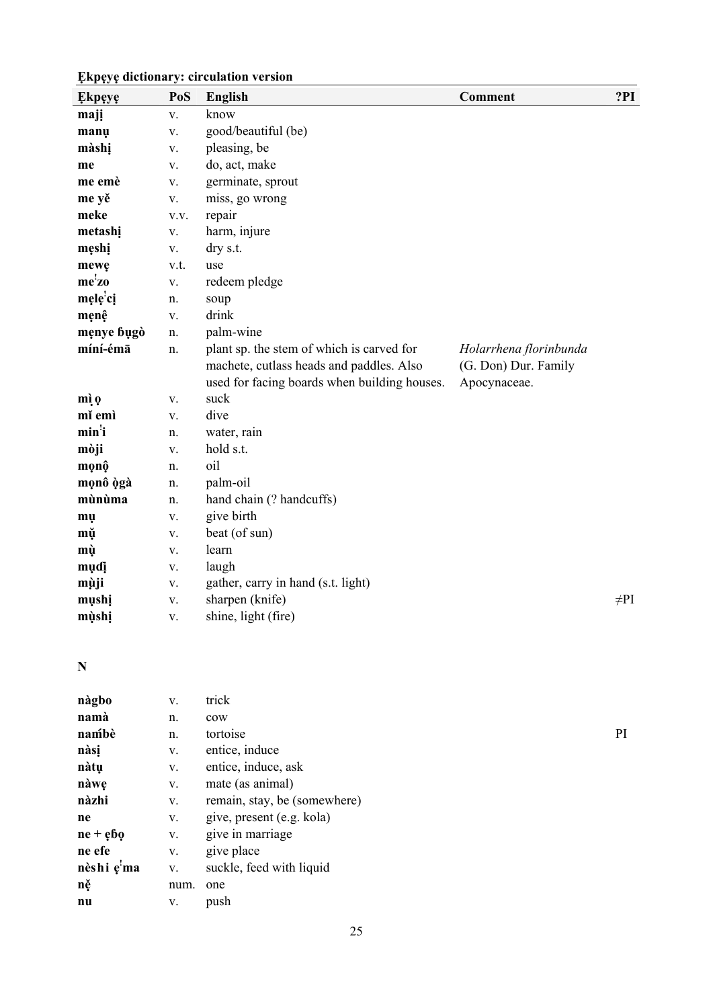| <b>Ekpeye</b>      | PoS           | <b>English</b>                                                                                                                        | Comment                                                        | ?PI       |
|--------------------|---------------|---------------------------------------------------------------------------------------------------------------------------------------|----------------------------------------------------------------|-----------|
| majį               | V.            | know                                                                                                                                  |                                                                |           |
| manų               | V.            | good/beautiful (be)                                                                                                                   |                                                                |           |
| màshị              | V.            | pleasing, be                                                                                                                          |                                                                |           |
| me                 | V.            | do, act, make                                                                                                                         |                                                                |           |
| me emè             | V.            | germinate, sprout                                                                                                                     |                                                                |           |
| me yě              | V.            | miss, go wrong                                                                                                                        |                                                                |           |
| meke               | V.V.          | repair                                                                                                                                |                                                                |           |
| metashi            | ${\bf V}$ .   | harm, injure                                                                                                                          |                                                                |           |
| męshį              | V.            | dry s.t.                                                                                                                              |                                                                |           |
| mewę               | v.t.          | use                                                                                                                                   |                                                                |           |
| me <sup>!</sup> zo | V.            | redeem pledge                                                                                                                         |                                                                |           |
| męlę'cį            | n.            | soup                                                                                                                                  |                                                                |           |
| męnę               | $\mathbf{V}.$ | drink                                                                                                                                 |                                                                |           |
| męnye bugò         | n.            | palm-wine                                                                                                                             |                                                                |           |
| míní-émā           | n.            | plant sp. the stem of which is carved for<br>machete, cutlass heads and paddles. Also<br>used for facing boards when building houses. | Holarrhena florinbunda<br>(G. Don) Dur. Family<br>Apocynaceae. |           |
| mì o               | V.            | suck                                                                                                                                  |                                                                |           |
| mĭ emì             | V.            | dive                                                                                                                                  |                                                                |           |
| min <sup>'</sup> i | n.            | water, rain                                                                                                                           |                                                                |           |
| mòji               | V.            | hold s.t.                                                                                                                             |                                                                |           |
| mọnộ               | n.            | oil                                                                                                                                   |                                                                |           |
| mọnô ògà           | n.            | palm-oil                                                                                                                              |                                                                |           |
| mùnùma             | n.            | hand chain (? handcuffs)                                                                                                              |                                                                |           |
| mų                 | V.            | give birth                                                                                                                            |                                                                |           |
| mǔ                 | V.            | beat (of sun)                                                                                                                         |                                                                |           |
| mù                 | V.            | learn                                                                                                                                 |                                                                |           |
| muɗi               | V.            | laugh                                                                                                                                 |                                                                |           |
| mùji               | V.            | gather, carry in hand (s.t. light)                                                                                                    |                                                                |           |
| mụshị              | V.            | sharpen (knife)                                                                                                                       |                                                                | $\neq$ PI |
| mùshị              | V.            | shine, light (fire)                                                                                                                   |                                                                |           |

### **N**

| nàgbo        | V.   | trick                        |    |
|--------------|------|------------------------------|----|
| namà         | n.   | cow                          |    |
| nambè        | n.   | tortoise                     | PI |
| nàsi         | V.   | entice, induce               |    |
| nàtụ         | V.   | entice, induce, ask          |    |
| nàwę         | V.   | mate (as animal)             |    |
| nàzhi        | V.   | remain, stay, be (somewhere) |    |
| ne           | V.   | give, present (e.g. kola)    |    |
| $ne + e$ $6$ | V.   | give in marriage             |    |
| ne efe       | V.   | give place                   |    |
| nèshi e'ma   | V.   | suckle, feed with liquid     |    |
| ně           | num. | one                          |    |
| nu           | V.   | push                         |    |
|              |      |                              |    |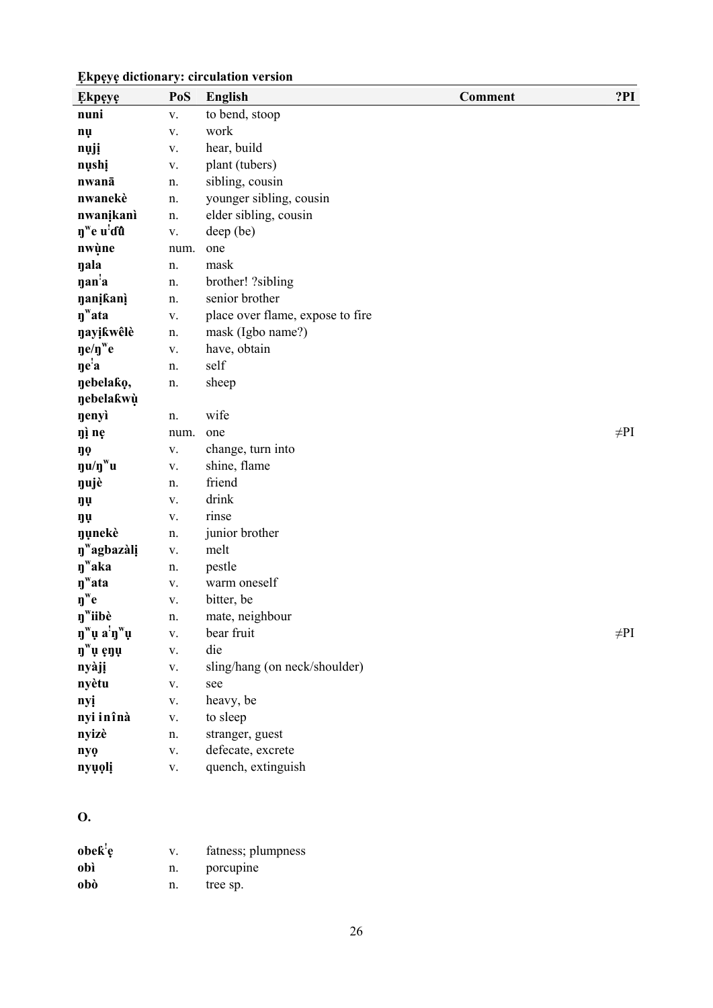| <b>Ekpeye</b>                                                                        | PoS           | English                          | Comment | ?PI       |
|--------------------------------------------------------------------------------------|---------------|----------------------------------|---------|-----------|
| nuni                                                                                 | V.            | to bend, stoop                   |         |           |
| nų                                                                                   | ${\bf V}.$    | work                             |         |           |
| nųjį                                                                                 | ${\bf V}.$    | hear, build                      |         |           |
| nushi                                                                                | ${\bf V}.$    | plant (tubers)                   |         |           |
| nwanā                                                                                | n.            | sibling, cousin                  |         |           |
| nwanekè                                                                              | n.            | younger sibling, cousin          |         |           |
| nwanikanì                                                                            | n.            | elder sibling, cousin            |         |           |
| n <sup>w</sup> e u'dû                                                                | ${\bf V}.$    | deep (be)                        |         |           |
| nwùne                                                                                | num.          | one                              |         |           |
| nala                                                                                 | n.            | mask                             |         |           |
| nan <sup>'</sup> a                                                                   | n.            | brother! ?sibling                |         |           |
| <b>nanikani</b>                                                                      | n.            | senior brother                   |         |           |
| $\eta^{\mathrm{w}}$ ata                                                              | V.            | place over flame, expose to fire |         |           |
| nayikwêlè                                                                            | n.            | mask (Igbo name?)                |         |           |
| $\mathbf{g}e/\mathbf{g}^{\mathrm{w}}e$                                               | ${\bf V}.$    | have, obtain                     |         |           |
| $\mathbf{e}^{\mathbf{i}}\mathbf{a}$                                                  | n.            | self                             |         |           |
| nebelako,                                                                            | n.            | sheep                            |         |           |
| nebelakwù                                                                            |               |                                  |         |           |
| nenyì                                                                                | n.            | wife                             |         |           |
| ŋì nẹ                                                                                | num.          | one                              |         | $\neq$ PI |
| ŋọ                                                                                   | ${\bf V}.$    | change, turn into                |         |           |
| $\mathbf{u}/\mathbf{n}^{\mathrm{w}}\mathbf{u}$                                       | V.            | shine, flame                     |         |           |
| nujè                                                                                 | n.            | friend                           |         |           |
| ŋụ                                                                                   | ${\bf V}.$    | drink                            |         |           |
| ŋụ                                                                                   | ${\bf V}.$    | rinse                            |         |           |
| nunekè                                                                               | n.            | junior brother                   |         |           |
| n <sup>w</sup> agbazàli                                                              | ${\bf V}.$    | melt                             |         |           |
| $\eta^w$ aka                                                                         | n.            | pestle                           |         |           |
| $\mathbf{y}^{\mathrm{w}}$ ata                                                        | V.            | warm oneself                     |         |           |
| $\mathbf{\eta}^{\mathrm{w}}\mathbf{e}$                                               | ${\bf V}.$    | bitter, be                       |         |           |
| n <sup>w</sup> iibè                                                                  | n.            | mate, neighbour                  |         |           |
| $\mathbf{\eta}^{\mathrm{w}}\mathbf{\mu}$ a' $\mathbf{\eta}^{\mathrm{w}}\mathbf{\mu}$ | V.            | bear fruit                       |         | $\neq$ PI |
| $\mathbf{n}^{\mathrm{w}}$ ų ęnų                                                      | $\mathbf V$ . | die                              |         |           |
| nyàjị                                                                                | V.            | sling/hang (on neck/shoulder)    |         |           |
| nyètu                                                                                | V.            | see                              |         |           |
| nyį                                                                                  | V.            | heavy, be                        |         |           |
| nyi inînà                                                                            | V.            | to sleep                         |         |           |
| nyizè                                                                                | n.            | stranger, guest                  |         |           |
| nyo                                                                                  | V.            | defecate, excrete                |         |           |
| nyụọlị                                                                               | V.            | quench, extinguish               |         |           |

### **O.**

| obek <sup>!</sup> e | V. | fatness; plumpness |
|---------------------|----|--------------------|
| obì                 | n. | porcupine          |
| obò                 | n. | tree sp.           |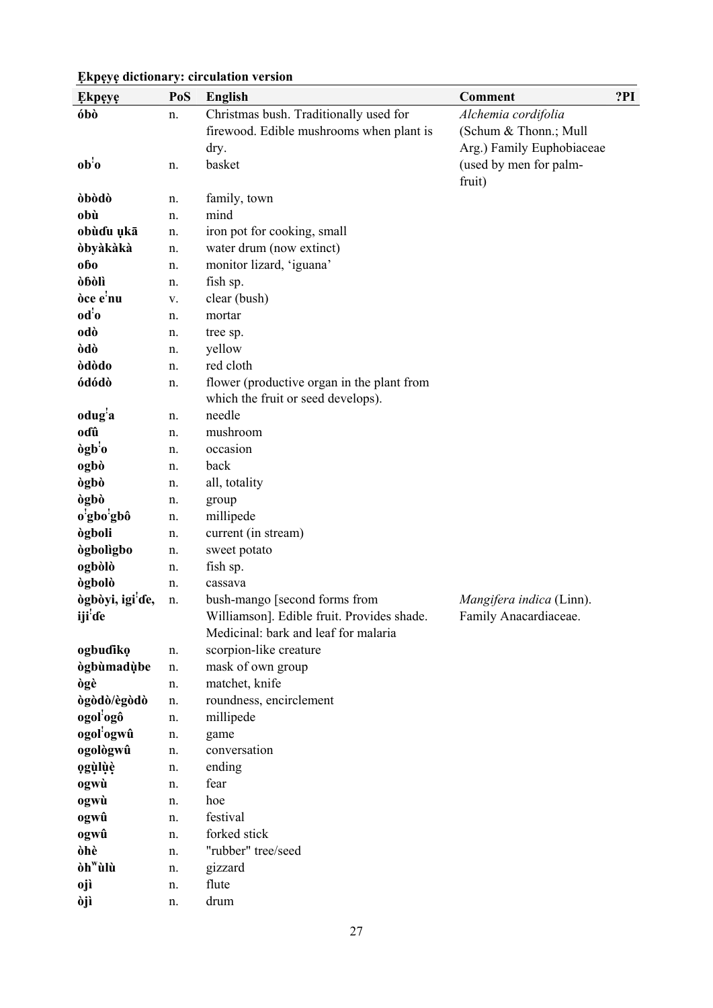#### **Ẹkpẹyẹ PoS English Comment ?PI óbò** n. Christmas bush. Traditionally used for firewood. Edible mushrooms when plant is dry. *Alchemia cordifolia*  (Schum & Thonn.; Mull Arg.) Family Euphobiaceae  $\mathbf{a} \mathbf{b}^2$ n. basket basket **basket**  $\qquad \qquad$  (used by men for palmfruit) **òbòdò** n. family, town **obù** n. mind **obùɗu ụkā** n. iron pot for cooking, small **òbyàkàkà** n. water drum (now extinct) **obo n**. monitor lizard, 'iguana' **òɓòlì** n. fish sp. **òce e!** v. clear (bush) **od!** n. mortar **odò** n. tree sp. **òdò** n. yellow **òdòdo** n. red cloth **ódódò** n. flower (productive organ in the plant from which the fruit or seed develops). **odug!** n. needle **oɗû** n. mushroom **ògb!** n. occasion **ogbò** n. back **ògbò** n. all, totality **ògbò** n. group **o! gbo!** n. millipede **ògboli** n. current (in stream) **ògbolìgbo** n. sweet potato **ogbòlò** n. fish sp. **ògbolò** n. cassava **ògbòyi, igi! ɗe, iji! ɗe**  n. bush-mango [second forms from Williamson]. Edible fruit. Provides shade. Medicinal: bark and leaf for malaria *Mangifera indica* (Linn). Family Anacardiaceae. **ogbuɗikọ** n. scorpion-like creature **ògbùmadùbe n**. mask of own group **ògè** n. matchet, knife **ògòdò/ègòdò** n. roundness, encirclement **ogol! ogô** n. millipede **ogol! ogwû** n. game **ogològwû** n. conversation **ọgùlụ̀ ẹ̀ ̣** n. ending **ogwù** n. fear **ogwù** n. hoe **ogwû** n. festival **ogwû** n. forked stick **òhè** n. "rubber" tree/seed **òhwùlù** n. gizzard **ojì** n. flute

#### **Ẹkpẹyẹ dictionary: circulation version**

**òjì** n. drum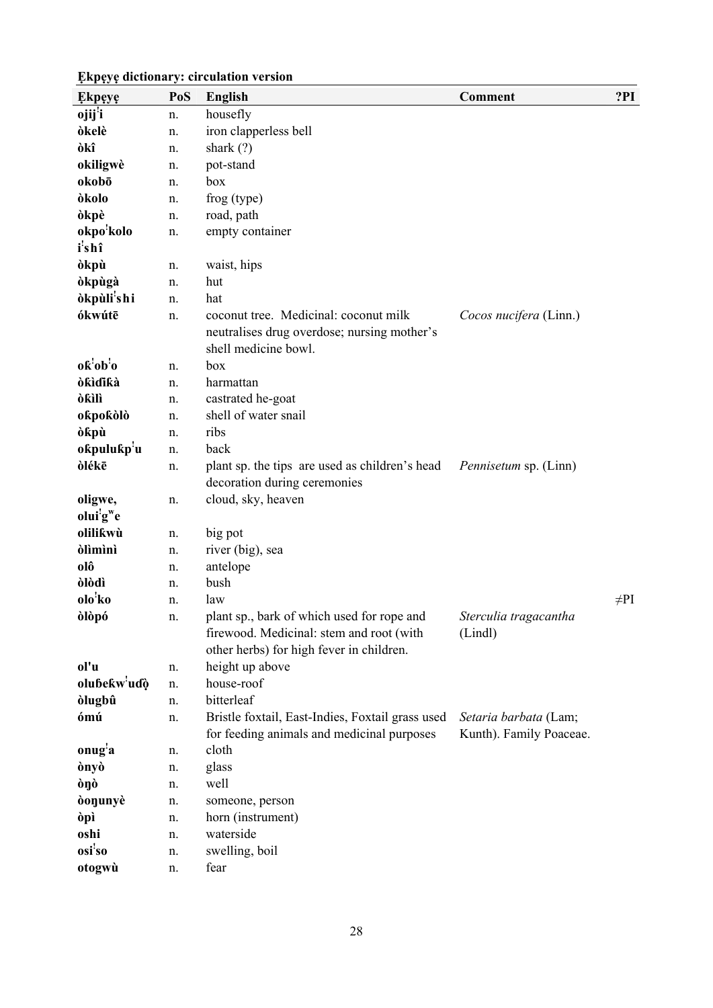| <b>Ekpeye</b>                    | PoS | <b>English</b>                                                                                                                     | <b>Comment</b>                                   | ?PI       |
|----------------------------------|-----|------------------------------------------------------------------------------------------------------------------------------------|--------------------------------------------------|-----------|
| ojij <sup>'</sup> i              | n.  | housefly                                                                                                                           |                                                  |           |
| òkelè                            | n.  | iron clapperless bell                                                                                                              |                                                  |           |
| òkî                              | n.  | shark $(?)$                                                                                                                        |                                                  |           |
| okiligwè                         | n.  | pot-stand                                                                                                                          |                                                  |           |
| okobō                            | n.  | box                                                                                                                                |                                                  |           |
| òkolo                            | n.  | frog (type)                                                                                                                        |                                                  |           |
| òkpè                             | n.  | road, path                                                                                                                         |                                                  |           |
| okpo <sup>'</sup> kolo           | n.  | empty container                                                                                                                    |                                                  |           |
| i'shî                            |     |                                                                                                                                    |                                                  |           |
| òkpù                             | n.  | waist, hips                                                                                                                        |                                                  |           |
| <b>òkpùgà</b>                    | n.  | hut                                                                                                                                |                                                  |           |
| òkpùli <sup>!</sup> shi          | n.  | hat                                                                                                                                |                                                  |           |
| ókwútē                           | n.  | coconut tree. Medicinal: coconut milk<br>neutralises drug overdose; nursing mother's                                               | Cocos nucifera (Linn.)                           |           |
|                                  |     | shell medicine bowl.                                                                                                               |                                                  |           |
| $o\hat{k}^{\prime}ob^{\prime}o$  | n.  | box                                                                                                                                |                                                  |           |
| <b>òkìdikà</b>                   | n.  | harmattan                                                                                                                          |                                                  |           |
| òƙìlì                            | n.  | castrated he-goat                                                                                                                  |                                                  |           |
| okpokòlò                         | n.  | shell of water snail                                                                                                               |                                                  |           |
| òkpù                             | n.  | ribs                                                                                                                               |                                                  |           |
| okpulukp <sup>!</sup> u          | n.  | back                                                                                                                               |                                                  |           |
| òlékē                            | n.  | plant sp. the tips are used as children's head<br>decoration during ceremonies                                                     | <i>Pennisetum</i> sp. (Linn)                     |           |
| oligwe,<br>olui'g <sup>w</sup> e | n.  | cloud, sky, heaven                                                                                                                 |                                                  |           |
| olilikwù                         | n.  | big pot                                                                                                                            |                                                  |           |
| <b>olimini</b>                   | n.  | river (big), sea                                                                                                                   |                                                  |           |
| olô                              | n.  | antelope                                                                                                                           |                                                  |           |
| òlòdì                            | n.  | bush                                                                                                                               |                                                  |           |
| olo <sup>'</sup> ko              | n.  | law                                                                                                                                |                                                  | $\neq$ PI |
| òlòpó                            | n.  | plant sp., bark of which used for rope and<br>firewood. Medicinal: stem and root (with<br>other herbs) for high fever in children. | Sterculia tragacantha<br>(Lindl)                 |           |
| ol'u                             | n.  | height up above                                                                                                                    |                                                  |           |
| olubekw'uɗò                      | n.  | house-roof                                                                                                                         |                                                  |           |
| <b>olugbû</b>                    | n.  | bitterleaf                                                                                                                         |                                                  |           |
| ómú                              | n.  | Bristle foxtail, East-Indies, Foxtail grass used<br>for feeding animals and medicinal purposes                                     | Setaria barbata (Lam;<br>Kunth). Family Poaceae. |           |
| onug <sup>'</sup> a              | n.  | cloth                                                                                                                              |                                                  |           |
| ònyò                             | n.  | glass                                                                                                                              |                                                  |           |
| òŋò                              | n.  | well                                                                                                                               |                                                  |           |
| donunyè                          | n.  | someone, person                                                                                                                    |                                                  |           |
| òpì                              | n.  | horn (instrument)                                                                                                                  |                                                  |           |
| oshi                             | n.  | waterside                                                                                                                          |                                                  |           |
| osi'so                           | n.  | swelling, boil                                                                                                                     |                                                  |           |
| otogwù                           | n.  | fear                                                                                                                               |                                                  |           |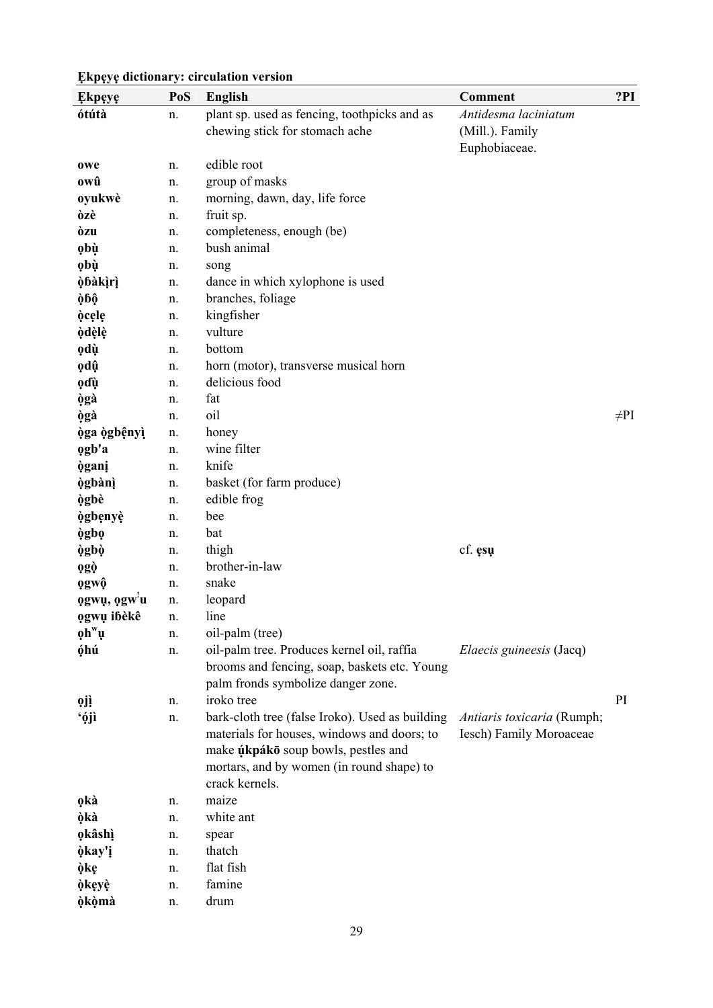| <b>Ekpeye</b>                                               | PoS | <b>English</b>                                                                             | <b>Comment</b>             | ?PI       |
|-------------------------------------------------------------|-----|--------------------------------------------------------------------------------------------|----------------------------|-----------|
| ótútà                                                       | n.  | plant sp. used as fencing, toothpicks and as                                               | Antidesma laciniatum       |           |
|                                                             |     | chewing stick for stomach ache                                                             | (Mill.). Family            |           |
|                                                             |     |                                                                                            | Euphobiaceae.              |           |
| owe                                                         | n.  | edible root                                                                                |                            |           |
| owû                                                         | n.  | group of masks                                                                             |                            |           |
| oyukwè                                                      | n.  | morning, dawn, day, life force                                                             |                            |           |
| òzè                                                         | n.  | fruit sp.                                                                                  |                            |           |
| òzu                                                         | n.  | completeness, enough (be)                                                                  |                            |           |
| ọbù                                                         | n.  | bush animal                                                                                |                            |           |
| <b>obù</b>                                                  | n.  | song                                                                                       |                            |           |
| òbàkìrì                                                     | n.  | dance in which xylophone is used                                                           |                            |           |
| ò6ộ                                                         | n.  | branches, foliage                                                                          |                            |           |
| òcele                                                       | n.  | kingfisher                                                                                 |                            |           |
| òdèlè                                                       | n.  | vulture                                                                                    |                            |           |
| odù                                                         | n.  | bottom                                                                                     |                            |           |
| ọdŷ                                                         | n.  | horn (motor), transverse musical horn                                                      |                            |           |
| ọɗù                                                         | n.  | delicious food                                                                             |                            |           |
| ògà                                                         | n.  | fat                                                                                        |                            |           |
| ògà                                                         | n.  | oil                                                                                        |                            | $\neq$ PI |
| òga ògbệnyì                                                 | n.  | honey                                                                                      |                            |           |
| ogb'a                                                       | n.  | wine filter                                                                                |                            |           |
| <b>ògani</b>                                                | n.  | knife                                                                                      |                            |           |
| <b>ògbànì</b>                                               | n.  | basket (for farm produce)                                                                  |                            |           |
| ògbè                                                        | n.  | edible frog                                                                                |                            |           |
| <b>ògbenyè</b>                                              | n.  | bee                                                                                        |                            |           |
| ògbọ                                                        | n.  | bat                                                                                        |                            |           |
| <b>ògbò</b>                                                 | n.  | thigh                                                                                      | cf. esu                    |           |
| <b>ogò</b>                                                  | n.  | brother-in-law                                                                             |                            |           |
| ogwô                                                        | n.  | snake                                                                                      |                            |           |
| ogwu, ogw'u                                                 | n.  | leopard                                                                                    |                            |           |
| ogwu ibèkê                                                  | n.  | line                                                                                       |                            |           |
| $\mathbf{\varrho} \mathbf{h}^{\mathrm{w}} \mathbf{\varrho}$ | n.  | oil-palm (tree)                                                                            |                            |           |
| óhú                                                         | n.  | oil-palm tree. Produces kernel oil, raffia<br>brooms and fencing, soap, baskets etc. Young | Elaecis guineesis (Jacq)   |           |
|                                                             |     | palm fronds symbolize danger zone.                                                         |                            |           |
| 9jì                                                         | n.  | iroko tree                                                                                 |                            | PI        |
| ʻộjì                                                        | n.  | bark-cloth tree (false Iroko). Used as building                                            | Antiaris toxicaria (Rumph; |           |
|                                                             |     | materials for houses, windows and doors; to                                                | Iesch) Family Moroaceae    |           |
|                                                             |     | make úkpákō soup bowls, pestles and                                                        |                            |           |
|                                                             |     | mortars, and by women (in round shape) to                                                  |                            |           |
|                                                             |     | crack kernels.                                                                             |                            |           |
| <b>okà</b>                                                  | n.  | maize                                                                                      |                            |           |
| òkà                                                         | n.  | white ant                                                                                  |                            |           |
| <b>okâshì</b>                                               | n.  | spear                                                                                      |                            |           |
| òkay'i                                                      | n.  | thatch                                                                                     |                            |           |
| òkę                                                         | n.  | flat fish                                                                                  |                            |           |
| òkeyè                                                       | n.  | famine                                                                                     |                            |           |
| <b>òkòmà</b>                                                | n.  | drum                                                                                       |                            |           |
|                                                             |     |                                                                                            |                            |           |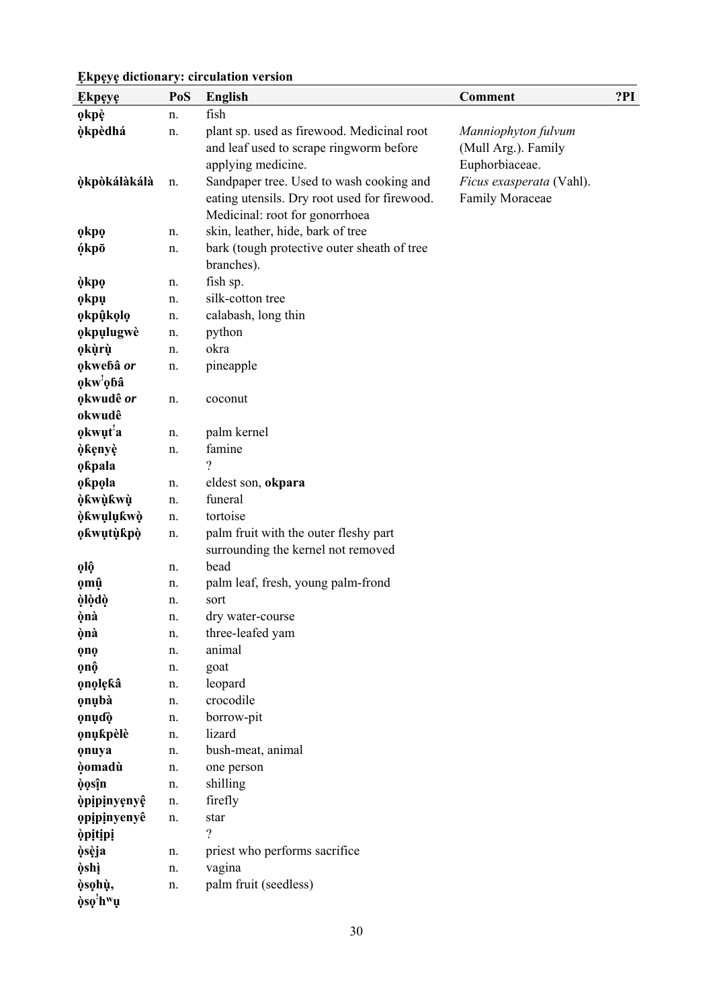| <b>Ekpeye</b>        | PoS | English                                      | <b>Comment</b>           | ?PI |
|----------------------|-----|----------------------------------------------|--------------------------|-----|
| okpè                 | n.  | fish                                         |                          |     |
| <b>òkpèdhá</b>       | n.  | plant sp. used as firewood. Medicinal root   | Manniophyton fulvum      |     |
|                      |     | and leaf used to scrape ringworm before      | (Mull Arg.). Family      |     |
|                      |     | applying medicine.                           | Euphorbiaceae.           |     |
| òkpòkálàkálà         | n.  | Sandpaper tree. Used to wash cooking and     | Ficus exasperata (Vahl). |     |
|                      |     | eating utensils. Dry root used for firewood. | Family Moraceae          |     |
|                      |     | Medicinal: root for gonorrhoea               |                          |     |
| okpo                 | n.  | skin, leather, hide, bark of tree            |                          |     |
| ókpō                 | n.  | bark (tough protective outer sheath of tree  |                          |     |
|                      |     | branches).                                   |                          |     |
| òkpọ                 | n.  | fish sp.                                     |                          |     |
| okpu                 | n.  | silk-cotton tree                             |                          |     |
| okpûkolo             | n.  | calabash, long thin                          |                          |     |
| okpulugwè            | n.  | python                                       |                          |     |
| okùrù                | n.  | okra                                         |                          |     |
| okwebâ or            | n.  | pineapple                                    |                          |     |
| okw'obâ              |     |                                              |                          |     |
| okwudê or            | n.  | coconut                                      |                          |     |
| okwudê               |     |                                              |                          |     |
| okwut <sup>'</sup> a | n.  | palm kernel                                  |                          |     |
| òkenyè               | n.  | famine                                       |                          |     |
| okpala               |     | ?                                            |                          |     |
| okpola               | n.  | eldest son, okpara                           |                          |     |
| òkwùkwù              | n.  | funeral                                      |                          |     |
| òkwulukwò            | n.  | tortoise                                     |                          |     |
| <b>okwutùkpò</b>     | n.  | palm fruit with the outer fleshy part        |                          |     |
|                      |     | surrounding the kernel not removed           |                          |     |
| <b>olô</b>           | n.  | bead                                         |                          |     |
| ọmŷ                  | n.  | palm leaf, fresh, young palm-frond           |                          |     |
| òlòdò                | n.  | sort                                         |                          |     |
| ònà                  | n.  | dry water-course                             |                          |     |
| ònà                  | n.  | three-leafed yam                             |                          |     |
| <b>QnQ</b>           | n.  | animal                                       |                          |     |
| ọnộ                  | n.  | goat                                         |                          |     |
| onolekâ              | n.  | leopard                                      |                          |     |
| onubà                | n.  | crocodile                                    |                          |     |
| onudò                | n.  | borrow-pit                                   |                          |     |
| onukpèlè             | n.  | lizard                                       |                          |     |
| onuya                | n.  | bush-meat, animal                            |                          |     |
| <b>òomadù</b>        | n.  | one person                                   |                          |     |
| òọsîn                | n.  | shilling                                     |                          |     |
| <i>opipinyenyê</i>   | n.  | firefly                                      |                          |     |
| opipinyenyê          | n.  | star                                         |                          |     |
| <i>opitipi</i>       |     | 2                                            |                          |     |
| òsèja                | n.  | priest who performs sacrifice                |                          |     |
| òshì                 | n.  | vagina                                       |                          |     |
| òsohù,               | n.  | palm fruit (seedless)                        |                          |     |
| òso <sup>!</sup> hʷụ |     |                                              |                          |     |

30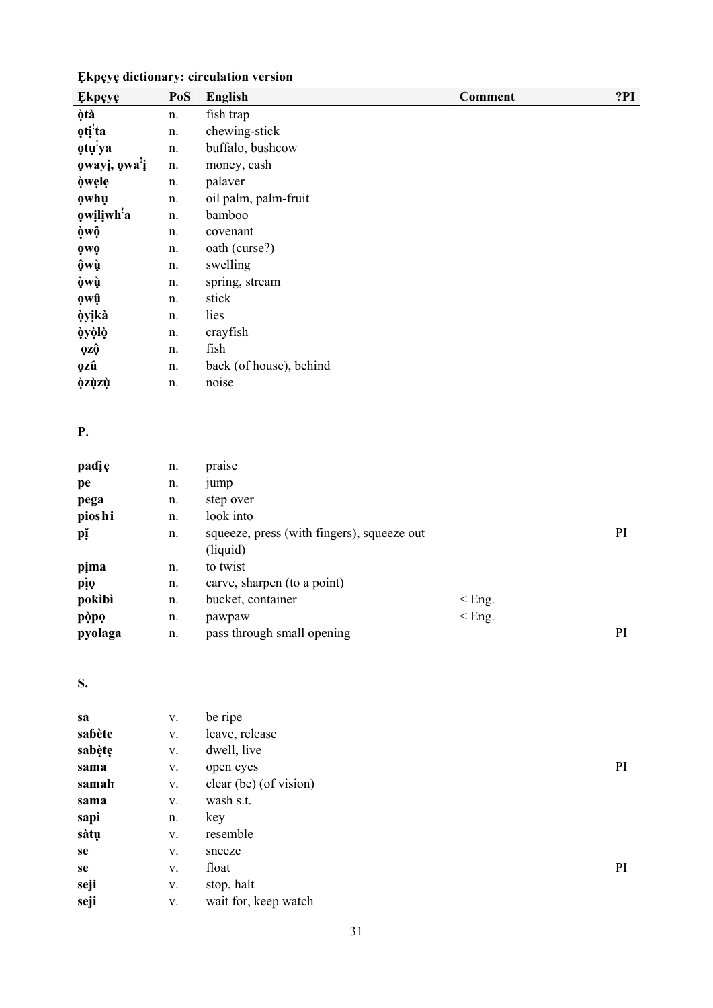| <b>Ekpeye</b>       | PoS | <b>English</b>          | <b>Comment</b> | ?PI |
|---------------------|-----|-------------------------|----------------|-----|
| òtà                 | n.  | fish trap               |                |     |
| oti <sup>'</sup> ta | n.  | chewing-stick           |                |     |
| otu'ya              | n.  | buffalo, bushcow        |                |     |
| owayi, owa'i        | n.  | money, cash             |                |     |
| òwele               | n.  | palaver                 |                |     |
| owhu                | n.  | oil palm, palm-fruit    |                |     |
| owiliwh'a           | n.  | bamboo                  |                |     |
| òwộ                 | n.  | covenant                |                |     |
| <b>QWQ</b>          | n.  | oath (curse?)           |                |     |
| ộwù                 | n.  | swelling                |                |     |
| òwù                 | n.  | spring, stream          |                |     |
| owû                 | n.  | stick                   |                |     |
| òyikà               | n.  | lies                    |                |     |
| òyòlò               | n.  | crayfish                |                |     |
| <b>ozô</b>          | n.  | fish                    |                |     |
| <b>ozû</b>          | n.  | back (of house), behind |                |     |
| <b>òzùzù</b>        | n.  | noise                   |                |     |

### **P.**

| padię   | n. | praise                                                 |          |    |
|---------|----|--------------------------------------------------------|----------|----|
| pe      | n. | <i>jump</i>                                            |          |    |
| pega    | n. | step over                                              |          |    |
| pioshi  | n. | look into                                              |          |    |
| pǐ      | n. | squeeze, press (with fingers), squeeze out<br>(liquid) |          | PI |
| pima    | n. | to twist                                               |          |    |
| pio     | n. | carve, sharpen (to a point)                            |          |    |
| pokibi  | n. | bucket, container                                      | $<$ Eng. |    |
| pòpo    | n. | pawpaw                                                 | $<$ Eng. |    |
| pyolaga | n. | pass through small opening                             |          | PI |

### **S.**

| sa     | V. | be ripe                |    |
|--------|----|------------------------|----|
| sabète | V. | leave, release         |    |
| sabète | V. | dwell, live            |    |
| sama   | V. | open eyes              | PI |
| samal  | V. | clear (be) (of vision) |    |
| sama   | V. | wash s.t.              |    |
| sapì   | n. | key                    |    |
| sàtụ   | V. | resemble               |    |
| se     | V. | sneeze                 |    |
| se     | V. | float                  | PI |
| seji   | V. | stop, halt             |    |
| seji   | V. | wait for, keep watch   |    |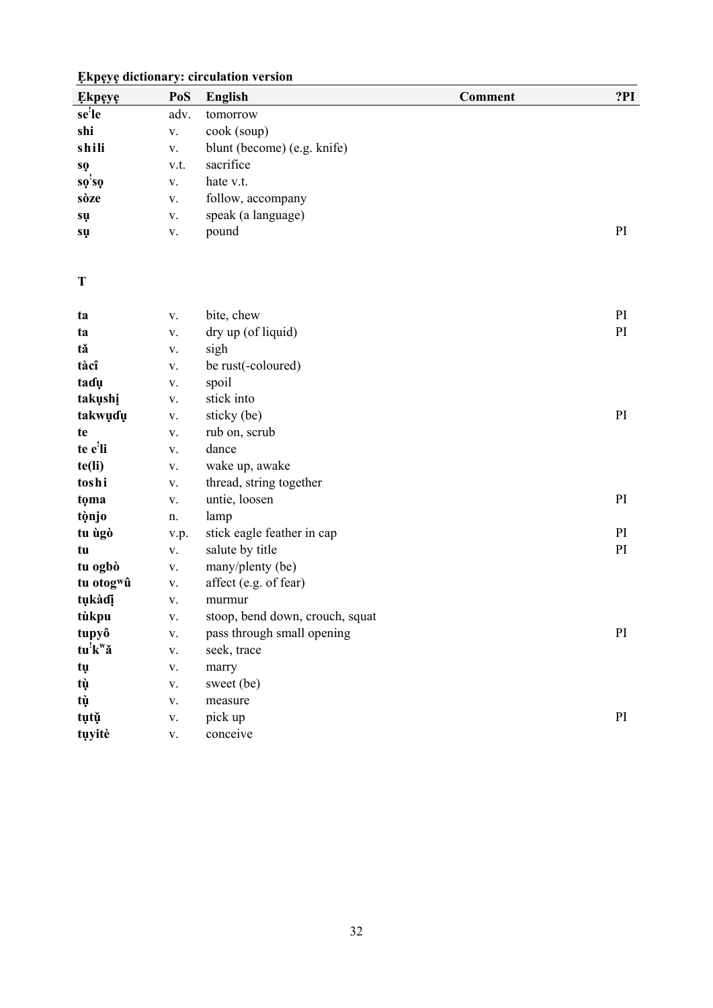| <b>Ekpeye</b>                 | PoS           | <b>English</b>                  | <b>Comment</b> | ?PI |
|-------------------------------|---------------|---------------------------------|----------------|-----|
| se'le                         | adv.          | tomorrow                        |                |     |
| shi                           | ${\bf V}.$    | cook (soup)                     |                |     |
| shili                         | $\mathbf{V}.$ | blunt (become) (e.g. knife)     |                |     |
| sọ                            | v.t.          | sacrifice                       |                |     |
| $s\dot{\varrho}$ 's $\varrho$ | ${\bf V}.$    | hate v.t.                       |                |     |
| sòze                          | $\mathbf V$ . | follow, accompany               |                |     |
| sų                            | V.            | speak (a language)              |                |     |
| sų                            | ${\bf V}.$    | pound                           |                | PI  |
| T                             |               |                                 |                |     |
|                               |               |                                 |                |     |
| ta                            | V.            | bite, chew                      |                | PI  |
| ta                            | V.            | dry up (of liquid)              |                | PI  |
| tă                            | ${\bf V}.$    | sigh                            |                |     |
| tàcî                          | ${\bf V}.$    | be rust(-coloured)              |                |     |
| tadu                          | ${\bf V}.$    | spoil                           |                |     |
| takushi                       | ${\bf V}.$    | stick into                      |                |     |
| takwuɗu                       | ${\bf V}.$    | sticky (be)                     |                | PI  |
| te                            | ${\bf V}.$    | rub on, scrub                   |                |     |
| te e'li                       | ${\bf V}.$    | dance                           |                |     |
| te(li)                        | V.            | wake up, awake                  |                |     |
| toshi                         | ${\bf V}.$    | thread, string together         |                |     |
| tọma                          | ${\bf V}.$    | untie, loosen                   |                | PI  |
| tònjo                         | n.            | lamp                            |                |     |
| tu ùgò                        | v.p.          | stick eagle feather in cap      |                | PI  |
| tu                            | $\mathbf V$ . | salute by title                 |                | PI  |
| tu ogbò                       | ${\bf V}.$    | many/plenty (be)                |                |     |
| tu otog <sup>w</sup> û        | ${\bf V}.$    | affect (e.g. of fear)           |                |     |
| tụkàdị                        | ${\bf V}.$    | murmur                          |                |     |
| tùkpu                         | V.            | stoop, bend down, crouch, squat |                |     |
| tupyô                         | $\mathbf{V}.$ | pass through small opening      |                | PI  |
| $tu'k''\check{a}$             | $\mathbf{V}.$ | seek, trace                     |                |     |
| tų                            | $\mathbf{V}.$ | marry                           |                |     |
| tù                            | ${\bf V}.$    | sweet (be)                      |                |     |
| tù                            | $\mathbf{V}.$ | measure                         |                |     |
| tụtụ                          | ${\bf V}.$    | pick up                         |                | PI  |
| tụyitè                        | $\mathbf{V}.$ | conceive                        |                |     |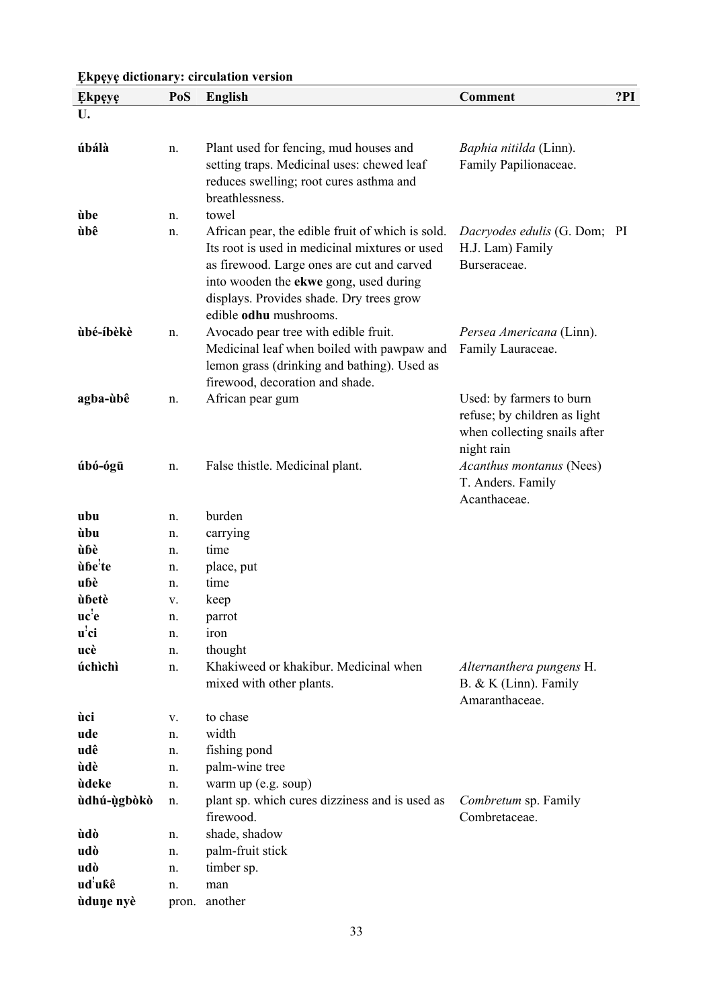| <b>Ekpeye</b>       | PoS      | <b>English</b>                                                                                                                                                                                                                                                   | <b>Comment</b>                                                                                                                     | ?PI |
|---------------------|----------|------------------------------------------------------------------------------------------------------------------------------------------------------------------------------------------------------------------------------------------------------------------|------------------------------------------------------------------------------------------------------------------------------------|-----|
| U.                  |          |                                                                                                                                                                                                                                                                  |                                                                                                                                    |     |
| úbálà               | n.       | Plant used for fencing, mud houses and<br>setting traps. Medicinal uses: chewed leaf<br>reduces swelling; root cures asthma and<br>breathlessness.                                                                                                               | Baphia nitilda (Linn).<br>Family Papilionaceae.                                                                                    |     |
| ùbe                 | n.       | towel                                                                                                                                                                                                                                                            |                                                                                                                                    |     |
| ùbê                 | n.       | African pear, the edible fruit of which is sold.<br>Its root is used in medicinal mixtures or used<br>as firewood. Large ones are cut and carved<br>into wooden the ekwe gong, used during<br>displays. Provides shade. Dry trees grow<br>edible odhu mushrooms. | Dacryodes edulis (G. Dom; PI<br>H.J. Lam) Family<br>Burseraceae.                                                                   |     |
| ùbé-íbèkè           | n.       | Avocado pear tree with edible fruit.<br>Medicinal leaf when boiled with pawpaw and<br>lemon grass (drinking and bathing). Used as<br>firewood, decoration and shade.                                                                                             | Persea Americana (Linn).<br>Family Lauraceae.                                                                                      |     |
| agba-ùbê<br>úbó-ógū | n.<br>n. | African pear gum<br>False thistle. Medicinal plant.                                                                                                                                                                                                              | Used: by farmers to burn<br>refuse; by children as light<br>when collecting snails after<br>night rain<br>Acanthus montanus (Nees) |     |
|                     |          |                                                                                                                                                                                                                                                                  | T. Anders. Family<br>Acanthaceae.                                                                                                  |     |
| ubu                 | n.       | burden                                                                                                                                                                                                                                                           |                                                                                                                                    |     |
| ùbu                 | n.       | carrying                                                                                                                                                                                                                                                         |                                                                                                                                    |     |
| ùbè                 | n.       | time                                                                                                                                                                                                                                                             |                                                                                                                                    |     |
| ùbe'te              | n.       | place, put                                                                                                                                                                                                                                                       |                                                                                                                                    |     |
| ubè                 | n.       | time                                                                                                                                                                                                                                                             |                                                                                                                                    |     |
| ùbetè               | V.       | keep                                                                                                                                                                                                                                                             |                                                                                                                                    |     |
| uc'e                | n.       | parrot                                                                                                                                                                                                                                                           |                                                                                                                                    |     |
| $\mathbf{u}'$ ci    | n.       | iron                                                                                                                                                                                                                                                             |                                                                                                                                    |     |
| ucè                 | n.       | thought                                                                                                                                                                                                                                                          |                                                                                                                                    |     |
| úchìchì             | n.       | Khakiweed or khakibur. Medicinal when<br>mixed with other plants.                                                                                                                                                                                                | Alternanthera pungens H.<br>$B. & K$ (Linn). Family<br>Amaranthaceae.                                                              |     |
| ùci                 | V.       | to chase                                                                                                                                                                                                                                                         |                                                                                                                                    |     |
| ude                 | n.       | width                                                                                                                                                                                                                                                            |                                                                                                                                    |     |
| udê                 | n.       | fishing pond                                                                                                                                                                                                                                                     |                                                                                                                                    |     |
| ùdè                 | n.       | palm-wine tree                                                                                                                                                                                                                                                   |                                                                                                                                    |     |
| ùdeke               | n.       | warm up (e.g. soup)                                                                                                                                                                                                                                              |                                                                                                                                    |     |
| ùdhú-ùgbòkò         | n.       | plant sp. which cures dizziness and is used as<br>firewood.                                                                                                                                                                                                      | Combretum sp. Family<br>Combretaceae.                                                                                              |     |
| ùdò                 | n.       | shade, shadow                                                                                                                                                                                                                                                    |                                                                                                                                    |     |
| udò                 | n.       | palm-fruit stick                                                                                                                                                                                                                                                 |                                                                                                                                    |     |
| udò                 | n.       | timber sp.                                                                                                                                                                                                                                                       |                                                                                                                                    |     |
| ud'ukê              | n.       | man                                                                                                                                                                                                                                                              |                                                                                                                                    |     |
| ùdune nyè           | pron.    | another                                                                                                                                                                                                                                                          |                                                                                                                                    |     |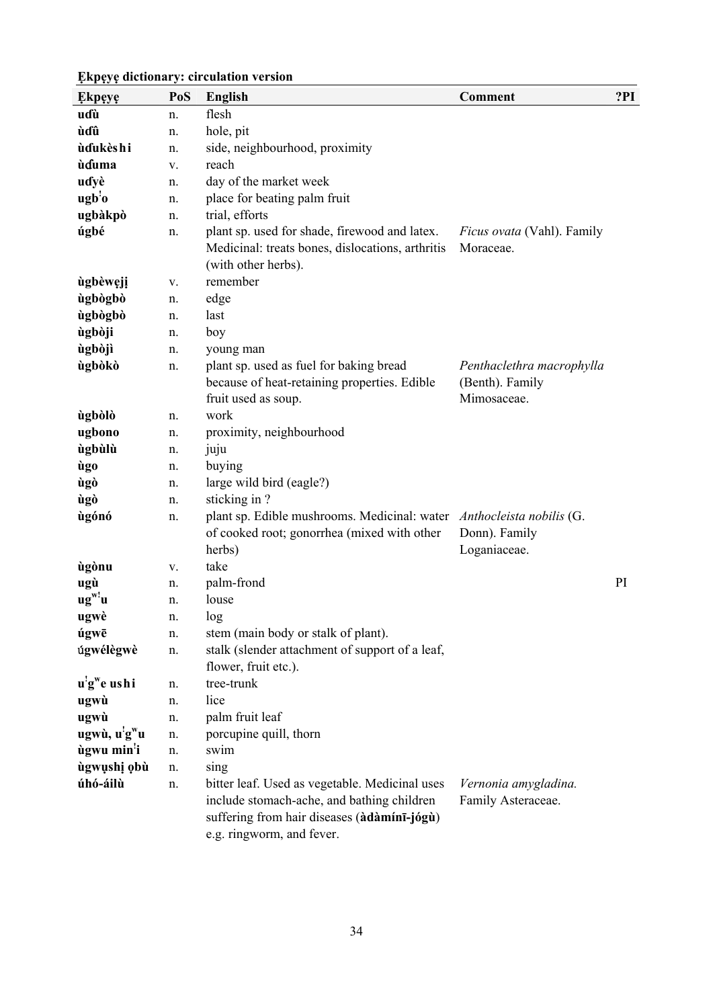| <b>Ekpeye</b>                         | PoS | <b>English</b>                                                                                                                                                           | <b>Comment</b>                                              | ?PI |
|---------------------------------------|-----|--------------------------------------------------------------------------------------------------------------------------------------------------------------------------|-------------------------------------------------------------|-----|
| uɗù                                   | n.  | flesh                                                                                                                                                                    |                                                             |     |
| ùɗû                                   | n.  | hole, pit                                                                                                                                                                |                                                             |     |
| ùdukèshi                              | n.  | side, neighbourhood, proximity                                                                                                                                           |                                                             |     |
| ùduma                                 | V.  | reach                                                                                                                                                                    |                                                             |     |
| udyè                                  | n.  | day of the market week                                                                                                                                                   |                                                             |     |
| $\mathbf{ugb'o}$                      | n.  | place for beating palm fruit                                                                                                                                             |                                                             |     |
| ugbàkpò                               | n.  | trial, efforts                                                                                                                                                           |                                                             |     |
| úgbé                                  | n.  | plant sp. used for shade, firewood and latex.<br>Medicinal: treats bones, dislocations, arthritis<br>(with other herbs).                                                 | <i>Ficus ovata</i> (Vahl). Family<br>Moraceae.              |     |
| ùgbèweji                              | V.  | remember                                                                                                                                                                 |                                                             |     |
| ùgbògbò                               | n.  | edge                                                                                                                                                                     |                                                             |     |
| ùgbògbò                               | n.  | last                                                                                                                                                                     |                                                             |     |
| ùgbòji                                | n.  | boy                                                                                                                                                                      |                                                             |     |
| ùgbòjì                                | n.  | young man                                                                                                                                                                |                                                             |     |
| ùgbòkò                                | n.  | plant sp. used as fuel for baking bread<br>because of heat-retaining properties. Edible<br>fruit used as soup.                                                           | Penthaclethra macrophylla<br>(Benth). Family<br>Mimosaceae. |     |
| ùgbòlò                                | n.  | work                                                                                                                                                                     |                                                             |     |
| ugbono                                | n.  | proximity, neighbourhood                                                                                                                                                 |                                                             |     |
| ùgbùlù                                | n.  | juju                                                                                                                                                                     |                                                             |     |
| ùgo                                   | n.  | buying                                                                                                                                                                   |                                                             |     |
| ùgò                                   | n.  | large wild bird (eagle?)                                                                                                                                                 |                                                             |     |
| ùgò                                   | n.  | sticking in?                                                                                                                                                             |                                                             |     |
| ùgónó                                 | n.  | plant sp. Edible mushrooms. Medicinal: water Anthocleista nobilis (G.<br>of cooked root; gonorrhea (mixed with other<br>herbs)                                           | Donn). Family<br>Loganiaceae.                               |     |
| ùgònu                                 | V.  | take                                                                                                                                                                     |                                                             |     |
| ugù                                   | n.  | palm-frond                                                                                                                                                               |                                                             | PI  |
| $ug^w$ 'u                             | n.  | louse                                                                                                                                                                    |                                                             |     |
| ugwè                                  | n.  | log                                                                                                                                                                      |                                                             |     |
| úgwē                                  | n.  | stem (main body or stalk of plant).                                                                                                                                      |                                                             |     |
| úgwélègwè                             | n.  | stalk (slender attachment of support of a leaf,<br>flower, fruit etc.).                                                                                                  |                                                             |     |
| u'g <sup>w</sup> e ushi               | n.  | tree-trunk                                                                                                                                                               |                                                             |     |
| ugwù                                  | n.  | lice                                                                                                                                                                     |                                                             |     |
| ugwù                                  | n.  | palm fruit leaf                                                                                                                                                          |                                                             |     |
| ugwù, u <sup>!</sup> g <sup>w</sup> u | n.  | porcupine quill, thorn                                                                                                                                                   |                                                             |     |
| ùgwu min'i                            | n.  | swim                                                                                                                                                                     |                                                             |     |
| ùgwụshị ọbù                           | n.  | sing                                                                                                                                                                     |                                                             |     |
| úhó-áilù                              | n.  | bitter leaf. Used as vegetable. Medicinal uses<br>include stomach-ache, and bathing children<br>suffering from hair diseases (àdàmínī-jógù)<br>e.g. ringworm, and fever. | Vernonia amygladina.<br>Family Asteraceae.                  |     |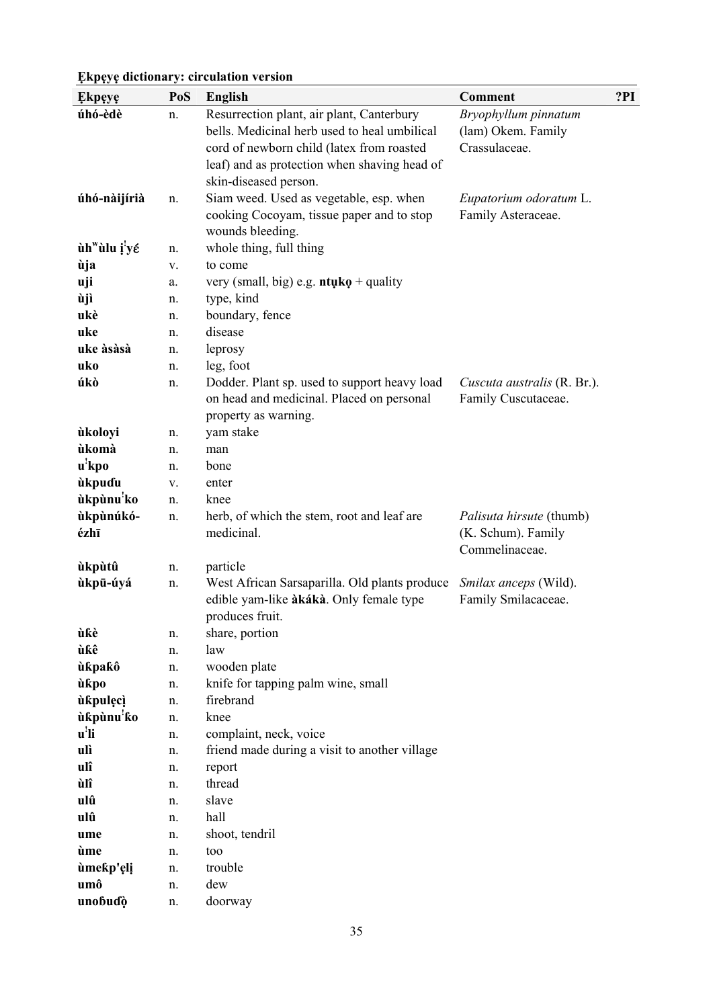| <b>Ekpeye</b>            | PoS | <b>English</b>                                                                            | <b>Comment</b>                                 | ?PI |
|--------------------------|-----|-------------------------------------------------------------------------------------------|------------------------------------------------|-----|
| úhó-èdè                  | n.  | Resurrection plant, air plant, Canterbury                                                 | Bryophyllum pinnatum                           |     |
|                          |     | bells. Medicinal herb used to heal umbilical                                              | (lam) Okem. Family                             |     |
|                          |     | cord of newborn child (latex from roasted                                                 | Crassulaceae.                                  |     |
|                          |     | leaf) and as protection when shaving head of                                              |                                                |     |
|                          |     | skin-diseased person.                                                                     |                                                |     |
| úhó-nàijírià             | n.  | Siam weed. Used as vegetable, esp. when                                                   | Eupatorium odoratum L.                         |     |
|                          |     | cooking Cocoyam, tissue paper and to stop                                                 | Family Asteraceae.                             |     |
|                          |     | wounds bleeding.                                                                          |                                                |     |
| ùh <sup>w</sup> ùlu i'yé | n.  | whole thing, full thing                                                                   |                                                |     |
| ùja                      | V.  | to come                                                                                   |                                                |     |
| uji                      | a.  | very (small, big) e.g. $\mathbf{n} \mathbf{t} \mathbf{u} \mathbf{k} \mathbf{o}$ + quality |                                                |     |
| ùjì                      | n.  | type, kind                                                                                |                                                |     |
| ukè                      | n.  | boundary, fence                                                                           |                                                |     |
| uke                      | n.  | disease                                                                                   |                                                |     |
| uke àsàsà                | n.  | leprosy                                                                                   |                                                |     |
| uko                      | n.  | leg, foot                                                                                 |                                                |     |
| úkò                      | n.  | Dodder. Plant sp. used to support heavy load                                              | Cuscuta australis (R. Br.).                    |     |
|                          |     | on head and medicinal. Placed on personal                                                 | Family Cuscutaceae.                            |     |
|                          |     | property as warning.                                                                      |                                                |     |
| ùkoloyi                  | n.  | yam stake                                                                                 |                                                |     |
| ùkomà                    | n.  | man                                                                                       |                                                |     |
| u <sup>'</sup> kpo       | n.  | bone                                                                                      |                                                |     |
| ùkpuɗu                   | V.  | enter                                                                                     |                                                |     |
| ùkpùnu <sup>!</sup> ko   | n.  | knee                                                                                      |                                                |     |
| ùkpùnúkó-<br>ézhī        | n.  | herb, of which the stem, root and leaf are<br>medicinal.                                  | Palisuta hirsute (thumb)<br>(K. Schum). Family |     |
|                          |     |                                                                                           | Commelinaceae.                                 |     |
| ùkpùtû                   | n.  | particle                                                                                  |                                                |     |
| ùkpū-úyá                 | n.  | West African Sarsaparilla. Old plants produce                                             | Smilax anceps (Wild).                          |     |
|                          |     | edible yam-like àkákà. Only female type                                                   | Family Smilacaceae.                            |     |
|                          |     | produces fruit.                                                                           |                                                |     |
| ùƙè                      | n.  | share, portion                                                                            |                                                |     |
| ùkê                      | n.  | law                                                                                       |                                                |     |
| ùkpakô                   | n.  | wooden plate                                                                              |                                                |     |
| ùkpo                     | n.  | knife for tapping palm wine, small                                                        |                                                |     |
| ùkpulęcì                 | n.  | firebrand                                                                                 |                                                |     |
| ùkpùnu <sup>!</sup> ko   | n.  | knee                                                                                      |                                                |     |
| u <sup>!</sup> li        | n.  | complaint, neck, voice                                                                    |                                                |     |
| ulì                      | n.  | friend made during a visit to another village                                             |                                                |     |
| ulî                      | n.  | report                                                                                    |                                                |     |
| ùlî                      | n.  | thread                                                                                    |                                                |     |
| ulû                      | n.  | slave                                                                                     |                                                |     |
| ulû                      | n.  | hall                                                                                      |                                                |     |
| ume                      | n.  | shoot, tendril                                                                            |                                                |     |
| ùme                      | n.  | too                                                                                       |                                                |     |
| ùmekp'eli                | n.  | trouble                                                                                   |                                                |     |
| umô                      | n.  | dew                                                                                       |                                                |     |
| unobudò                  | n.  | doorway                                                                                   |                                                |     |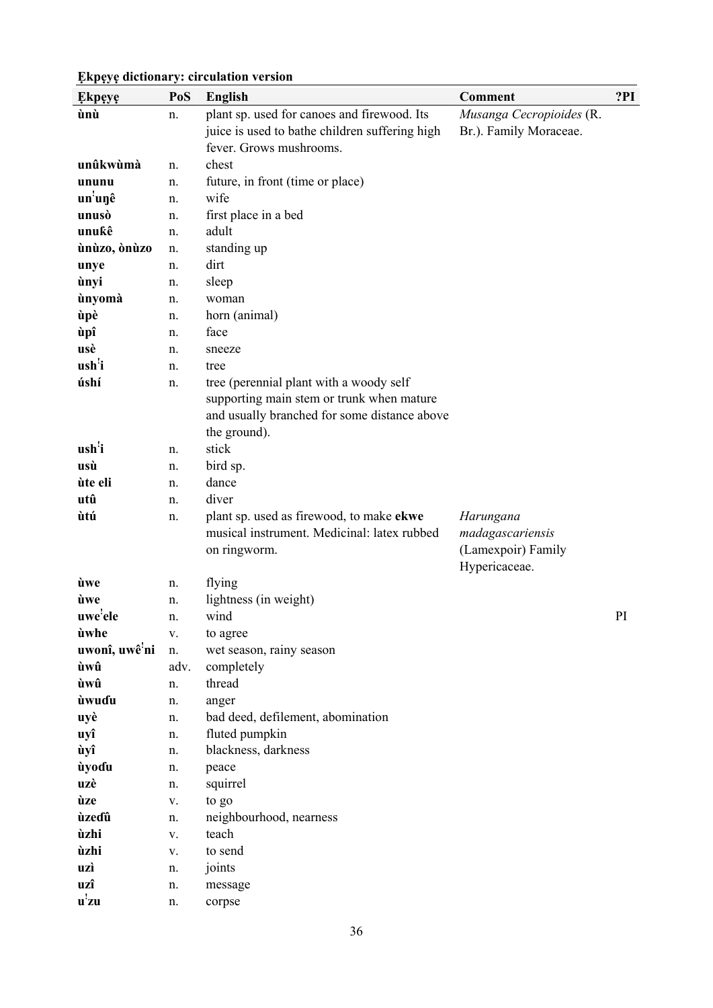| <b>Ekpeye</b>                | PoS      | <b>English</b>                                 | Comment                  | ?PI |
|------------------------------|----------|------------------------------------------------|--------------------------|-----|
| ùnù                          | n.       | plant sp. used for canoes and firewood. Its    | Musanga Cecropioides (R. |     |
|                              |          | juice is used to bathe children suffering high | Br.). Family Moraceae.   |     |
|                              |          | fever. Grows mushrooms.                        |                          |     |
| unûkwùmà                     | n.       | chest                                          |                          |     |
| ununu                        | n.       | future, in front (time or place)               |                          |     |
| un'unê                       | n.       | wife                                           |                          |     |
| unusò                        | n.       | first place in a bed                           |                          |     |
| unukê                        | n.       | adult                                          |                          |     |
| ùnùzo, ònùzo                 | n.       | standing up                                    |                          |     |
| unye                         | n.       | dirt                                           |                          |     |
| ùnyi                         | n.       | sleep                                          |                          |     |
| ùnyomà                       | n.       | woman                                          |                          |     |
| ùpè                          | n.       | horn (animal)                                  |                          |     |
| ùpî                          | n.       | face                                           |                          |     |
| usè                          | n.       | sneeze                                         |                          |     |
| ush <sup>'</sup> i           | n.       | tree                                           |                          |     |
| úshí                         | n.       | tree (perennial plant with a woody self        |                          |     |
|                              |          | supporting main stem or trunk when mature      |                          |     |
|                              |          | and usually branched for some distance above   |                          |     |
|                              |          | the ground).                                   |                          |     |
| ush <sup>'</sup> i           | n.       | stick                                          |                          |     |
| usù                          | n.       | bird sp.                                       |                          |     |
| ùte eli                      | n.       | dance                                          |                          |     |
| utû                          | n.       | diver                                          |                          |     |
| ùtú                          | n.       | plant sp. used as firewood, to make ekwe       | Harungana                |     |
|                              |          | musical instrument. Medicinal: latex rubbed    | madagascariensis         |     |
|                              |          | on ringworm.                                   | (Lamexpoir) Family       |     |
| ùwe                          |          |                                                | Hypericaceae.            |     |
| ùwe                          | n.<br>n. | flying<br>lightness (in weight)                |                          |     |
| uwe'ele                      | n.       | wind                                           |                          | PI  |
| ùwhe                         | V.       | to agree                                       |                          |     |
| uwonî, uwê ni                | n.       | wet season, rainy season                       |                          |     |
| ùwû                          | adv.     | completely                                     |                          |     |
| ùwû                          | n.       | thread                                         |                          |     |
| ùwuɗu                        | n.       | anger                                          |                          |     |
| uyè                          | n.       | bad deed, defilement, abomination              |                          |     |
| uyî                          | n.       | fluted pumpkin                                 |                          |     |
| ùyî                          | n.       | blackness, darkness                            |                          |     |
| ùyoɗu                        | n.       | peace                                          |                          |     |
| uzè                          | n.       | squirrel                                       |                          |     |
| ùze                          | V.       | to go                                          |                          |     |
| ùzeɗû                        | n.       | neighbourhood, nearness                        |                          |     |
| ùzhi                         | V.       | teach                                          |                          |     |
| ùzhi                         | V.       | to send                                        |                          |     |
| uzì                          | n.       | joints                                         |                          |     |
| uzî                          | n.       | message                                        |                          |     |
| $\mathbf{u}^{\mathbf{!}}$ zu | n.       | corpse                                         |                          |     |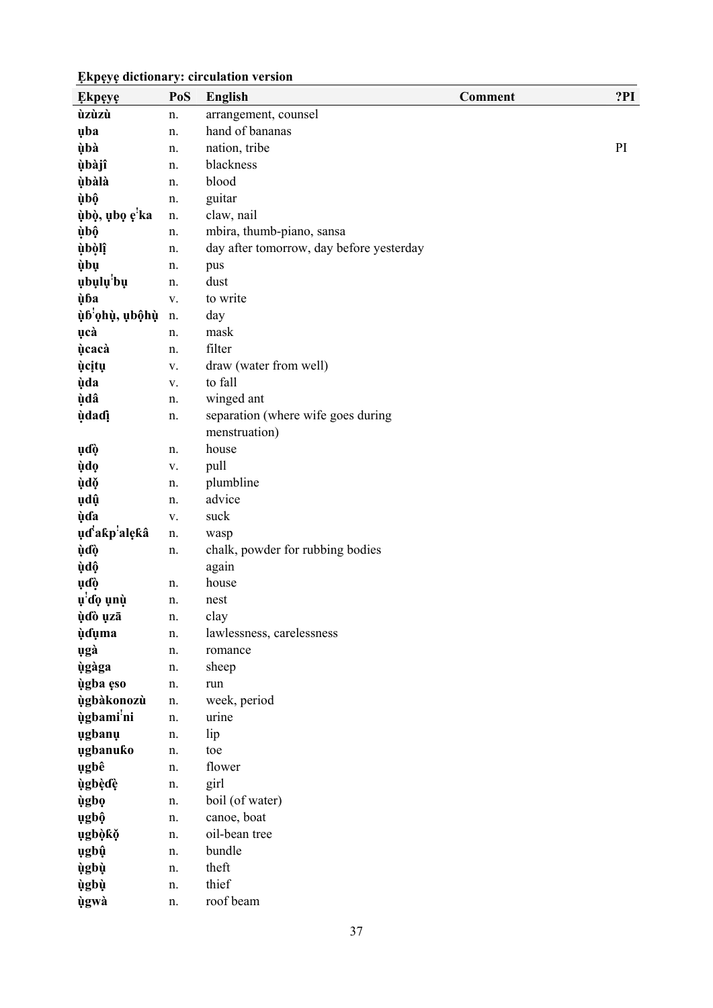| <b>Ekpeye</b>              | PoS         | <b>English</b>                           | Comment | ?PI |
|----------------------------|-------------|------------------------------------------|---------|-----|
| ùzùzù                      | n.          | arrangement, counsel                     |         |     |
| uba                        | n.          | hand of bananas                          |         |     |
| ùbà                        | n.          | nation, tribe                            |         | PI  |
| ùbàjî                      | n.          | blackness                                |         |     |
| ùbàlà                      | n.          | blood                                    |         |     |
| ùbộ                        | n.          | guitar                                   |         |     |
| ùbò, ubo e <sup>'</sup> ka | n.          | claw, nail                               |         |     |
| ùbộ                        | n.          | mbira, thumb-piano, sansa                |         |     |
| ùbòlî                      | n.          | day after tomorrow, day before yesterday |         |     |
| ùbụ                        | n.          | pus                                      |         |     |
| ubulu'bu                   | n.          | dust                                     |         |     |
| ùba                        | ${\bf V}$ . | to write                                 |         |     |
| ùb'ọhù, ubộhù              | n.          | day                                      |         |     |
| ucà                        | n.          | mask                                     |         |     |
| <b>ucaca</b>               | n.          | filter                                   |         |     |
| <i>u</i> citu              | V.          | draw (water from well)                   |         |     |
| <b>ùda</b>                 | V.          | to fall                                  |         |     |
| ùdâ                        | n.          | winged ant                               |         |     |
| <b>u</b> dadi              | n.          | separation (where wife goes during       |         |     |
|                            |             | menstruation)                            |         |     |
| ųďò                        | n.          | house                                    |         |     |
| <b>ùdo</b>                 | V.          | pull                                     |         |     |
| ùdě                        | n.          | plumbline                                |         |     |
| ųdų̂                       | n.          | advice                                   |         |     |
| <b>ù</b> da                | V.          | suck                                     |         |     |
| uďakp <sup>'</sup> alękâ   | n.          | wasp                                     |         |     |
| ùďò                        | n.          | chalk, powder for rubbing bodies         |         |     |
| ùdộ                        |             | again                                    |         |     |
| ụɗò                        | n.          | house                                    |         |     |
| u <sup>'</sup> do unù      | n.          | nest                                     |         |     |
| ùdò uzā                    | n.          | clay                                     |         |     |
| <b>uduma</b>               | n.          | lawlessness, carelessness                |         |     |
| ugà                        | n.          | romance                                  |         |     |
| <b>ùgàga</b>               | n.          | sheep                                    |         |     |
| ùgba eso                   | n.          | run                                      |         |     |
| ùgbàkonozù                 | n.          | week, period                             |         |     |
| ùgbami'ni                  | n.          | urine                                    |         |     |
| ugbanu                     | n.          | lip                                      |         |     |
| ugbanuko                   | n.          | toe                                      |         |     |
| ugbê                       | n.          | flower                                   |         |     |
| ùgbèdè                     | n.          | girl                                     |         |     |
| ùgbọ                       | n.          | boil (of water)                          |         |     |
| ugbộ                       | n.          | canoe, boat                              |         |     |
| ugbòkŏ                     | n.          | oil-bean tree                            |         |     |
| ugbû                       | n.          | bundle                                   |         |     |
| ùgbù                       | n.          | theft                                    |         |     |
| <b>ùgbù</b>                | n.          | thief                                    |         |     |
| ùgwà                       | n.          | roof beam                                |         |     |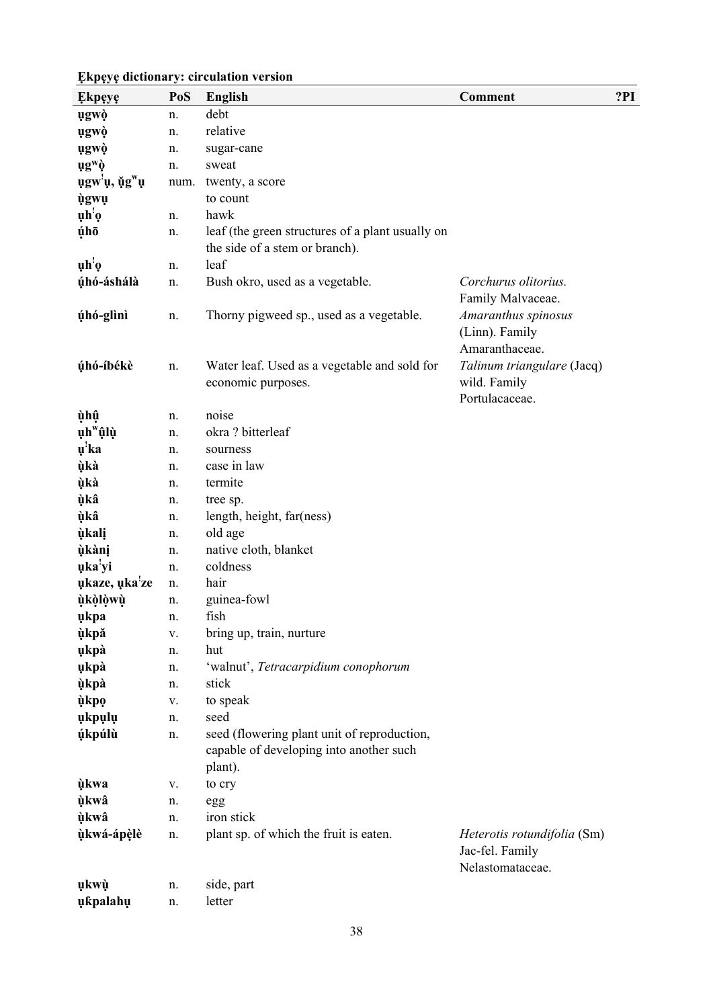| <b>Ekpeye</b>                          | PoS  | <b>English</b>                                                                                    | <b>Comment</b>                                                     | ?PI |
|----------------------------------------|------|---------------------------------------------------------------------------------------------------|--------------------------------------------------------------------|-----|
| ugwò                                   | n.   | debt                                                                                              |                                                                    |     |
| ugwò                                   | n.   | relative                                                                                          |                                                                    |     |
| ugwò                                   | n.   | sugar-cane                                                                                        |                                                                    |     |
| ug <sup>w</sup> ò                      | n.   | sweat                                                                                             |                                                                    |     |
| ugw <sup>i</sup> ų, ų̃g <sup>w</sup> ų | num. | twenty, a score                                                                                   |                                                                    |     |
| ùgwụ                                   |      | to count                                                                                          |                                                                    |     |
| uh'o                                   | n.   | hawk                                                                                              |                                                                    |     |
| úhō                                    | n.   | leaf (the green structures of a plant usually on<br>the side of a stem or branch).                |                                                                    |     |
| $\mathbf{u} \mathbf{h}' \mathbf{0}$    | n.   | leaf                                                                                              |                                                                    |     |
| úhó-áshálà                             | n.   | Bush okro, used as a vegetable.                                                                   | Corchurus olitorius.                                               |     |
|                                        |      |                                                                                                   | Family Malvaceae.                                                  |     |
| úhó-glìnì                              | n.   | Thorny pigweed sp., used as a vegetable.                                                          | Amaranthus spinosus<br>(Linn). Family<br>Amaranthaceae.            |     |
| úhó-íbékè                              | n.   | Water leaf. Used as a vegetable and sold for<br>economic purposes.                                | Talinum triangulare (Jacq)<br>wild. Family<br>Portulacaceae.       |     |
| ùhû                                    | n.   | noise                                                                                             |                                                                    |     |
| ụh <sup>w</sup> ûlù                    | n.   | okra? bitterleaf                                                                                  |                                                                    |     |
| u <sup>'</sup> ka                      | n.   | sourness                                                                                          |                                                                    |     |
| ùkà                                    | n.   | case in law                                                                                       |                                                                    |     |
| ùkà                                    | n.   | termite                                                                                           |                                                                    |     |
| ùkâ                                    | n.   | tree sp.                                                                                          |                                                                    |     |
| ùkâ                                    | n.   | length, height, far(ness)                                                                         |                                                                    |     |
| ùkali                                  | n.   | old age                                                                                           |                                                                    |     |
| ùkàni                                  | n.   | native cloth, blanket                                                                             |                                                                    |     |
| uka'yi                                 | n.   | coldness                                                                                          |                                                                    |     |
| ukaze, uka'ze                          | n.   | hair                                                                                              |                                                                    |     |
| ùkòlòwù                                | n.   | guinea-fowl                                                                                       |                                                                    |     |
| ukpa                                   | n.   | fish                                                                                              |                                                                    |     |
| ùkpǎ                                   | V.   | bring up, train, nurture                                                                          |                                                                    |     |
| ukpà                                   | n.   | hut                                                                                               |                                                                    |     |
| ukpà                                   | n.   | 'walnut', Tetracarpidium conophorum                                                               |                                                                    |     |
| ùkpà                                   | n.   | stick                                                                                             |                                                                    |     |
| ùkpo                                   | V.   | to speak                                                                                          |                                                                    |     |
| ukpulu                                 | n.   | seed                                                                                              |                                                                    |     |
| <b>úkpúlù</b>                          | n.   | seed (flowering plant unit of reproduction,<br>capable of developing into another such<br>plant). |                                                                    |     |
| ùkwa                                   | V.   | to cry                                                                                            |                                                                    |     |
| ùkwâ                                   | n.   | egg                                                                                               |                                                                    |     |
| ùkwâ                                   | n.   | iron stick                                                                                        |                                                                    |     |
| ùkwá-ápèlè                             | n.   | plant sp. of which the fruit is eaten.                                                            | Heterotis rotundifolia (Sm)<br>Jac-fel. Family<br>Nelastomataceae. |     |
| ųkwù                                   | n.   | side, part                                                                                        |                                                                    |     |
| ukpalahu                               | n.   | letter                                                                                            |                                                                    |     |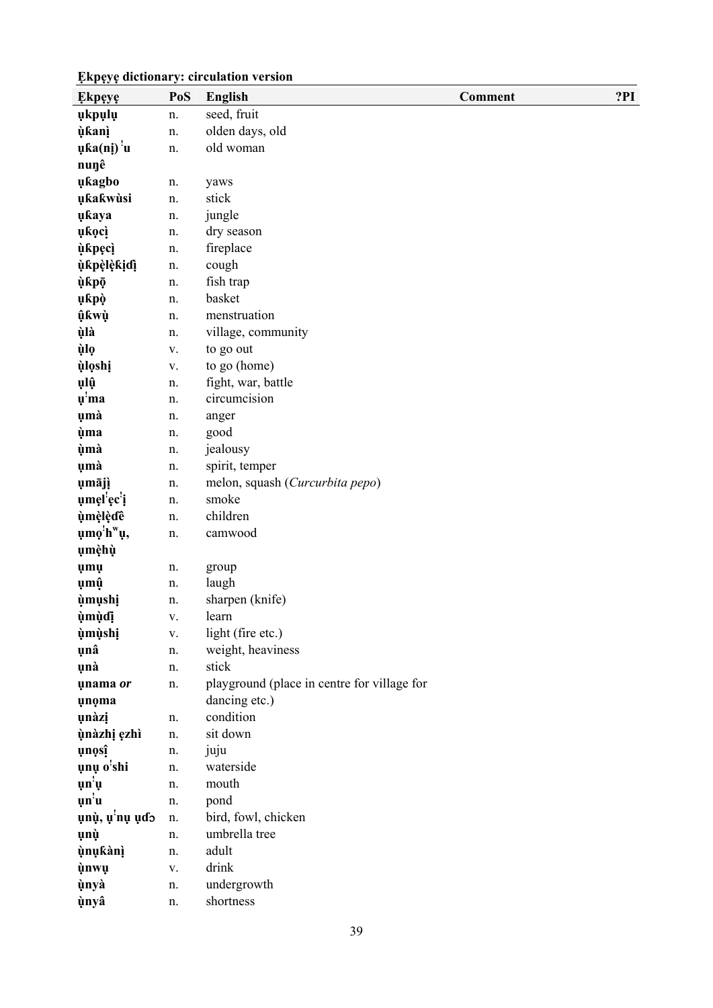| <b>Ekpeye</b>                       | PoS | <b>English</b>                              | Comment | ?PI |
|-------------------------------------|-----|---------------------------------------------|---------|-----|
| ukpulu                              | n.  | seed, fruit                                 |         |     |
| <b>ùkanì</b>                        | n.  | olden days, old                             |         |     |
| uka(ni) u                           | n.  | old woman                                   |         |     |
| nunê                                |     |                                             |         |     |
| ukagbo                              | n.  | yaws                                        |         |     |
| ukakwùsi                            | n.  | stick                                       |         |     |
| ukaya                               | n.  | jungle                                      |         |     |
| <i>ukoci</i>                        | n.  | dry season                                  |         |     |
| <b>ù</b> kpęcì                      | n.  | fireplace                                   |         |     |
| ùkpèlèkidì                          | n.  | cough                                       |         |     |
| ùkpō                                | n.  | fish trap                                   |         |     |
| ụkpò                                | n.  | basket                                      |         |     |
| <b>ûkwù</b>                         | n.  | menstruation                                |         |     |
| ùlà                                 | n.  | village, community                          |         |     |
| ùlọ                                 | V.  | to go out                                   |         |     |
| <b>ùloshi</b>                       | V.  | to go (home)                                |         |     |
| ųlû                                 | n.  | fight, war, battle                          |         |     |
| $\mathbf{u}^{\mathbf{m}}$           | n.  | circumcision                                |         |     |
| umà                                 | n.  | anger                                       |         |     |
| ùma                                 | n.  | good                                        |         |     |
| ùmà                                 | n.  | jealousy                                    |         |     |
| umà                                 | n.  | spirit, temper                              |         |     |
| umājì                               | n.  | melon, squash (Curcurbita pepo)             |         |     |
| umel'ec'i                           | n.  | smoke                                       |         |     |
| ùmèlèdê                             | n.  | children                                    |         |     |
| umo'h <sup>w</sup> u,               | n.  | camwood                                     |         |     |
| umèhù                               |     |                                             |         |     |
| <b>umu</b>                          | n.  | group                                       |         |     |
| ụmộ                                 | n.  | laugh                                       |         |     |
| <i><b>ùmushi</b></i>                | n.  | sharpen (knife)                             |         |     |
| ùmùdi                               | V.  | learn                                       |         |     |
| <b>umushi</b>                       | V.  | light (fire etc.)                           |         |     |
| unâ                                 | n.  | weight, heaviness                           |         |     |
| unà                                 | n.  | stick                                       |         |     |
| unama or                            | n.  | playground (place in centre for village for |         |     |
| unoma                               |     | dancing etc.)                               |         |     |
| unàzi                               | n.  | condition                                   |         |     |
| ùnàzhị ęzhì                         | n.  | sit down                                    |         |     |
| unosî                               | n.  | juju                                        |         |     |
| unu o'shi                           | n.  | waterside                                   |         |     |
| $\mathbf{u} \mathbf{n}' \mathbf{u}$ | n.  | mouth                                       |         |     |
| $\mathbf{u}$ n'u                    | n.  | pond                                        |         |     |
| ụnù, ụ <sup>'</sup> nụ ụɗo          | n.  | bird, fowl, chicken                         |         |     |
| ųnų                                 | n.  | umbrella tree                               |         |     |
| ùnukànì                             | n.  | adult                                       |         |     |
| ùnwụ                                | V.  | drink                                       |         |     |
| ùnyà                                | n.  | undergrowth                                 |         |     |
| ùnyâ                                | n.  | shortness                                   |         |     |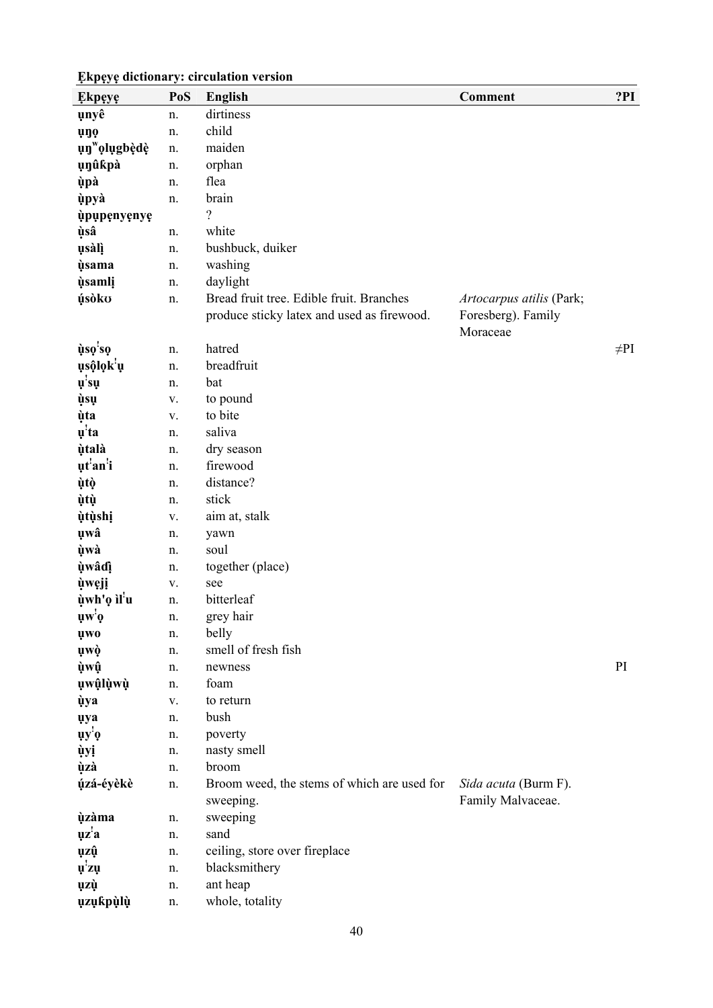| <b>Ekpeye</b>                                                 | PoS      | <b>English</b>                                                                         | Comment                                                    | ?PI       |
|---------------------------------------------------------------|----------|----------------------------------------------------------------------------------------|------------------------------------------------------------|-----------|
| unyê                                                          | n.       | dirtiness                                                                              |                                                            |           |
| <b>uno</b>                                                    | n.       | child                                                                                  |                                                            |           |
| un <sup>w</sup> olugbèdè                                      | n.       | maiden                                                                                 |                                                            |           |
| unûkpà                                                        | n.       | orphan                                                                                 |                                                            |           |
| ùpà                                                           | n.       | flea                                                                                   |                                                            |           |
| ùpyà                                                          | n.       | brain                                                                                  |                                                            |           |
| ùpupenyenye                                                   |          | ?                                                                                      |                                                            |           |
| ùsâ                                                           | n.       | white                                                                                  |                                                            |           |
| usàlì                                                         | n.       | bushbuck, duiker                                                                       |                                                            |           |
| <i><b>ùsama</b></i>                                           | n.       | washing                                                                                |                                                            |           |
| <i><b>usamli</b></i>                                          | n.       | daylight                                                                               |                                                            |           |
| úsòko                                                         | n.       | Bread fruit tree. Edible fruit. Branches<br>produce sticky latex and used as firewood. | Artocarpus atilis (Park;<br>Foresberg). Family<br>Moraceae |           |
| ùso'so                                                        | n.       | hatred                                                                                 |                                                            | $\neq$ PI |
| usộlọk u                                                      | n.       | breadfruit                                                                             |                                                            |           |
| $\mathbf{u}'\mathbf{s}\mathbf{u}$                             | n.       | bat                                                                                    |                                                            |           |
| ùsų                                                           | V.       | to pound                                                                               |                                                            |           |
| ùta                                                           | V.       | to bite                                                                                |                                                            |           |
| $\mathbf{u}^{\mathbf{!}}$ ta                                  | n.       | saliva                                                                                 |                                                            |           |
| ùtalà                                                         | n.       | dry season                                                                             |                                                            |           |
| ut'an'i                                                       | n.       | firewood                                                                               |                                                            |           |
| ùtò                                                           | n.       | distance?                                                                              |                                                            |           |
| ùtù                                                           | n.       | stick                                                                                  |                                                            |           |
| <i>ùtùshi</i>                                                 | V.       | aim at, stalk                                                                          |                                                            |           |
| uwâ                                                           | n.       | yawn                                                                                   |                                                            |           |
| ùwà                                                           | n.       | soul                                                                                   |                                                            |           |
| ùwâdî                                                         | n.       | together (place)                                                                       |                                                            |           |
| <i>uweji</i>                                                  | V.       | see                                                                                    |                                                            |           |
| ùwh'ọ ìl <sup>'</sup> u                                       | n.       | bitterleaf                                                                             |                                                            |           |
| $\mathbf{u}\mathbf{w}^{\mathbf{i}}\mathbf{o}$                 | n.       | grey hair                                                                              |                                                            |           |
| <b>uwo</b>                                                    | n.       | belly<br>smell of fresh fish                                                           |                                                            |           |
| uwò                                                           | n.       | newness                                                                                |                                                            | PI        |
| ùwû<br>ụwậlụwụ                                                | n.<br>n. | foam                                                                                   |                                                            |           |
|                                                               |          | to return                                                                              |                                                            |           |
| <b>ùya</b>                                                    | V.<br>n. | bush                                                                                   |                                                            |           |
| <b>uya</b><br>$\mathbf{u} \mathbf{y}^{\mathbf{i}} \mathbf{0}$ | n.       | poverty                                                                                |                                                            |           |
| ùyị                                                           | n.       | nasty smell                                                                            |                                                            |           |
| ùzà                                                           | n.       | broom                                                                                  |                                                            |           |
| úzá-éyèkè                                                     | n.       | Broom weed, the stems of which are used for                                            | Sida acuta (Burm F).                                       |           |
|                                                               |          | sweeping.                                                                              | Family Malvaceae.                                          |           |
| <b>ùzàma</b>                                                  | n.       | sweeping                                                                               |                                                            |           |
| $\mathbf{u}\mathbf{z}^{\mathbf{z}}\mathbf{a}$                 | n.       | sand                                                                                   |                                                            |           |
| ųzų̂                                                          | n.       | ceiling, store over fireplace                                                          |                                                            |           |
| $\mathbf{u}^{\mathbf{i}}$ zų                                  | n.       | blacksmithery                                                                          |                                                            |           |
| ųzù                                                           | n.       | ant heap                                                                               |                                                            |           |
| <b>uzukpùlù</b>                                               | n.       | whole, totality                                                                        |                                                            |           |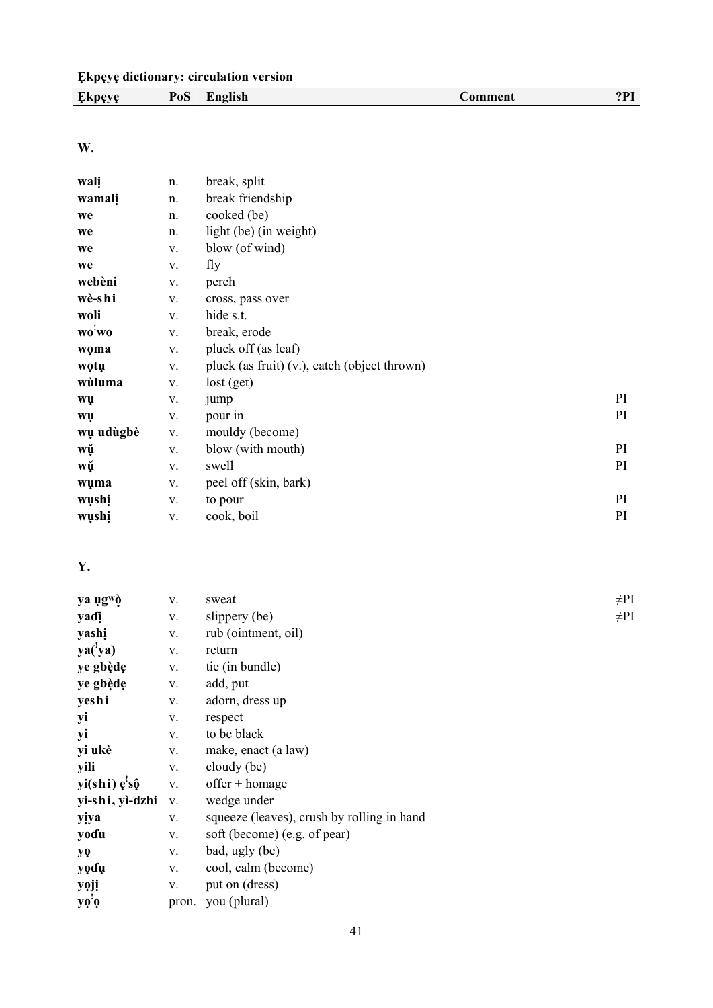| Ekı<br>neve<br>$\bullet$ | PoS | -1-06<br><b></b> | 'omment<br>_____ | $\mathbf{a} \mathbf{b}$ |
|--------------------------|-----|------------------|------------------|-------------------------|
|                          |     |                  |                  |                         |

**W.** 

| walį      | n. | break, split                                 |    |
|-----------|----|----------------------------------------------|----|
| wamali    | n. | break friendship                             |    |
| we        | n. | cooked (be)                                  |    |
| we        | n. | light (be) (in weight)                       |    |
| we        | V. | blow (of wind)                               |    |
| we        | V. | fly                                          |    |
| webèni    | V. | perch                                        |    |
| wè-shi    | V. | cross, pass over                             |    |
| woli      | V. | hide s.t.                                    |    |
| wo'wo     | V. | break, erode                                 |    |
| woma      | V. | pluck off (as leaf)                          |    |
| wọtụ      | V. | pluck (as fruit) (v.), catch (object thrown) |    |
| wùluma    | V. | lost (get)                                   |    |
| wų        | V. | jump                                         | PI |
| wų        | V. | pour in                                      | PI |
| wụ udùgbè | V. | mouldy (become)                              |    |
| wǔ        | V. | blow (with mouth)                            | PI |
| wǔ        | V. | swell                                        | PI |
| wuma      | V. | peel off (skin, bark)                        |    |
| wụshị     | V. | to pour                                      | PI |
| wushi     | V. | cook, boil                                   | PI |

### **Y.**

| V. | sweat                        | $\neq$ Pl                                           |
|----|------------------------------|-----------------------------------------------------|
| V. | slippery (be)                | $\neq$ Pl                                           |
| V. | rub (ointment, oil)          |                                                     |
| V. | return                       |                                                     |
| V. | tie (in bundle)              |                                                     |
| V. | add, put                     |                                                     |
| V. | adorn, dress up              |                                                     |
| V. | respect                      |                                                     |
| V. | to be black                  |                                                     |
| V. | make, enact (a law)          |                                                     |
| V. | cloudy (be)                  |                                                     |
| V. | $offer + homage$             |                                                     |
| V. | wedge under                  |                                                     |
| V. |                              |                                                     |
| V. | soft (become) (e.g. of pear) |                                                     |
| V. | bad, ugly (be)               |                                                     |
| V. | cool, calm (become)          |                                                     |
| V. | put on (dress)               |                                                     |
|    | you (plural)                 |                                                     |
|    |                              | squeeze (leaves), crush by rolling in hand<br>pron. |